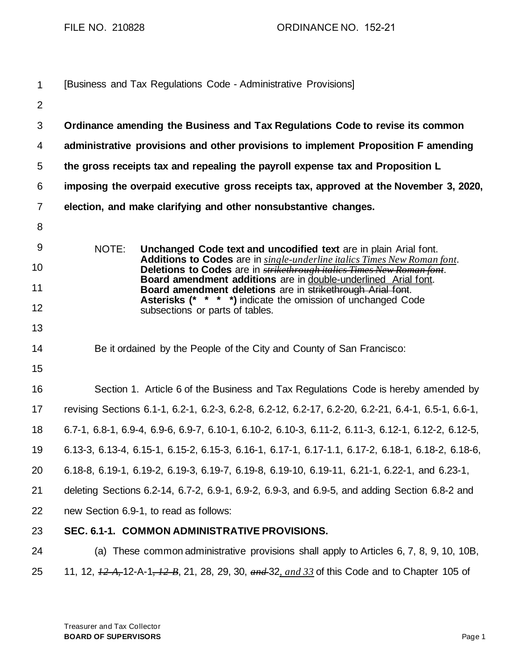| $\mathbf{1}$   | [Business and Tax Regulations Code - Administrative Provisions]                                                                                           |  |  |  |  |  |
|----------------|-----------------------------------------------------------------------------------------------------------------------------------------------------------|--|--|--|--|--|
| $\overline{2}$ |                                                                                                                                                           |  |  |  |  |  |
| 3              | Ordinance amending the Business and Tax Regulations Code to revise its common                                                                             |  |  |  |  |  |
| 4              | administrative provisions and other provisions to implement Proposition F amending                                                                        |  |  |  |  |  |
| 5              | the gross receipts tax and repealing the payroll expense tax and Proposition L                                                                            |  |  |  |  |  |
| 6              | imposing the overpaid executive gross receipts tax, approved at the November 3, 2020,                                                                     |  |  |  |  |  |
| $\overline{7}$ | election, and make clarifying and other nonsubstantive changes.                                                                                           |  |  |  |  |  |
| 8              |                                                                                                                                                           |  |  |  |  |  |
| 9              | NOTE:<br>Unchanged Code text and uncodified text are in plain Arial font.                                                                                 |  |  |  |  |  |
| 10             | Additions to Codes are in single-underline italics Times New Roman font.<br>Deletions to Codes are in <b>strikethrough italies Times New Roman font</b> . |  |  |  |  |  |
| 11             | Board amendment additions are in double-underlined Arial font.<br>Board amendment deletions are in strikethrough Arial font.                              |  |  |  |  |  |
| 12             | <b>Asterisks (* * * *)</b> indicate the omission of unchanged Code<br>subsections or parts of tables.                                                     |  |  |  |  |  |
| 13             |                                                                                                                                                           |  |  |  |  |  |
| 14             | Be it ordained by the People of the City and County of San Francisco:                                                                                     |  |  |  |  |  |
| 15             |                                                                                                                                                           |  |  |  |  |  |
| 16             | Section 1. Article 6 of the Business and Tax Regulations Code is hereby amended by                                                                        |  |  |  |  |  |
| 17             | revising Sections 6.1-1, 6.2-1, 6.2-3, 6.2-8, 6.2-12, 6.2-17, 6.2-20, 6.2-21, 6.4-1, 6.5-1, 6.6-1,                                                        |  |  |  |  |  |
| 18             | 6.7-1, 6.8-1, 6.9-4, 6.9-6, 6.9-7, 6.10-1, 6.10-2, 6.10-3, 6.11-2, 6.11-3, 6.12-1, 6.12-2, 6.12-5,                                                        |  |  |  |  |  |
| 19             | 6.13-3, 6.13-4, 6.15-1, 6.15-2, 6.15-3, 6.16-1, 6.17-1, 6.17-1.1, 6.17-2, 6.18-1, 6.18-2, 6.18-6,                                                         |  |  |  |  |  |
| 20             | 6.18-8, 6.19-1, 6.19-2, 6.19-3, 6.19-7, 6.19-8, 6.19-10, 6.19-11, 6.21-1, 6.22-1, and 6.23-1,                                                             |  |  |  |  |  |
| 21             | deleting Sections 6.2-14, 6.7-2, 6.9-1, 6.9-2, 6.9-3, and 6.9-5, and adding Section 6.8-2 and                                                             |  |  |  |  |  |
| 22             | new Section 6.9-1, to read as follows:                                                                                                                    |  |  |  |  |  |
| 23             | SEC. 6.1-1. COMMON ADMINISTRATIVE PROVISIONS.                                                                                                             |  |  |  |  |  |
| 24             | (a) These common administrative provisions shall apply to Articles 6, 7, 8, 9, 10, 10B,                                                                   |  |  |  |  |  |
| 25             | 11, 12, $\frac{12}{4}$ , 12-A-1, $\frac{12}{8}$ , 21, 28, 29, 30, $\frac{12}{4}$ , $\frac{12}{8}$ of this Code and to Chapter 105 of                      |  |  |  |  |  |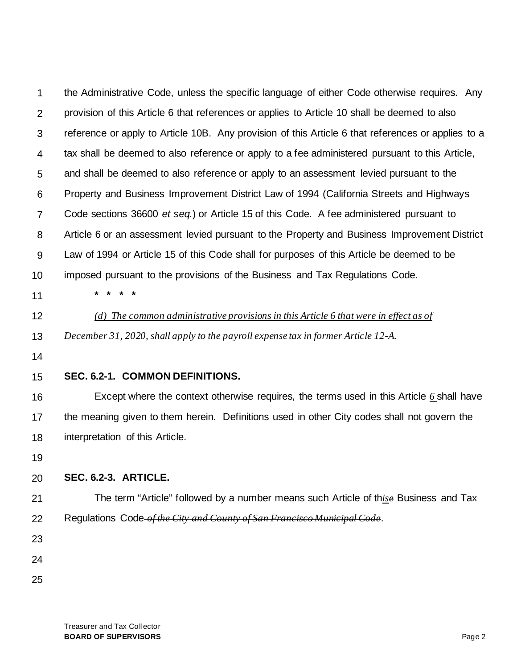| 1  | the Administrative Code, unless the specific language of either Code otherwise requires. Any       |  |  |  |  |  |
|----|----------------------------------------------------------------------------------------------------|--|--|--|--|--|
| 2  | provision of this Article 6 that references or applies to Article 10 shall be deemed to also       |  |  |  |  |  |
| 3  | reference or apply to Article 10B. Any provision of this Article 6 that references or applies to a |  |  |  |  |  |
| 4  | tax shall be deemed to also reference or apply to a fee administered pursuant to this Article,     |  |  |  |  |  |
| 5  | and shall be deemed to also reference or apply to an assessment levied pursuant to the             |  |  |  |  |  |
| 6  | Property and Business Improvement District Law of 1994 (California Streets and Highways            |  |  |  |  |  |
| 7  | Code sections 36600 et seq.) or Article 15 of this Code. A fee administered pursuant to            |  |  |  |  |  |
| 8  | Article 6 or an assessment levied pursuant to the Property and Business Improvement District       |  |  |  |  |  |
| 9  | Law of 1994 or Article 15 of this Code shall for purposes of this Article be deemed to be          |  |  |  |  |  |
| 10 | imposed pursuant to the provisions of the Business and Tax Regulations Code.                       |  |  |  |  |  |
| 11 | *                                                                                                  |  |  |  |  |  |
| 12 | (d) The common administrative provisions in this Article 6 that were in effect as of               |  |  |  |  |  |
| 13 | December 31, 2020, shall apply to the payroll expense tax in former Article 12-A.                  |  |  |  |  |  |
| 14 |                                                                                                    |  |  |  |  |  |
| 15 | SEC. 6.2-1. COMMON DEFINITIONS.                                                                    |  |  |  |  |  |
| 16 | Except where the context otherwise requires, the terms used in this Article 6 shall have           |  |  |  |  |  |
| 17 | the meaning given to them herein. Definitions used in other City codes shall not govern the        |  |  |  |  |  |
| 18 | interpretation of this Article.                                                                    |  |  |  |  |  |
| 19 |                                                                                                    |  |  |  |  |  |
| 20 | SEC. 6.2-3. ARTICLE.                                                                               |  |  |  |  |  |
| 21 | The term "Article" followed by a number means such Article of thise Business and Tax               |  |  |  |  |  |
| 22 | Regulations Code of the City and County of San Francisco Municipal Code.                           |  |  |  |  |  |
| 23 |                                                                                                    |  |  |  |  |  |
| 24 |                                                                                                    |  |  |  |  |  |
| 25 |                                                                                                    |  |  |  |  |  |
|    |                                                                                                    |  |  |  |  |  |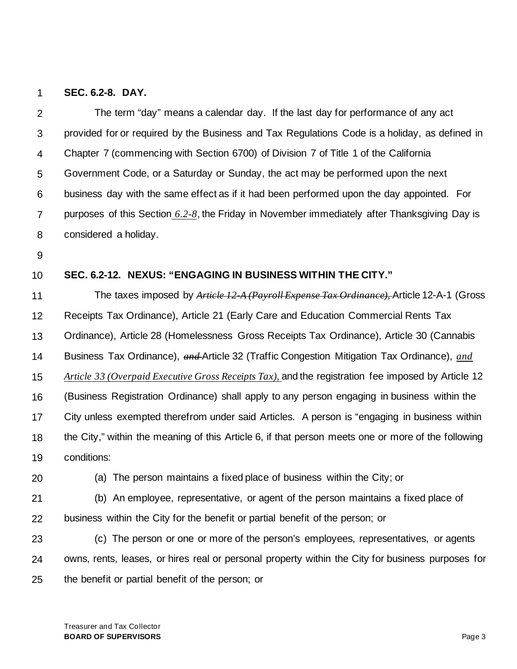### 1 **SEC. 6.2-8. DAY.**

| $\overline{2}$ | The term "day" means a calendar day. If the last day for performance of any act                    |  |  |  |  |  |
|----------------|----------------------------------------------------------------------------------------------------|--|--|--|--|--|
| 3              | provided for or required by the Business and Tax Regulations Code is a holiday, as defined in      |  |  |  |  |  |
| 4              | Chapter 7 (commencing with Section 6700) of Division 7 of Title 1 of the California                |  |  |  |  |  |
| 5              | Government Code, or a Saturday or Sunday, the act may be performed upon the next                   |  |  |  |  |  |
| 6              | business day with the same effect as if it had been performed upon the day appointed. For          |  |  |  |  |  |
| 7              | purposes of this Section 6.2-8, the Friday in November immediately after Thanksgiving Day is       |  |  |  |  |  |
| 8              | considered a holiday.                                                                              |  |  |  |  |  |
| 9              |                                                                                                    |  |  |  |  |  |
| 10             | SEC. 6.2-12. NEXUS: "ENGAGING IN BUSINESS WITHIN THE CITY."                                        |  |  |  |  |  |
| 11             | The taxes imposed by Article 12 A (Payroll Expense Tax Ordinance), Article 12-A-1 (Gross           |  |  |  |  |  |
| 12             | Receipts Tax Ordinance), Article 21 (Early Care and Education Commercial Rents Tax                 |  |  |  |  |  |
| 13             | Ordinance), Article 28 (Homelessness Gross Receipts Tax Ordinance), Article 30 (Cannabis           |  |  |  |  |  |
| 14             | Business Tax Ordinance), and Article 32 (Traffic Congestion Mitigation Tax Ordinance), and         |  |  |  |  |  |
| 15             | Article 33 (Overpaid Executive Gross Receipts Tax), and the registration fee imposed by Article 12 |  |  |  |  |  |
| 16             | (Business Registration Ordinance) shall apply to any person engaging in business within the        |  |  |  |  |  |
| 17             | City unless exempted therefrom under said Articles. A person is "engaging in business within       |  |  |  |  |  |
| 18             | the City," within the meaning of this Article 6, if that person meets one or more of the following |  |  |  |  |  |
| 19             | conditions:                                                                                        |  |  |  |  |  |
| 20             | (a) The person maintains a fixed place of business within the City; or                             |  |  |  |  |  |
| 21             | (b) An employee, representative, or agent of the person maintains a fixed place of                 |  |  |  |  |  |
| 22             | business within the City for the benefit or partial benefit of the person; or                      |  |  |  |  |  |
| 23             | (c) The person or one or more of the person's employees, representatives, or agents                |  |  |  |  |  |
| 24             | owns, rents, leases, or hires real or personal property within the City for business purposes for  |  |  |  |  |  |
| 25             | the benefit or partial benefit of the person; or                                                   |  |  |  |  |  |
|                |                                                                                                    |  |  |  |  |  |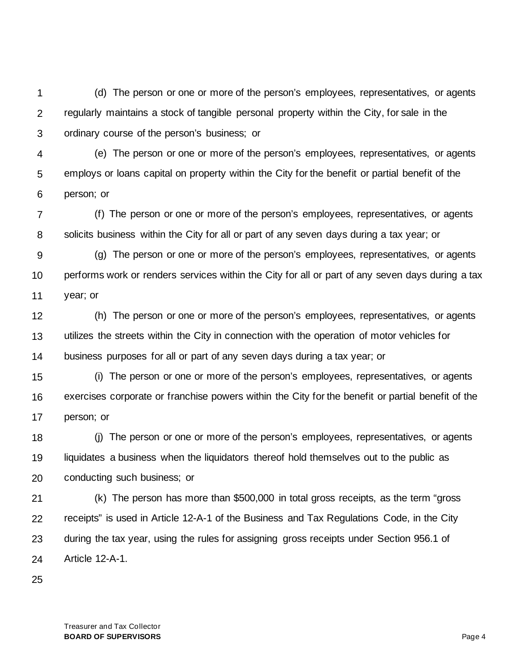1 2 3 (d) The person or one or more of the person's employees, representatives, or agents regularly maintains a stock of tangible personal property within the City, for sale in the ordinary course of the person's business; or

4 5 6 (e) The person or one or more of the person's employees, representatives, or agents employs or loans capital on property within the City for the benefit or partial benefit of the person; or

7 8 (f) The person or one or more of the person's employees, representatives, or agents solicits business within the City for all or part of any seven days during a tax year; or

9 10 11 (g) The person or one or more of the person's employees, representatives, or agents performs work or renders services within the City for all or part of any seven days during a tax year; or

12 13 14 (h) The person or one or more of the person's employees, representatives, or agents utilizes the streets within the City in connection with the operation of motor vehicles for business purposes for all or part of any seven days during a tax year; or

15 16 17 (i) The person or one or more of the person's employees, representatives, or agents exercises corporate or franchise powers within the City for the benefit or partial benefit of the person; or

18 19 20 (j) The person or one or more of the person's employees, representatives, or agents liquidates a business when the liquidators thereof hold themselves out to the public as conducting such business; or

21 22 23 24 (k) The person has more than \$500,000 in total gross receipts, as the term "gross receipts" is used in Article 12-A-1 of the Business and Tax Regulations Code, in the City during the tax year, using the rules for assigning gross receipts under Section 956.1 of Article 12-A-1.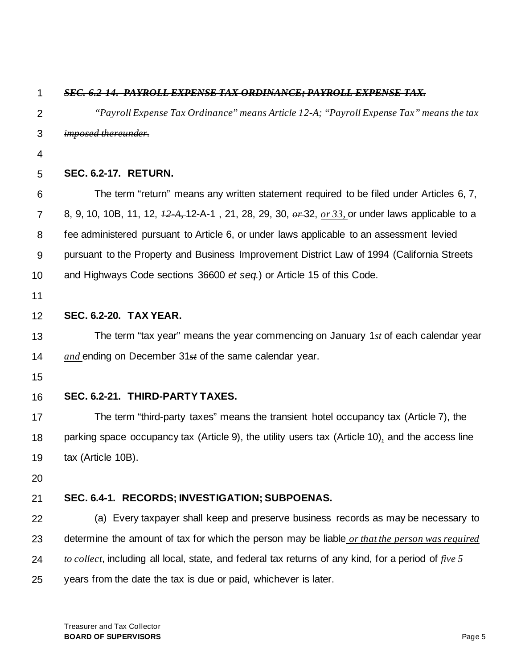| 1              | <b>SEC. 6.2-14. PAYROLL EXPENSE TAX ORDINANCE; PAYROLL EXPENSE TAX.</b>                                                                                             |  |  |  |  |
|----------------|---------------------------------------------------------------------------------------------------------------------------------------------------------------------|--|--|--|--|
| $\overline{2}$ | "Payroll Expense Tax Ordinance" means Article 12 A; "Payroll Expense Tax" means the tax                                                                             |  |  |  |  |
| 3              | <i>imposed thereunder.</i>                                                                                                                                          |  |  |  |  |
| 4              |                                                                                                                                                                     |  |  |  |  |
| 5              | <b>SEC. 6.2-17. RETURN.</b>                                                                                                                                         |  |  |  |  |
| 6              | The term "return" means any written statement required to be filed under Articles 6, 7,                                                                             |  |  |  |  |
| $\overline{7}$ | 8, 9, 10, 10B, 11, 12, $\frac{12}{12}A$ , 12-A-1, 21, 28, 29, 30, $\frac{\partial F}{\partial 2}$ , $\frac{\partial F}{\partial 3}$ , or under laws applicable to a |  |  |  |  |
| 8              | fee administered pursuant to Article 6, or under laws applicable to an assessment levied                                                                            |  |  |  |  |
| 9              | pursuant to the Property and Business Improvement District Law of 1994 (California Streets                                                                          |  |  |  |  |
| 10             | and Highways Code sections 36600 et seq.) or Article 15 of this Code.                                                                                               |  |  |  |  |
| 11             |                                                                                                                                                                     |  |  |  |  |
| 12             | <b>SEC. 6.2-20. TAX YEAR.</b>                                                                                                                                       |  |  |  |  |
| 13             | The term "tax year" means the year commencing on January 1st of each calendar year                                                                                  |  |  |  |  |
| 14             | and ending on December $31st$ of the same calendar year.                                                                                                            |  |  |  |  |
| 15             |                                                                                                                                                                     |  |  |  |  |
| 16             | SEC. 6.2-21. THIRD-PARTY TAXES.                                                                                                                                     |  |  |  |  |
| 17             | The term "third-party taxes" means the transient hotel occupancy tax (Article 7), the                                                                               |  |  |  |  |
| 18             | parking space occupancy tax (Article 9), the utility users tax (Article 10), and the access line                                                                    |  |  |  |  |
| 19             | tax (Article 10B).                                                                                                                                                  |  |  |  |  |
| 20             |                                                                                                                                                                     |  |  |  |  |
| 21             | SEC. 6.4-1. RECORDS; INVESTIGATION; SUBPOENAS.                                                                                                                      |  |  |  |  |
| 22             | (a) Every taxpayer shall keep and preserve business records as may be necessary to                                                                                  |  |  |  |  |
| 23             | determine the amount of tax for which the person may be liable or that the person was required                                                                      |  |  |  |  |
| 24             | to collect, including all local, state, and federal tax returns of any kind, for a period of five $\frac{5}{2}$                                                     |  |  |  |  |
| 25             | years from the date the tax is due or paid, whichever is later.                                                                                                     |  |  |  |  |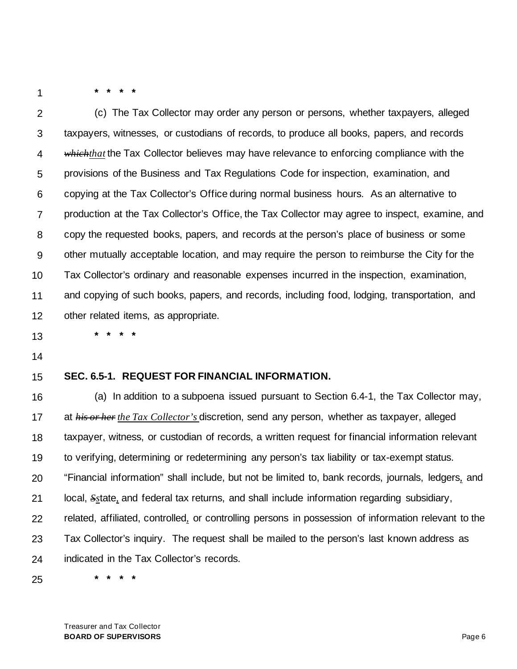**\* \* \* \***

**\* \* \* \***

2 3 4 5 6 7 8 9 10 11 12 (c) The Tax Collector may order any person or persons, whether taxpayers, alleged taxpayers, witnesses, or custodians of records, to produce all books, papers, and records *whichthat* the Tax Collector believes may have relevance to enforcing compliance with the provisions of the Business and Tax Regulations Code for inspection, examination, and copying at the Tax Collector's Office during normal business hours. As an alternative to production at the Tax Collector's Office, the Tax Collector may agree to inspect, examine, and copy the requested books, papers, and records at the person's place of business or some other mutually acceptable location, and may require the person to reimburse the City for the Tax Collector's ordinary and reasonable expenses incurred in the inspection, examination, and copying of such books, papers, and records, including food, lodging, transportation, and other related items, as appropriate.

- 13
- 14

#### 15 **SEC. 6.5-1. REQUEST FOR FINANCIAL INFORMATION.**

16 17 18 19 20 21 22 23 24 (a) In addition to a subpoena issued pursuant to Section 6.4-1, the Tax Collector may, at *his or her the Tax Collector's* discretion, send any person, whether as taxpayer, alleged taxpayer, witness, or custodian of records, a written request for financial information relevant to verifying, determining or redetermining any person's tax liability or tax-exempt status. "Financial information" shall include, but not be limited to, bank records, journals, ledgers*,* and local, *Ss*tate*,* and federal tax returns, and shall include information regarding subsidiary, related, affiliated, controlled*,* or controlling persons in possession of information relevant to the Tax Collector's inquiry. The request shall be mailed to the person's last known address as indicated in the Tax Collector's records.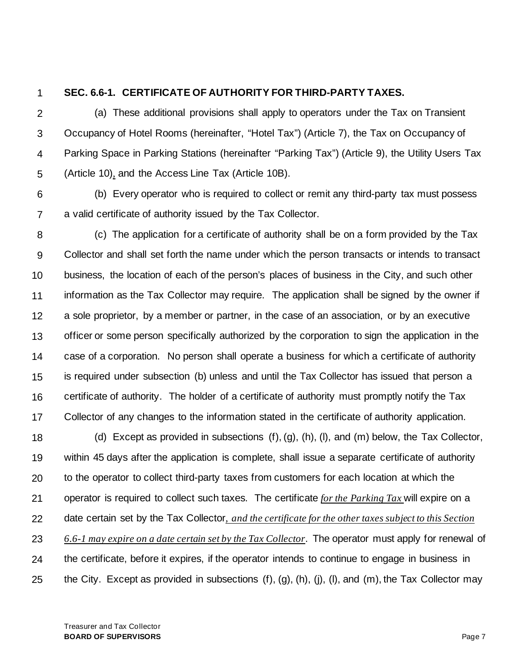### **SEC. 6.6-1. CERTIFICATE OF AUTHORITY FOR THIRD-PARTY TAXES.**

2 3 4 5 (a) These additional provisions shall apply to operators under the Tax on Transient Occupancy of Hotel Rooms (hereinafter, "Hotel Tax") (Article 7), the Tax on Occupancy of Parking Space in Parking Stations (hereinafter "Parking Tax") (Article 9), the Utility Users Tax (Article 10)*,* and the Access Line Tax (Article 10B).

6 7 (b) Every operator who is required to collect or remit any third-party tax must possess a valid certificate of authority issued by the Tax Collector.

8 9 10 11 12 13 14 15 16 17 (c) The application for a certificate of authority shall be on a form provided by the Tax Collector and shall set forth the name under which the person transacts or intends to transact business, the location of each of the person's places of business in the City, and such other information as the Tax Collector may require. The application shall be signed by the owner if a sole proprietor, by a member or partner, in the case of an association, or by an executive officer or some person specifically authorized by the corporation to sign the application in the case of a corporation. No person shall operate a business for which a certificate of authority is required under subsection (b) unless and until the Tax Collector has issued that person a certificate of authority. The holder of a certificate of authority must promptly notify the Tax Collector of any changes to the information stated in the certificate of authority application.

18 19 20 21 22 23 24 25 (d) Except as provided in subsections (f), (g), (h), (l), and (m) below, the Tax Collector, within 45 days after the application is complete, shall issue a separate certificate of authority to the operator to collect third-party taxes from customers for each location at which the operator is required to collect such taxes. The certificate *for the Parking Tax* will expire on a date certain set by the Tax Collector*, and the certificate for the other taxes subject to this Section 6.6-1 may expire on a date certain set by the Tax Collector*. The operator must apply for renewal of the certificate, before it expires, if the operator intends to continue to engage in business in the City. Except as provided in subsections (f), (g), (h), (j), (l), and (m), the Tax Collector may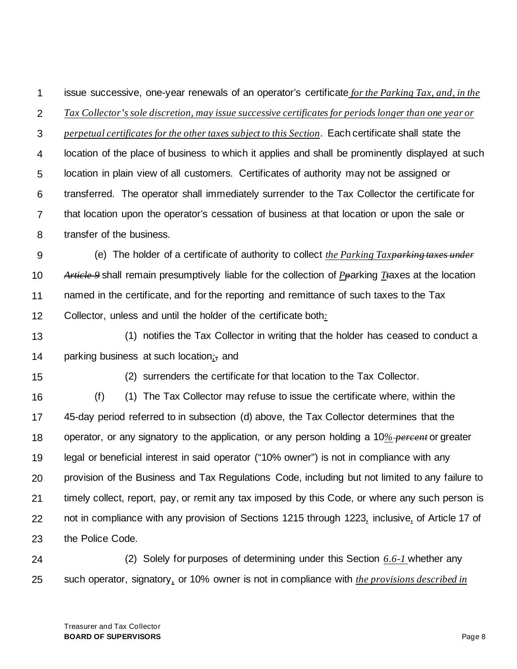1 issue successive, one-year renewals of an operator's certificate *for the Parking Tax, and, in the* 

2 *Tax Collector's sole discretion, may issue successive certificates for periods longer than one year or* 

3 4 5 6 7 8 *perpetual certificates for the other taxes subject to this Section*. Each certificate shall state the location of the place of business to which it applies and shall be prominently displayed at such location in plain view of all customers. Certificates of authority may not be assigned or transferred. The operator shall immediately surrender to the Tax Collector the certificate for that location upon the operator's cessation of business at that location or upon the sale or transfer of the business.

9 10 11 12 (e) The holder of a certificate of authority to collect *the Parking Taxparking taxes under Article 9* shall remain presumptively liable for the collection of *Pp*arking *Tt*axes at the location named in the certificate, and for the reporting and remittance of such taxes to the Tax Collector, unless and until the holder of the certificate both*:*

- 13 14 (1) notifies the Tax Collector in writing that the holder has ceased to conduct a parking business at such location*;,* and
- 15

(2) surrenders the certificate for that location to the Tax Collector.

16 17 18 19 20 21 22 23 (f) (1) The Tax Collector may refuse to issue the certificate where, within the 45-day period referred to in subsection (d) above, the Tax Collector determines that the operator, or any signatory to the application, or any person holding a 10*% percent* or greater legal or beneficial interest in said operator ("10% owner") is not in compliance with any provision of the Business and Tax Regulations Code, including but not limited to any failure to timely collect, report, pay, or remit any tax imposed by this Code, or where any such person is not in compliance with any provision of Sections 1215 through 1223*,* inclusive*,* of Article 17 of the Police Code.

24 25 (2) Solely for purposes of determining under this Section *6.6-1* whether any such operator, signatory*,* or 10% owner is not in compliance with *the provisions described in*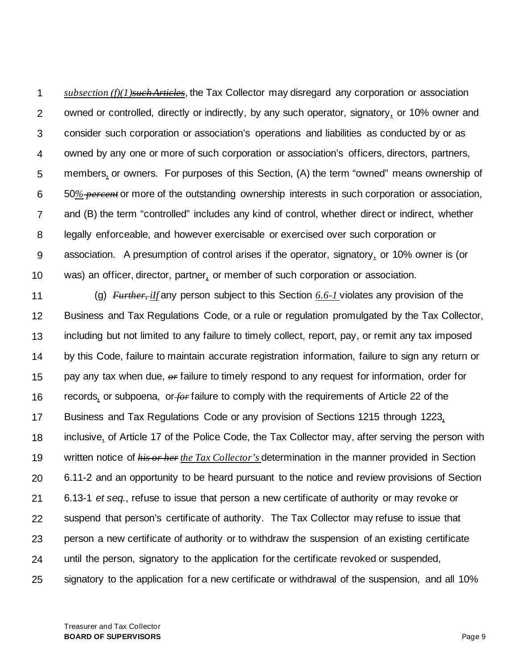1 2 3 4 5 6 7 8 9 10 *subsection (f)(1)such Articles*, the Tax Collector may disregard any corporation or association owned or controlled, directly or indirectly, by any such operator, signatory*,* or 10% owner and consider such corporation or association's operations and liabilities as conducted by or as owned by any one or more of such corporation or association's officers, directors, partners, members*,* or owners. For purposes of this Section, (A) the term "owned" means ownership of 50*% percent* or more of the outstanding ownership interests in such corporation or association, and (B) the term "controlled" includes any kind of control, whether direct or indirect, whether legally enforceable, and however exercisable or exercised over such corporation or association. A presumption of control arises if the operator, signatory*,* or 10% owner is (or was) an officer, director, partner*,* or member of such corporation or association.

11 12 13 14 15 16 17 18 19 20 21 22 23 24 25 (g) *Further, iIf* any person subject to this Section *6.6-1* violates any provision of the Business and Tax Regulations Code, or a rule or regulation promulgated by the Tax Collector, including but not limited to any failure to timely collect, report, pay, or remit any tax imposed by this Code, failure to maintain accurate registration information, failure to sign any return or pay any tax when due, *or* failure to timely respond to any request for information, order for records*,* or subpoena, or *for* failure to comply with the requirements of Article 22 of the Business and Tax Regulations Code or any provision of Sections 1215 through 1223*,* inclusive*,* of Article 17 of the Police Code, the Tax Collector may, after serving the person with written notice of *his or her the Tax Collector's* determination in the manner provided in Section 6.11-2 and an opportunity to be heard pursuant to the notice and review provisions of Section 6.13-1 *et seq.*, refuse to issue that person a new certificate of authority or may revoke or suspend that person's certificate of authority. The Tax Collector may refuse to issue that person a new certificate of authority or to withdraw the suspension of an existing certificate until the person, signatory to the application for the certificate revoked or suspended, signatory to the application for a new certificate or withdrawal of the suspension, and all 10%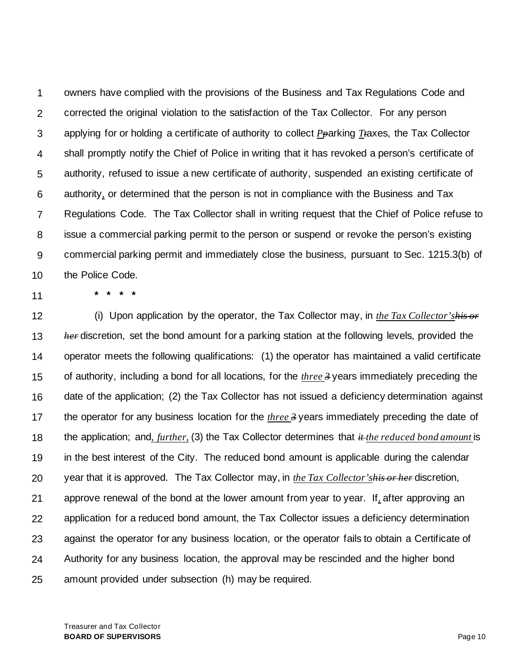1 2 3 4 5 6 7 8 9 10 owners have complied with the provisions of the Business and Tax Regulations Code and corrected the original violation to the satisfaction of the Tax Collector. For any person applying for or holding a certificate of authority to collect *Pp*arking *Tt*axes, the Tax Collector shall promptly notify the Chief of Police in writing that it has revoked a person's certificate of authority, refused to issue a new certificate of authority, suspended an existing certificate of authority*,* or determined that the person is not in compliance with the Business and Tax Regulations Code. The Tax Collector shall in writing request that the Chief of Police refuse to issue a commercial parking permit to the person or suspend or revoke the person's existing commercial parking permit and immediately close the business, pursuant to Sec. 1215.3(b) of the Police Code.

11

**\* \* \* \***

12 13 14 15 16 17 18 19 20 21 22 23 24 25 (i) Upon application by the operator, the Tax Collector may, in *the Tax Collector'shis or her* discretion, set the bond amount for a parking station at the following levels, provided the operator meets the following qualifications: (1) the operator has maintained a valid certificate of authority, including a bond for all locations, for the *three 3* years immediately preceding the date of the application; (2) the Tax Collector has not issued a deficiency determination against the operator for any business location for the *three 3* years immediately preceding the date of the application; and*, further,* (3) the Tax Collector determines that *it the reduced bond amount* is in the best interest of the City. The reduced bond amount is applicable during the calendar year that it is approved. The Tax Collector may, in *the Tax Collector'shis or her* discretion, approve renewal of the bond at the lower amount from year to year. If*,* after approving an application for a reduced bond amount, the Tax Collector issues a deficiency determination against the operator for any business location, or the operator fails to obtain a Certificate of Authority for any business location, the approval may be rescinded and the higher bond amount provided under subsection (h) may be required.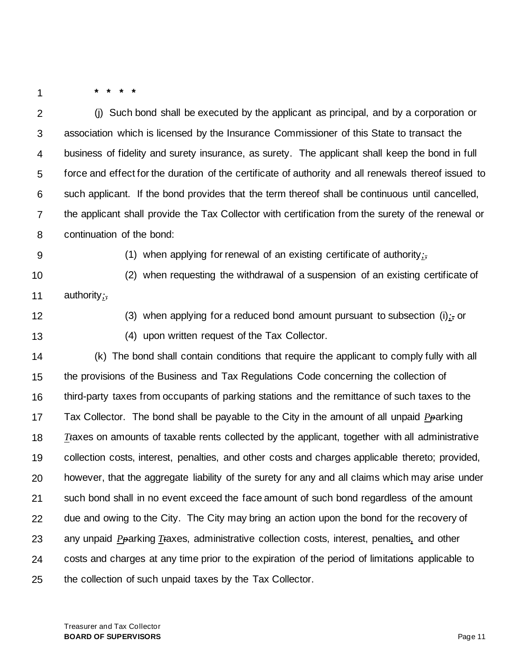**\* \* \* \***

2 3 4 5 6 7 8 (j) Such bond shall be executed by the applicant as principal, and by a corporation or association which is licensed by the Insurance Commissioner of this State to transact the business of fidelity and surety insurance, as surety. The applicant shall keep the bond in full force and effect for the duration of the certificate of authority and all renewals thereof issued to such applicant. If the bond provides that the term thereof shall be continuous until cancelled, the applicant shall provide the Tax Collector with certification from the surety of the renewal or continuation of the bond:

9

(1) when applying for renewal of an existing certificate of authority*;,*

10 11 (2) when requesting the withdrawal of a suspension of an existing certificate of authority*;,*

12

13

(3) when applying for a reduced bond amount pursuant to subsection (i)*;,* or (4) upon written request of the Tax Collector.

14 15 16 17 18 19 20 21 22 23 24 25 (k) The bond shall contain conditions that require the applicant to comply fully with all the provisions of the Business and Tax Regulations Code concerning the collection of third-party taxes from occupants of parking stations and the remittance of such taxes to the Tax Collector. The bond shall be payable to the City in the amount of all unpaid *Pp*arking *Tt*axes on amounts of taxable rents collected by the applicant, together with all administrative collection costs, interest, penalties, and other costs and charges applicable thereto; provided, however, that the aggregate liability of the surety for any and all claims which may arise under such bond shall in no event exceed the face amount of such bond regardless of the amount due and owing to the City. The City may bring an action upon the bond for the recovery of any unpaid *Pp*arking *Tt*axes, administrative collection costs, interest, penalties*,* and other costs and charges at any time prior to the expiration of the period of limitations applicable to the collection of such unpaid taxes by the Tax Collector.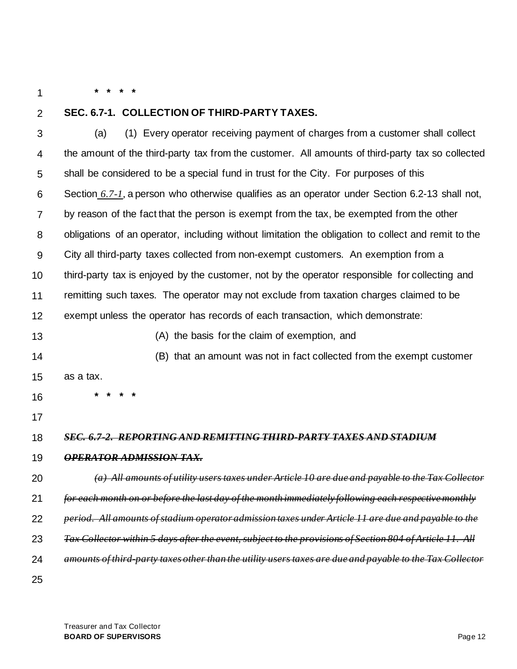2

# **SEC. 6.7-1. COLLECTION OF THIRD-PARTY TAXES.**

**\* \* \* \***

3 4 5 6 7 8 9 10 11 12 13 14 15 16 17 18 19 20 21 22 23 24 25 (a) (1) Every operator receiving payment of charges from a customer shall collect the amount of the third-party tax from the customer. All amounts of third-party tax so collected shall be considered to be a special fund in trust for the City. For purposes of this Section *6.7-1*, a person who otherwise qualifies as an operator under Section 6.2-13 shall not, by reason of the fact that the person is exempt from the tax, be exempted from the other obligations of an operator, including without limitation the obligation to collect and remit to the City all third-party taxes collected from non-exempt customers. An exemption from a third-party tax is enjoyed by the customer, not by the operator responsible for collecting and remitting such taxes. The operator may not exclude from taxation charges claimed to be exempt unless the operator has records of each transaction, which demonstrate: (A) the basis for the claim of exemption, and (B) that an amount was not in fact collected from the exempt customer as a tax. **\* \* \* \*** *SEC. 6.7-2. REPORTING AND REMITTING THIRD-PARTY TAXES AND STADIUM OPERATOR ADMISSION TAX. (a) All amounts of utility users taxes under Article 10 are due and payable to the Tax Collector for each month on or before the last day of the month immediately following each respective monthly period. All amounts of stadium operator admission taxes under Article 11 are due and payable to the Tax Collector within 5 days after the event, subject to the provisions of Section 804 of Article 11. All amounts of third-party taxes other than the utility users taxes are due and payable to the Tax Collector*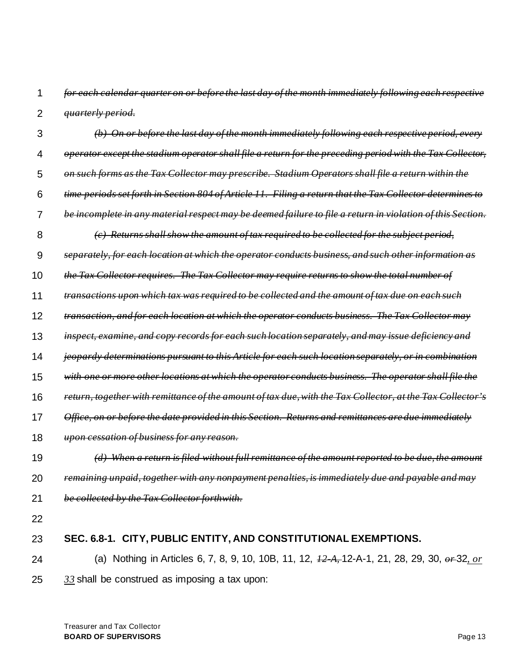1 2 *for each calendar quarter on or before the last day of the month immediately following each respective quarterly period.*

- 3 4 5 6 7 8 9 10 11 12 13 14 15 16 17 18 19 20 21 *(b) On or before the last day of the month immediately following each respective period, every operator except the stadium operator shall file a return for the preceding period with the Tax Collector, on such forms as the Tax Collector may prescribe. Stadium Operators shall file a return within the time periods set forth in Section 804 of Article 11. Filing a return that the Tax Collector determines to be incomplete in any material respect may be deemed failure to file a return in violation of this Section. (c) Returns shall show the amount of tax required to be collected for the subject period, separately, for each location at which the operator conducts business, and such other information as the Tax Collector requires. The Tax Collector may require returns to show the total number of transactions upon which tax was required to be collected and the amount of tax due on each such transaction, and for each location at which the operator conducts business. The Tax Collector may inspect, examine, and copy records for each such location separately, and may issue deficiency and jeopardy determinations pursuant to this Article for each such location separately, or in combination with one or more other locations at which the operator conducts business. The operator shall file the return, together with remittance of the amount of tax due, with the Tax Collector, at the Tax Collector's Office, on or before the date provided in this Section. Returns and remittances are due immediately upon cessation of business for any reason. (d) When a return is filed without full remittance of the amount reported to be due, the amount remaining unpaid, together with any nonpayment penalties, is immediately due and payable an be collected by the Tax Collector forthwith.*
- 22

#### 23 **SEC. 6.8-1. CITY, PUBLIC ENTITY, AND CONSTITUTIONAL EXEMPTIONS.**

24 25 (a) Nothing in Articles 6, 7, 8, 9, 10, 10B, 11, 12, *12-A,* 12-A-1, 21, 28, 29, 30, *or* 32*, or 33* shall be construed as imposing a tax upon: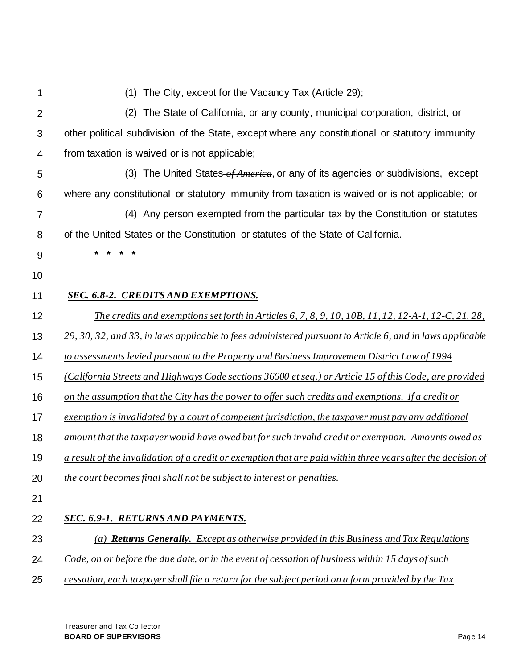| 1              | (1) The City, except for the Vacancy Tax (Article 29);                                                       |
|----------------|--------------------------------------------------------------------------------------------------------------|
| $\overline{2}$ | The State of California, or any county, municipal corporation, district, or<br>(2)                           |
| 3              | other political subdivision of the State, except where any constitutional or statutory immunity              |
| 4              | from taxation is waived or is not applicable;                                                                |
| 5              | (3) The United States of America, or any of its agencies or subdivisions, except                             |
| 6              | where any constitutional or statutory immunity from taxation is waived or is not applicable; or              |
| 7              | (4) Any person exempted from the particular tax by the Constitution or statutes                              |
| 8              | of the United States or the Constitution or statutes of the State of California.                             |
| 9              | $\star$ $\star$<br>* *                                                                                       |
| 10             |                                                                                                              |
| 11             | SEC. 6.8-2. CREDITS AND EXEMPTIONS.                                                                          |
| 12             | <u>The credits and exemptions set forth in Articles 6, 7, 8, 9, 10, 10B, 11, 12, 12-A-1, 12-C, 21, 28,</u>   |
| 13             | 29, 30, 32, and 33, in laws applicable to fees administered pursuant to Article 6, and in laws applicable    |
| 14             | to assessments levied pursuant to the Property and Business Improvement District Law of 1994                 |
| 15             | (California Streets and Highways Code sections 36600 et seq.) or Article 15 of this Code, are provided       |
| 16             | on the assumption that the City has the power to offer such credits and exemptions. If a credit or           |
| 17             | exemption is invalidated by a court of competent jurisdiction, the taxpayer must pay any additional          |
| 18             | amount that the taxpayer would have owed but for such invalid credit or exemption. Amounts owed as           |
| 19             | a result of the invalidation of a credit or exemption that are paid within three years after the decision of |
| 20             | the court becomes final shall not be subject to interest or penalties.                                       |
| 21             |                                                                                                              |
| 22             | SEC. 6.9-1. RETURNS AND PAYMENTS.                                                                            |
| 23             | (a) <b>Returns Generally.</b> Except as otherwise provided in this Business and Tax Regulations              |
| 24             | Code, on or before the due date, or in the event of cessation of business within 15 days of such             |
| 25             | cessation, each taxpayer shall file a return for the subject period on a form provided by the Tax            |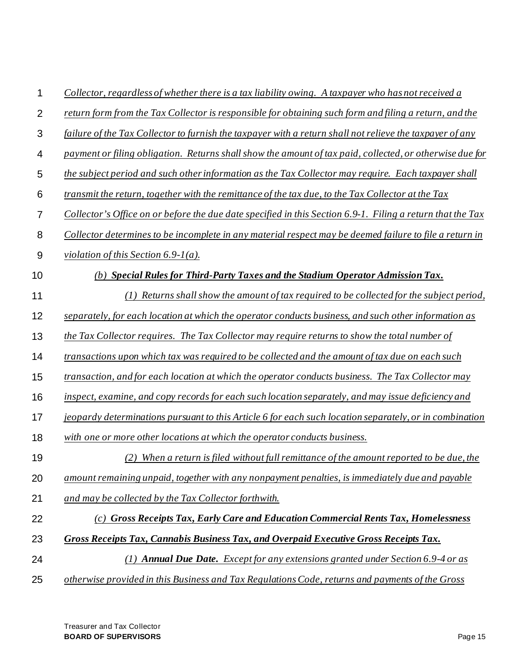- 2 *return form from the Tax Collector is responsible for obtaining such form and filing a return, and the*
- 3 *failure of the Tax Collector to furnish the taxpayer with a return shall not relieve the taxpayer of any*
- 4 *payment or filing obligation. Returns shall show the amount of tax paid, collected, or otherwise due for*
- 5 *the subject period and such other information as the Tax Collector may require. Each taxpayer shall*
- 6 *transmit the return, together with the remittance of the tax due, to the Tax Collector at the Tax*
- 7 *Collector's Office on or before the due date specified in this Section 6.9-1. Filing a return that the Tax*
- 8 *Collector determines to be incomplete in any material respect may be deemed failure to file a return in*
- 9 *violation of this Section 6.9-1(a).*

- *(b) Special Rules for Third-Party Taxes and the Stadium Operator Admission Tax.*
- 11 *(1) Returns shall show the amount of tax required to be collected for the subject period,*
- 12 *separately, for each location at which the operator conducts business, and such other information as*
- 13 *the Tax Collector requires. The Tax Collector may require returns to show the total number of*
- 14 *transactions upon which tax was required to be collected and the amount of tax due on each such*
- 15 *transaction, and for each location at which the operator conducts business. The Tax Collector may*
- 16 *inspect, examine, and copy records for each such location separately, and may issue deficiency and*
- 17 *jeopardy determinations pursuant to this Article 6 for each such location separately, or in combination*
- 18 *with one or more other locations at which the operator conducts business.*
- 19 *(2) When a return is filed without full remittance of the amount reported to be due, the*
- 20 *amount remaining unpaid, together with any nonpayment penalties, is immediately due and payable*
- 21 *and may be collected by the Tax Collector forthwith.*

#### 22 *(c) Gross Receipts Tax, Early Care and Education Commercial Rents Tax, Homelessness*

- 23 *Gross Receipts Tax, Cannabis Business Tax, and Overpaid Executive Gross Receipts Tax.*
- 24 *(1) Annual Due Date. Except for any extensions granted under Section 6.9-4 or as*
- 25 *otherwise provided in this Business and Tax Regulations Code, returns and payments of the Gross*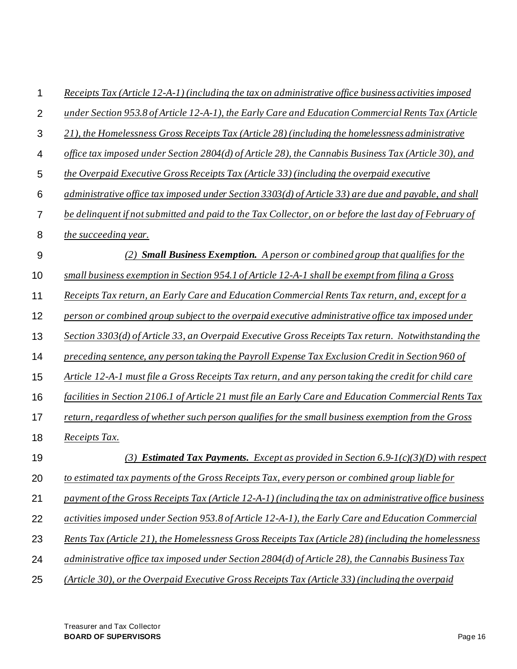| 1              | Receipts Tax (Article 12-A-1) (including the tax on administrative office business activities imposed   |  |  |  |  |  |
|----------------|---------------------------------------------------------------------------------------------------------|--|--|--|--|--|
| $\overline{2}$ | under Section 953.8 of Article 12-A-1), the Early Care and Education Commercial Rents Tax (Article      |  |  |  |  |  |
| 3              | 21), the Homelessness Gross Receipts Tax (Article 28) (including the homelessness administrative        |  |  |  |  |  |
| 4              | office tax imposed under Section 2804(d) of Article 28), the Cannabis Business Tax (Article 30), and    |  |  |  |  |  |
| 5              | the Overpaid Executive Gross Receipts Tax (Article 33) (including the overpaid executive                |  |  |  |  |  |
| 6              | administrative office tax imposed under Section 3303(d) of Article 33) are due and payable, and shall   |  |  |  |  |  |
| $\overline{7}$ | be delinquent if not submitted and paid to the Tax Collector, on or before the last day of February of  |  |  |  |  |  |
| 8              | the succeeding year.                                                                                    |  |  |  |  |  |
| 9              | (2) <b>Small Business Exemption.</b> A person or combined group that qualifies for the                  |  |  |  |  |  |
| 10             | small business exemption in Section 954.1 of Article 12-A-1 shall be exempt from filing a Gross         |  |  |  |  |  |
| 11             | Receipts Tax return, an Early Care and Education Commercial Rents Tax return, and, except for a         |  |  |  |  |  |
| 12             | person or combined group subject to the overpaid executive administrative office tax imposed under      |  |  |  |  |  |
| 13             | Section 3303(d) of Article 33, an Overpaid Executive Gross Receipts Tax return. Notwithstanding the     |  |  |  |  |  |
| 14             | preceding sentence, any person taking the Payroll Expense Tax Exclusion Credit in Section 960 of        |  |  |  |  |  |
| 15             | Article 12-A-1 must file a Gross Receipts Tax return, and any person taking the credit for child care   |  |  |  |  |  |
| 16             | facilities in Section 2106.1 of Article 21 must file an Early Care and Education Commercial Rents Tax   |  |  |  |  |  |
| 17             | return, regardless of whether such person qualifies for the small business exemption from the Gross     |  |  |  |  |  |
| 18             | Receipts Tax.                                                                                           |  |  |  |  |  |
| 19             | (3) <b>Estimated Tax Payments.</b> Except as provided in Section 6.9- $I(c)(3)(D)$ with respect         |  |  |  |  |  |
| 20             | to estimated tax payments of the Gross Receipts Tax, every person or combined group liable for          |  |  |  |  |  |
| 21             | payment of the Gross Receipts Tax (Article 12-A-1) (including the tax on administrative office business |  |  |  |  |  |
| 22             | activities imposed under Section 953.8 of Article 12-A-1), the Early Care and Education Commercial      |  |  |  |  |  |
| 23             | Rents Tax (Article 21), the Homelessness Gross Receipts Tax (Article 28) (including the homelessness    |  |  |  |  |  |
| 24             | administrative office tax imposed under Section $2804(d)$ of Article 28), the Cannabis Business Tax     |  |  |  |  |  |
| 25             | (Article 30), or the Overpaid Executive Gross Receipts Tax (Article 33) (including the overpaid         |  |  |  |  |  |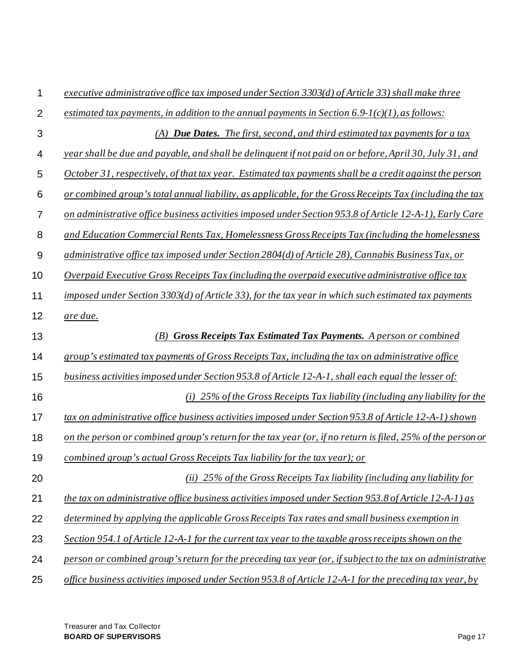| 1              | executive administrative office tax imposed under Section 3303(d) of Article 33) shall make three          |  |  |  |  |  |
|----------------|------------------------------------------------------------------------------------------------------------|--|--|--|--|--|
| $\overline{2}$ | estimated tax payments, in addition to the annual payments in Section $6.9-1(c)(1)$ , as follows:          |  |  |  |  |  |
| 3              | (A) <b>Due Dates.</b> The first, second, and third estimated tax payments for a tax                        |  |  |  |  |  |
| 4              | year shall be due and payable, and shall be delinquent if not paid on or before, April 30, July 31, and    |  |  |  |  |  |
| 5              | October 31, respectively, of that tax year. Estimated tax payments shall be a credit against the person    |  |  |  |  |  |
| 6              | or combined group's total annual liability, as applicable, for the Gross Receipts Tax (including the tax   |  |  |  |  |  |
| $\overline{7}$ | on administrative office business activities imposed under Section 953.8 of Article 12-A-1), Early Care    |  |  |  |  |  |
| 8              | and Education Commercial Rents Tax, Homelessness Gross Receipts Tax (including the homelessness            |  |  |  |  |  |
| 9              | administrative office tax imposed under Section 2804(d) of Article 28), Cannabis Business Tax, or          |  |  |  |  |  |
| 10             | Overpaid Executive Gross Receipts Tax (including the overpaid executive administrative office tax          |  |  |  |  |  |
| 11             | imposed under Section 3303(d) of Article 33), for the tax year in which such estimated tax payments        |  |  |  |  |  |
| 12             | are due.                                                                                                   |  |  |  |  |  |
| 13             | <b>Gross Receipts Tax Estimated Tax Payments.</b> A person or combined<br>(B)                              |  |  |  |  |  |
| 14             | group's estimated tax payments of Gross Receipts Tax, including the tax on administrative office           |  |  |  |  |  |
| 15             | business activities imposed under Section 953.8 of Article 12-A-1, shall each equal the lesser of:         |  |  |  |  |  |
| 16             | (i) $25\%$ of the Gross Receipts Tax liability (including any liability for the                            |  |  |  |  |  |
| 17             | tax on administrative office business activities imposed under Section 953.8 of Article 12-A-1) shown      |  |  |  |  |  |
| 18             | on the person or combined group's return for the tax year (or, if no return is filed, 25% of the person or |  |  |  |  |  |
| 19             | combined group's actual Gross Receipts Tax liability for the tax year); or                                 |  |  |  |  |  |
| 20             | (ii) $25\%$ of the Gross Receipts Tax liability (including any liability for                               |  |  |  |  |  |
| 21             | the tax on administrative office business activities imposed under Section 953.8 of Article 12-A-1) as     |  |  |  |  |  |
| 22             | determined by applying the applicable Gross Receipts Tax rates and small business exemption in             |  |  |  |  |  |
| 23             | Section 954.1 of Article 12-A-1 for the current tax year to the taxable gross receipts shown on the        |  |  |  |  |  |
| 24             | person or combined group's return for the preceding tax year (or, if subject to the tax on administrative  |  |  |  |  |  |
| 25             | office business activities imposed under Section 953.8 of Article 12-A-1 for the preceding tax year, by    |  |  |  |  |  |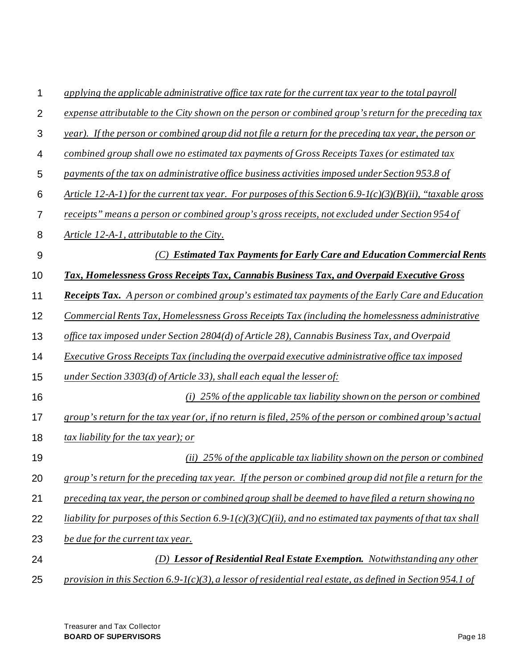| 1              | applying the applicable administrative office tax rate for the current tax year to the total payroll       |  |  |  |
|----------------|------------------------------------------------------------------------------------------------------------|--|--|--|
| $\overline{2}$ | expense attributable to the City shown on the person or combined group's return for the preceding tax      |  |  |  |
| 3              | year). If the person or combined group did not file a return for the preceding tax year, the person or     |  |  |  |
| 4              | combined group shall owe no estimated tax payments of Gross Receipts Taxes (or estimated tax               |  |  |  |
| 5              | payments of the tax on administrative office business activities imposed under Section 953.8 of            |  |  |  |
| 6              | Article 12-A-1) for the current tax year. For purposes of this Section 6.9-1(c)(3)(B)(ii), "taxable gross  |  |  |  |
| 7              | receipts" means a person or combined group's gross receipts, not excluded under Section 954 of             |  |  |  |
| 8              | Article 12-A-1, attributable to the City.                                                                  |  |  |  |
| 9              | (C) Estimated Tax Payments for Early Care and Education Commercial Rents                                   |  |  |  |
| 10             | Tax, Homelessness Gross Receipts Tax, Cannabis Business Tax, and Overpaid Executive Gross                  |  |  |  |
| 11             | <b>Receipts Tax.</b> A person or combined group's estimated tax payments of the Early Care and Education   |  |  |  |
| 12             | Commercial Rents Tax, Homelessness Gross Receipts Tax (including the homelessness administrative           |  |  |  |
| 13             | office tax imposed under Section 2804(d) of Article 28), Cannabis Business Tax, and Overpaid               |  |  |  |
| 14             | Executive Gross Receipts Tax (including the overpaid executive administrative office tax imposed           |  |  |  |
| 15             | under Section 3303(d) of Article 33), shall each equal the lesser of:                                      |  |  |  |
| 16             | (i) 25% of the applicable tax liability shown on the person or combined                                    |  |  |  |
| 17             | group's return for the tax year (or, if no return is filed, 25% of the person or combined group's actual   |  |  |  |
| 18             | <i>tax liability for the tax year); or</i>                                                                 |  |  |  |
| 19             | (ii) 25% of the applicable tax liability shown on the person or combined                                   |  |  |  |
| 20             | group's return for the preceding tax year. If the person or combined group did not file a return for the   |  |  |  |
| 21             | preceding tax year, the person or combined group shall be deemed to have filed a return showing no         |  |  |  |
| 22             | liability for purposes of this Section 6.9-1(c)(3)(C)(ii), and no estimated tax payments of that tax shall |  |  |  |
| 23             | be due for the current tax year.                                                                           |  |  |  |
| 24             | (D) Lessor of Residential Real Estate Exemption. Notwithstanding any other                                 |  |  |  |
| 25             | provision in this Section 6.9-1(c)(3), a lessor of residential real estate, as defined in Section 954.1 of |  |  |  |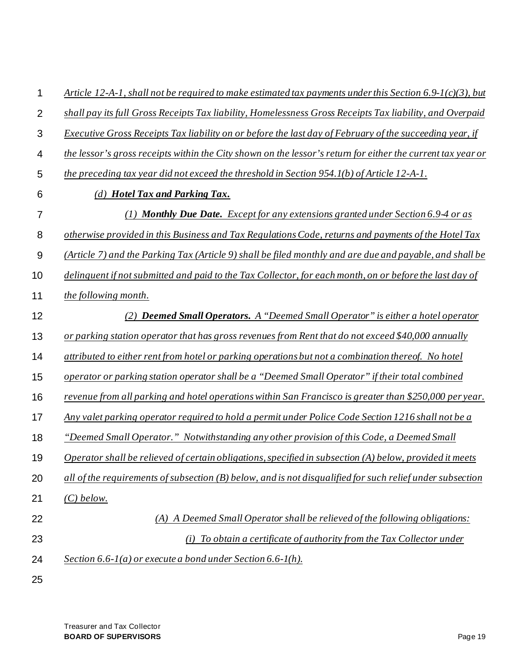| 1              | Article 12-A-1, shall not be required to make estimated tax payments under this Section 6.9-1(c)(3), but    |  |  |  |  |
|----------------|-------------------------------------------------------------------------------------------------------------|--|--|--|--|
| $\overline{2}$ | shall pay its full Gross Receipts Tax liability, Homelessness Gross Receipts Tax liability, and Overpaid    |  |  |  |  |
| 3              | Executive Gross Receipts Tax liability on or before the last day of February of the succeeding year, if     |  |  |  |  |
| 4              | the lessor's gross receipts within the City shown on the lessor's return for either the current tax year or |  |  |  |  |
| 5              | the preceding tax year did not exceed the threshold in Section 954.1(b) of Article 12-A-1.                  |  |  |  |  |
| 6              | (d) Hotel Tax and Parking Tax.                                                                              |  |  |  |  |
| 7              | (1) <b>Monthly Due Date.</b> Except for any extensions granted under Section $6.94$ or as                   |  |  |  |  |
| 8              | otherwise provided in this Business and Tax Regulations Code, returns and payments of the Hotel Tax         |  |  |  |  |
| $9\,$          | (Article 7) and the Parking Tax (Article 9) shall be filed monthly and are due and payable, and shall be    |  |  |  |  |
| 10             | delinquent if not submitted and paid to the Tax Collector, for each month, on or before the last day of     |  |  |  |  |
| 11             | the following month.                                                                                        |  |  |  |  |
| 12             | (2) <b>Deemed Small Operators.</b> A "Deemed Small Operator" is either a hotel operator                     |  |  |  |  |
| 13             | or parking station operator that has gross revenues from Rent that do not exceed \$40,000 annually          |  |  |  |  |
| 14             | attributed to either rent from hotel or parking operations but not a combination thereof. No hotel          |  |  |  |  |
| 15             | operator or parking station operator shall be a "Deemed Small Operator" if their total combined             |  |  |  |  |
| 16             | revenue from all parking and hotel operations within San Francisco is greater than \$250,000 per year.      |  |  |  |  |
| 17             | Any valet parking operator required to hold a permit under Police Code Section 1216 shall not be a          |  |  |  |  |
| 18             | "Deemed Small Operator." Notwithstanding any other provision of this Code, a Deemed Small                   |  |  |  |  |
| 19             | Operator shall be relieved of certain obligations, specified in subsection $(A)$ below, provided it meets   |  |  |  |  |
| 20             | all of the requirements of subsection $(B)$ below, and is not disqualified for such relief under subsection |  |  |  |  |
| 21             | $(C)$ below.                                                                                                |  |  |  |  |
| 22             | (A) A Deemed Small Operator shall be relieved of the following obligations:                                 |  |  |  |  |
| 23             | To obtain a certificate of authority from the Tax Collector under<br>(i)                                    |  |  |  |  |
| 24             | Section 6.6- $l(a)$ or execute a bond under Section 6.6- $l(h)$ .                                           |  |  |  |  |
| 25             |                                                                                                             |  |  |  |  |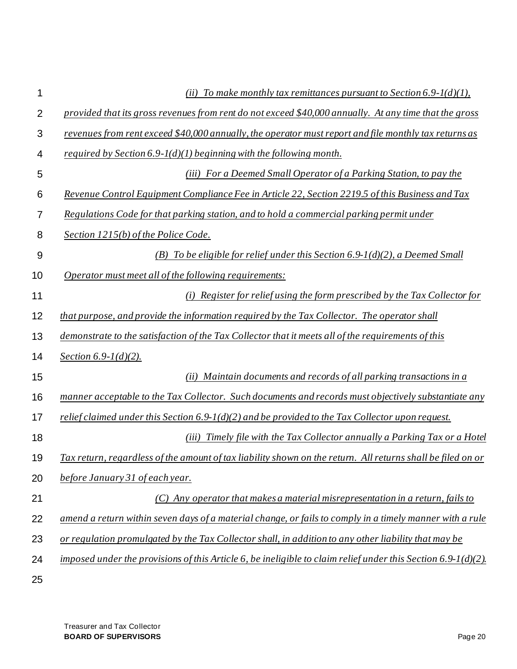| 1              | (ii) To make monthly tax remittances pursuant to Section 6.9- $I(d)(1)$ ,                                     |  |  |  |  |  |
|----------------|---------------------------------------------------------------------------------------------------------------|--|--|--|--|--|
| $\overline{2}$ | provided that its gross revenues from rent do not exceed \$40,000 annually. At any time that the gross        |  |  |  |  |  |
| 3              | revenues from rent exceed \$40,000 annually, the operator must report and file monthly tax returns as         |  |  |  |  |  |
| 4              | required by Section $6.9 - l(d)(1)$ beginning with the following month.                                       |  |  |  |  |  |
| 5              | (iii) For a Deemed Small Operator of a Parking Station, to pay the                                            |  |  |  |  |  |
| 6              | Revenue Control Equipment Compliance Fee in Article 22, Section 2219.5 of this Business and Tax               |  |  |  |  |  |
| 7              | Regulations Code for that parking station, and to hold a commercial parking permit under                      |  |  |  |  |  |
| 8              | Section 1215(b) of the Police Code.                                                                           |  |  |  |  |  |
| 9              | (B) To be eligible for relief under this Section $6.9-1(d)(2)$ , a Deemed Small                               |  |  |  |  |  |
| 10             | Operator must meet all of the following requirements:                                                         |  |  |  |  |  |
| 11             | (i) Register for relief using the form prescribed by the Tax Collector for                                    |  |  |  |  |  |
| 12             | that purpose, and provide the information required by the Tax Collector. The operator shall                   |  |  |  |  |  |
| 13             | demonstrate to the satisfaction of the Tax Collector that it meets all of the requirements of this            |  |  |  |  |  |
| 14             | Section $6.9 - 1(d)(2)$ .                                                                                     |  |  |  |  |  |
| 15             | (ii) Maintain documents and records of all parking transactions in a                                          |  |  |  |  |  |
| 16             | manner acceptable to the Tax Collector. Such documents and records must objectively substantiate any          |  |  |  |  |  |
| 17             | relief claimed under this Section 6.9-1(d)(2) and be provided to the Tax Collector upon request.              |  |  |  |  |  |
| 18             | Timely file with the Tax Collector annually a Parking Tax or a Hotel<br>(iii)                                 |  |  |  |  |  |
| 19             | Tax return, regardless of the amount of tax liability shown on the return. All returns shall be filed on or   |  |  |  |  |  |
| 20             | before January 31 of each year.                                                                               |  |  |  |  |  |
| 21             | $(C)$ Any operator that makes a material misrepresentation in a return, fails to                              |  |  |  |  |  |
| 22             | amend a return within seven days of a material change, or fails to comply in a timely manner with a rule      |  |  |  |  |  |
| 23             | or regulation promulgated by the Tax Collector shall, in addition to any other liability that may be          |  |  |  |  |  |
| 24             | imposed under the provisions of this Article 6, be ineligible to claim relief under this Section 6.9-1(d)(2). |  |  |  |  |  |
| 25             |                                                                                                               |  |  |  |  |  |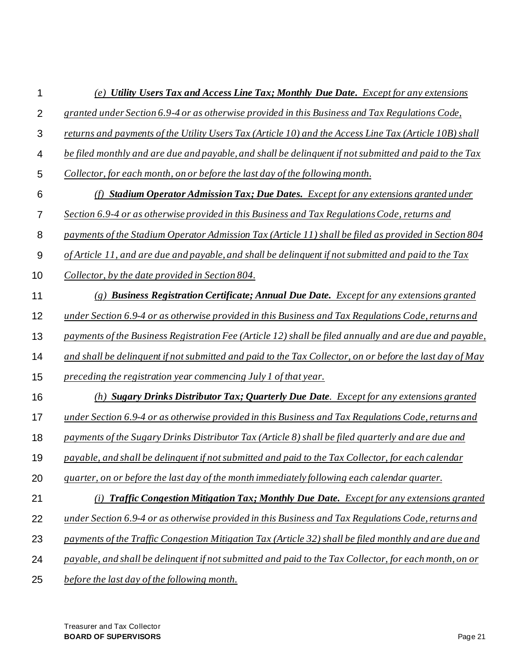1 2 3 4 5 6 7 8 9 10 11 12 13 14 15 16 17 18 19 20 21 22 23 24 25 *(e) Utility Users Tax and Access Line Tax; Monthly Due Date. Except for any extensions granted under Section 6.9-4 or as otherwise provided in this Business and Tax Regulations Code, returns and payments of the Utility Users Tax (Article 10) and the Access Line Tax (Article 10B) shall be filed monthly and are due and payable, and shall be delinquent if not submitted and paid to the Tax Collector, for each month, on or before the last day of the following month. (f) Stadium Operator Admission Tax; Due Dates. Except for any extensions granted under Section 6.9-4 or as otherwise provided in this Business and Tax Regulations Code, returns and payments of the Stadium Operator Admission Tax (Article 11) shall be filed as provided in Section 804 of Article 11, and are due and payable, and shall be delinquent if not submitted and paid to the Tax Collector, by the date provided in Section 804. (g) Business Registration Certificate; Annual Due Date. Except for any extensions granted under Section 6.9-4 or as otherwise provided in this Business and Tax Regulations Code, returns and payments of the Business Registration Fee (Article 12) shall be filed annually and are due and payable, and shall be delinquent if not submitted and paid to the Tax Collector, on or before the last day of May preceding the registration year commencing July 1 of that year. (h) Sugary Drinks Distributor Tax; Quarterly Due Date. Except for any extensions granted under Section 6.9-4 or as otherwise provided in this Business and Tax Regulations Code, returns and payments of the Sugary Drinks Distributor Tax (Article 8) shall be filed quarterly and are due and payable, and shall be delinquent if not submitted and paid to the Tax Collector, for each calendar quarter, on or before the last day of the month immediately following each calendar quarter. (i) Traffic Congestion Mitigation Tax; Monthly Due Date. Except for any extensions granted under Section 6.9-4 or as otherwise provided in this Business and Tax Regulations Code, returns and payments of the Traffic Congestion Mitigation Tax (Article 32) shall be filed monthly and are due and payable, and shall be delinquent if not submitted and paid to the Tax Collector, for each month, on or before the last day of the following month.*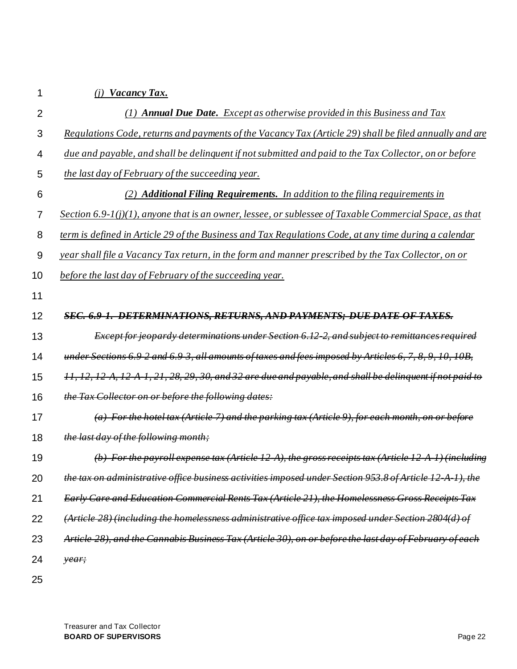| I  |  |  |
|----|--|--|
| ۰, |  |  |
|    |  |  |
|    |  |  |

# *(j) Vacancy Tax.*

| 2  | (1) <b>Annual Due Date.</b> Except as otherwise provided in this Business and Tax                           |
|----|-------------------------------------------------------------------------------------------------------------|
| 3  | Regulations Code, returns and payments of the Vacancy Tax (Article 29) shall be filed annually and are      |
| 4  | due and payable, and shall be delinguent if not submitted and paid to the Tax Collector, on or before       |
| 5  | the last day of February of the succeeding year.                                                            |
| 6  | (2) <b>Additional Filing Requirements.</b> In addition to the filing requirements in                        |
| 7  | Section 6.9- $I(j)(1)$ , anyone that is an owner, lessee, or sublessee of Taxable Commercial Space, as that |
| 8  | term is defined in Article 29 of the Business and Tax Regulations Code, at any time during a calendar       |
| 9  | year shall file a Vacancy Tax return, in the form and manner prescribed by the Tax Collector, on or         |
| 10 | before the last day of February of the succeeding year.                                                     |
| 11 |                                                                                                             |
| 12 | SEC. 6.9-1. DETERMINATIONS, RETURNS, AND PAYMENTS; DUE DATE OF TAXES.                                       |
| 13 | <b>Except for jeopardy determinations under Section 6.12-2, and subject to remittances required</b>         |
| 14 | under Sections 6.9-2 and 6.9-3, all amounts of taxes and fees imposed by Articles 6, 7, 8, 9, 10, 10B,      |
| 15 | 11, 12, 12 A, 12 A 1, 21, 28, 29, 30, and 32 are due and payable, and shall be delinguent if not paid to    |
| 16 | the Tax Collector on or before the following dates:                                                         |
| 17 | (a) For the hotel tax (Article 7) and the parking tax (Article 9), for each month, on                       |
| 18 | the last day of the following month;                                                                        |
| 19 | (b) For the payroll expense tax (Article 12-A), the gross receipts tax (Article 12-                         |
| 20 | the tax on administrative office business activities imposed under Section 953.8 of Article 12 A 1), the    |
| 21 | Early Care and Education Commercial Rents Tax (Article 21), the Homelessness Gross Receipts Tax             |
| 22 | (Article 28) (including the homelessness administrative office tax imposed under Section 2804(d) of         |
| 23 | Article 28), and the Cannabis Business Tax (Article 30), on or before the last day of February of each      |
| 24 | year;                                                                                                       |
| 25 |                                                                                                             |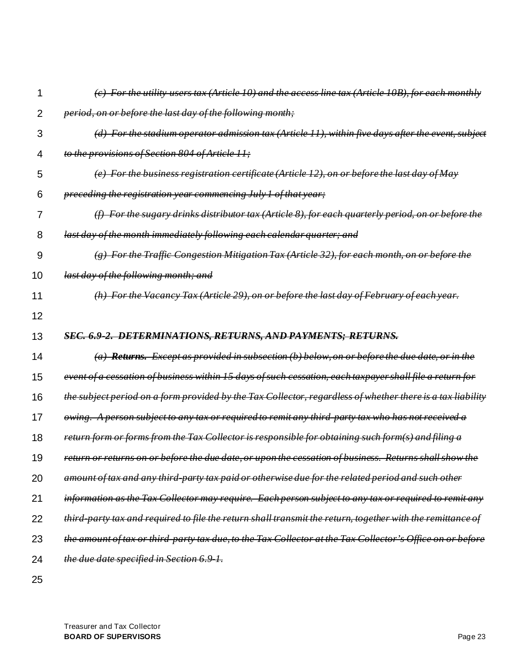| 1              | For the utility users tax (Article 10) and the access line tax (Article 10B), for each monthly                |
|----------------|---------------------------------------------------------------------------------------------------------------|
| $\overline{2}$ | period, on or before the last day of the following month;                                                     |
| 3              | For the stadium operator admission tax (Article 11), within five days after the event, subject                |
| 4              | to the provisions of Section 804 of Article 11;                                                               |
| 5              | For the business registration certificate (Article 12), on or before the last day of May                      |
| 6              | preceding the registration year commencing July 1 of that year;                                               |
| 7              | For the sugary drinks distributor tax (Article 8), for each quarterly period, on or before the                |
| 8              | last day of the month immediately following each calendar quarter; and                                        |
| 9              | For the Traffic Congestion Mitigation Tax (Article 32), for each month, on or before the                      |
| 10             | last day of the following month; and                                                                          |
| 11             | For the Vacancy Tax (Article 29), on or before the last day of February of each year.                         |
| 12             |                                                                                                               |
|                |                                                                                                               |
| 13             | SEC. 6.9-2. DETERMINATIONS, RETURNS, AND PAYMENTS; RETURNS.                                                   |
| 14             | $(a)$ Returns. Except as provided in subsection (b) below, on or before the due date, or in the               |
| 15             | event of a cessation of business within 15 days of such cessation, each taxpayer shall file a return for      |
| 16             | the subject period on a form provided by the Tax Collector, regardless of whether there is a tax liability    |
| 17             | <del>owing. A person subject to any tax or required to remit any third-party tax who has not received a</del> |
| 18             | return form or forms from the Tax Collector is responsible for obtaining such form(s) and filing a            |
| 19             | return or returns on or before the due date, or upon the cessation of business. Returns shall show the        |
| 20             | amount of tax and any third-party tax paid or otherwise due for the related period and such other             |
| 21             | information as the Tax Collector may require. Each person subject to any tax or required to remit any         |
| 22             | third party tax and required to file the return shall transmit the return, together with the remittance of    |
| 23             | the amount of tax or third party tax due, to the Tax Collector at the Tax Collector's Office on or before     |
| 24             | the due date specified in Section 6.9 1.                                                                      |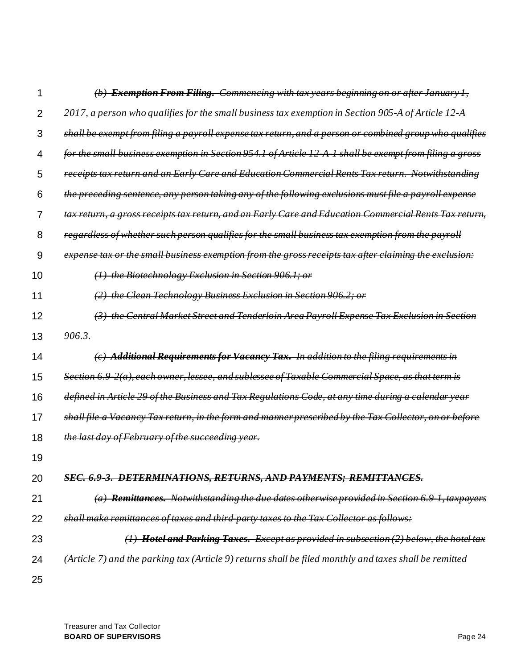| 1              | (b) Exemption From Filing. Commencing with tax years beginning on or after January 1,                   |
|----------------|---------------------------------------------------------------------------------------------------------|
| $\overline{2}$ | 2017, a person who qualifies for the small business tax exemption in Section 905 A of Article 12 A      |
| 3              | shall be exempt from filing a payroll expense tax return, and a person or combined group who qualifies  |
| 4              | for the small business exemption in Section 954.1 of Article 12 A 1 shall be exempt from filing a gross |
| 5              | receipts tax return and an Early Care and Education Commercial Rents Tax return. Notwithstanding        |
| 6              | the preceding sentence, any person taking any of the following exclusions must file a payroll expense   |
| 7              | tax return, a gross receipts tax return, and an Early Care and Education Commercial Rents Tax return,   |
| 8              | regardless of whether such person qualifies for the small business tax exemption from the payroll       |
| 9              | expense tax or the small business exemption from the gross receipts tax after claiming the exclusion:   |
| 10             | (1) the Biotechnology Exclusion in Section 906.1; or                                                    |
| 11             | the Clean Technology Business Exclusion in Section 906.2; or                                            |
| 12             | (3) the Central Market Street and Tenderloin Area Payroll Expense Tax Exclusion in Section              |
| 13             | 906.3.                                                                                                  |
| 14             | (c) Additional Requirements for Vacancy Tax. In addition to the filing requirements in                  |
| 15             | Section 6.9-2(a), each owner, lessee, and sublessee of Taxable Commercial Space, as that term is        |
| 16             | defined in Article 29 of the Business and Tax Regulations Code, at any time during a calendar year      |
| 17             | shall file a Vacancy Tax return, in the form and manner prescribed by the Tax Collector, on or before   |
| 18             | the last day of February of the succeeding year.                                                        |
| 19             |                                                                                                         |
| 20             | SEC. 6.9-3. DETERMINATIONS, RETURNS, AND PAYMENTS; REMITTANCES.                                         |
| 21             | $(a)$ Remittances. Notwithstanding the due dates otherwise provided in Section 6.9 1, taxpayers         |
| 22             | shall make remittances of taxes and third party taxes to the Tax Collector as follows:                  |
| 23             | $(1)$ Hotel and Parking Taxes. Except as provided in subsection $(2)$ below, the hotel tax              |
| 24             | (Article 7) and the parking tax (Article 9) returns shall be filed monthly and taxes shall be remitted  |
| 25             |                                                                                                         |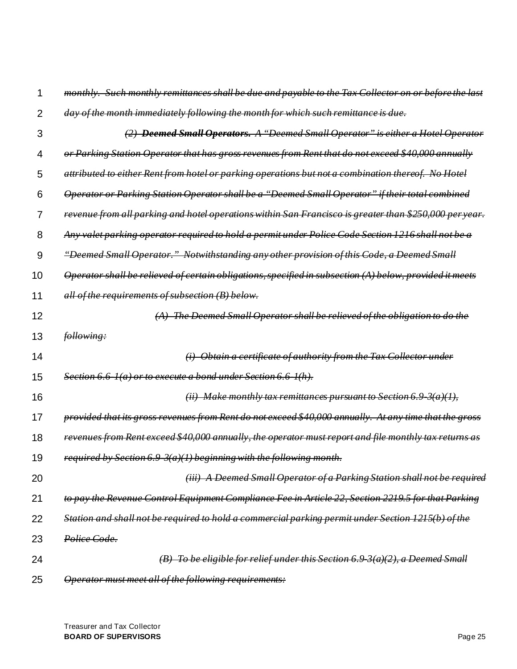|    | Such monthly remittances shall be due and payable to the Tax Collector on or before the last            |
|----|---------------------------------------------------------------------------------------------------------|
| 2  | of the month immediately following the month for which such remittance is due.                          |
| 3  | <b>Deemed Small Operators.</b> A "Deemed Small Operator" is either a Hotel Operator                     |
| 4  | or Parking Station Operator that has gross revenues from Rent that do not exceed \$40,000 annually      |
| 5  | attributed to either Rent from hotel or parking operations but not a combination thereof. No Hotel      |
| 6  | Operator or Parking Station Operator shall be a "Deemed Small Operator" if their total combined         |
| 7  | revenue from all parking and hotel operations within San Francisco is greater than \$250,000 per year.  |
| 8  | Any valet parking operator required to hold a permit under Police Code Section 1216 shall not be a      |
| 9  | "Deemed Small Operator." Notwithstanding any other provision of this Code, a Deemed Small               |
| 10 | Operator shall be relieved of certain obligations, specified in subsection (A) below, provided it meets |
| 11 | all of the requirements of subsection (B) below.                                                        |
| 12 | The Deemed Small Operator shall be relieved of the obligation to do                                     |
| 13 | following:                                                                                              |
| 14 | Obtain a certificate of authority from the Tax Collector under                                          |
| 15 | Section 6.6 Ha) or to execute a bond under Section 6.6 Hh).                                             |
| 16 | Make monthly tax remittances pursuant to Section 6.9                                                    |
| 17 | provided that its gross revenues from Rent do not exceed \$40,000 annually. At any time that the gross  |
| 18 | revenues from Rent exceed \$40,000 annually, the operator must report and file monthly tax returns as   |
| 19 | required by Section $6.9\frac{3(a)}{1}$ beginning with the following month.                             |
| 20 | (iii) A Deemed Small Operator of a Parking Station shall not be required                                |
| 21 | to pay the Revenue Control Equipment Compliance Fee in Article 22, Section 2219.5 for that Parking      |
| 22 | Station and shall not be required to hold a commercial parking permit under Section 1215(b) of the      |
| 23 | Police Code.                                                                                            |
| 24 | (B) To be eligible for relief under this Section 6.9 3(a)(2), a Deemed Small                            |
| 25 | Operator must meet all of the following requirements:                                                   |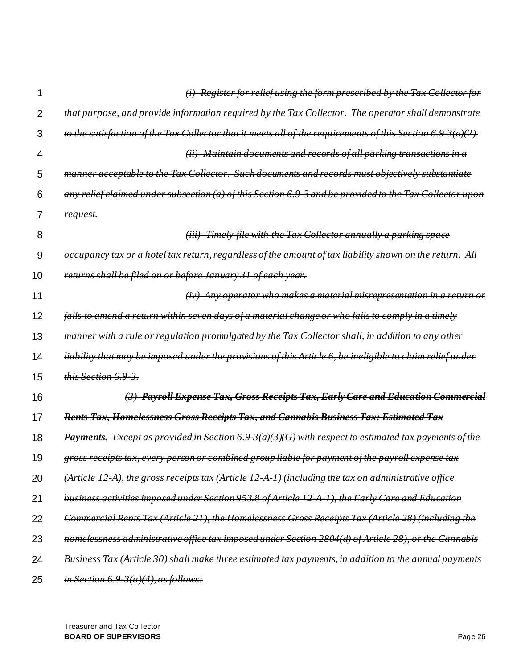|    | Register for relief using the form prescribed by the Tax Collector for                                                               |
|----|--------------------------------------------------------------------------------------------------------------------------------------|
| 2  | that purpose, and provide information required by the Tax Collector. The operator shall demonstrate                                  |
| 3  | of the Tax Collector that it meets all of the requirements of this Section<br>to the                                                 |
| 4  | Maintain documents and records of all parking transactions in a<br>(ii)                                                              |
| 5  | <b>Such documents and records must objectively</b><br><del>Tax Collector.</del><br>manner                                            |
| 6  | of this Section 6.9 3 and be<br><del>provided to the</del><br>$a$ n $\mathcal{V}$                                                    |
| 7  | request.                                                                                                                             |
| 8  | -Timely file with the Tax Collector annually a parking<br>(uu)                                                                       |
| 9  | hotel tax return, regardless of the amount of tax liability shown on<br><del>оссирапсу</del>                                         |
| 10 | returns shall be filed on or before January 31 of each year.                                                                         |
| 11 | Any operator who makes a material misrepresentation in a return<br>$\left(\dot{t}\dot{v}\right)$                                     |
| 12 | fails to amend a return within seven days of a material change or who fails to comply in a timely                                    |
| 13 | or regulation promulgated by the<br><del>Tax Collector shall, in addition</del><br><del>manner with a rule</del><br><del>other</del> |
| 14 | imposed under the provisions of this Article 6, be<br><del>liability</del>                                                           |
| 15 | this Section 6.9 3.                                                                                                                  |
| 16 | (3) Payroll Expense Tax, Gross Receipts Tax, Early Care and Education Commercial                                                     |
| 17 | Rents Tax, Homelessness Gross Receipts Tax, and Cannabis Business Tax: Estimated Tax                                                 |
| 18 | <b>Except as provided in Section 6.9.</b><br>$3(a)$ (3)(G) with respect to estimated tax payments of the<br>Payments.                |
| 19 | gross receipts tax, every person or combined group liable for payment of the payroll expense tax                                     |
| 20 | $gross$ receipts tax (Article 12 A 1) (including the tax on administrative office<br>(Article 12 A), the                             |
| 21 | business activities imposed under Section 953.8 of Article 12 A 1), the Early Care and Education                                     |
| 22 | Commercial Rents Tax (Article 21), the Homelessness Gross Receipts Tax (Article 28) (including the                                   |
| 23 | homelessness administrative office tax imposed under Section 2804(d) of Article 28),<br>or the Cannabis                              |
| 24 | Business Tax (Article 30) shall make three estimated tax payments, in addition to the annual payments                                |
| 25 | in Section 6.9 $3(a)(4)$ , as follows:                                                                                               |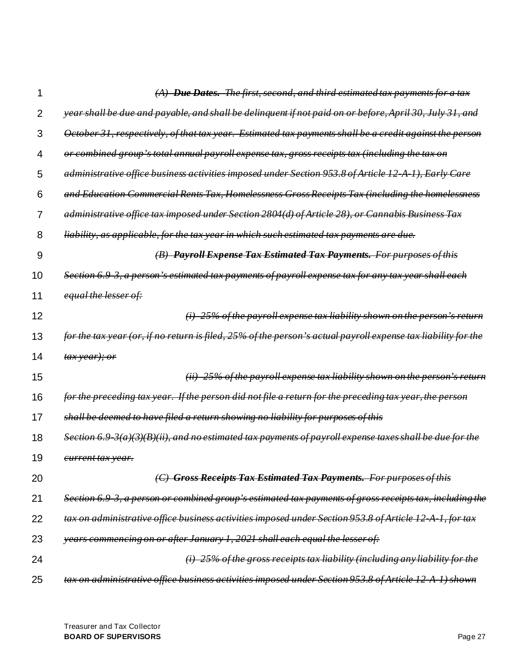| 1              | $(A)$ Due Dates. The first, second, and third estimated tax payments for a tax                                           |
|----------------|--------------------------------------------------------------------------------------------------------------------------|
| $\overline{2}$ | year shall be due and payable, and shall be delinquent if not paid on or before, April 30,                               |
| 3              | October 31, respectively, of that tax year. Estimated tax payments shall be a credit against the person                  |
| 4              | or combined group's total annual payroll expense tax, gross receipts tax (including the tax on                           |
| 5              | administrative office business activities imposed under Section 953.8 of Article 12<br><del>Early Care</del>             |
| 6              | and Education Commercial Rents Tax, Homelessness Gross Receipts Tax (including<br><del>the homelessness</del>            |
| 7              | tax imposed under Section 2804(d) of Article 28),<br><del>or Cannabis Business Tax</del><br>administrative office        |
| 8              | <u>as applicable, for the tax year in which such estimated tax payments are due.</u><br><del>liability,</del>            |
| 9              | <b>Payroll Expense Tax Estimated Tax Payments.</b> For purposes of this                                                  |
| 10             | <del>3, a person's estimated tax payments of payroll expense tax for any tax year shall each</del><br><del>Section</del> |
| 11             | equal the lesser of:                                                                                                     |
| 12             | -25% of the payroll expense tax liability shown on the person's<br>$\leftrightarrow$                                     |
| 13             | if no return is filed, 25% of the person's actual payroll expense tax liability for the<br>for the tax year (or,         |
| 14             | <del>tax year); or</del>                                                                                                 |
| 15             | $(ii)$ 25% of the payroll expense tax liability shown on the person's return                                             |
| 16             | If the person did not file a return for the preceding tax year, the person<br>for the preceding tax year.                |
| 17             | shall be deemed to have filed a return showing no liability for purposes of this                                         |
| 18             | $\mathcal{B}(B)(ii)$ , and no estimated tax payments of payroll expense taxes shall be due for the                       |
| 19             | <del>current tax year.</del>                                                                                             |
| 20             | <b>Gross Receipts Tax Estimated Tax Payments.</b> For purposes of this                                                   |
| 21             | Section 6.9-3, a person or combined group's estimated tax payments of gross receipts tax, including the                  |
| 22             | tax on administrative office business activities imposed under Section 953.8 of Article 12 A 1, for tax                  |
| 23             | years commencing on or after January 1, 2021 shall each equal the lesser of:                                             |
| 24             | $(i)$ 25% of the gross receipts tax liability (including any liability for the                                           |
| 25             | tax on administrative office business activities imposed under Section 953.8 of Article 12 A 1) shown                    |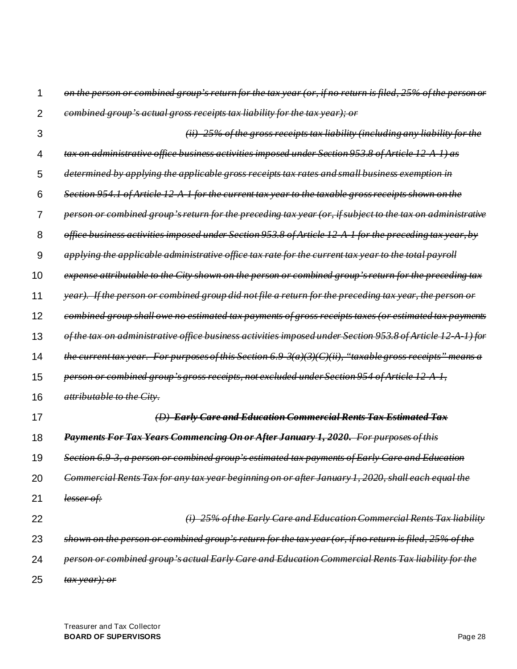*on the person or combined group's return for the tax year (or, if no return is filed, 25% of the person or combined group's actual gross receipts tax liability for the tax year); or*

- 3 4 5 6 7 8 9 10 11 *(ii) 25% of the gross receipts tax liability (including any liability for the tax on administrative office business activities imposed under Section 953.8 of Article 12-A-1) as determined by applying the applicable gross receipts tax rates and small business exemption in Section 954.1 of Article 12-A-1 for the current tax year to the taxable gross receipts shown on the person or combined group's return for the preceding tax year (or, if subject to the tax on administrative office business activities imposed under Section 953.8 of Article 12-A-1 for the preceding tax year, by applying the applicable administrative office tax rate for the current tax year to the total payroll expense attributable to the City shown on the person or combined group's return for the preceding tax year). If the person or combined group did not file a return for the preceding tax year, the person or*
- 12 *combined group shall owe no estimated tax payments of gross receipts taxes (or estimated tax payments*
- 13 *of the tax on administrative office business activities imposed under Section 953.8 of Article 12-A-1) for*
- 14 *the current tax year. For purposes of this Section 6.9-3(a)(3)(C)(ii), "taxable gross receipts" means a*
- 15 *person or combined group's gross receipts, not excluded under Section 954 of Article 12-A-1,*
- 16 *attributable to the City.*

### *(D) Early Care and Education Commercial Rents Tax Estimated Tax*

- 18 *Payments For Tax Years Commencing On or After January 1, 2020. For purposes of this*
- 19 *Section 6.9-3, a person or combined group's estimated tax payments of Early Care and Education*
- 20 *Commercial Rents Tax for any tax year beginning on or after January 1, 2020, shall each equal the*
- 21 *lesser of:*

17

- *(i) 25% of the Early Care and Education Commercial Rents Tax liability*
- 23 *shown on the person or combined group's return for the tax year (or, if no return is filed, 25% of the*
- 24 *person or combined group's actual Early Care and Education Commercial Rents Tax liability for the*
- 25 *tax year); or*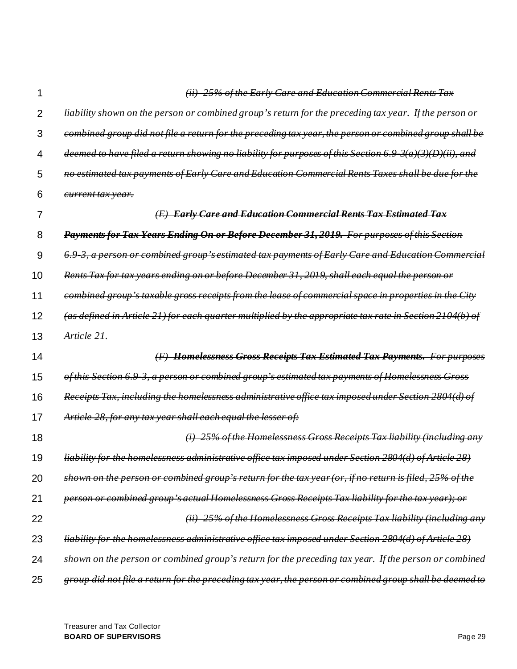*(ii) 25% of the Early Care and Education Commercial Rents Tax* 

*liability shown on the person or combined group's return for the preceding tax year. If the person or* 

| 3  | file<br><del>preceding tax year,</del><br><del>the person or</del>                                                                        |
|----|-------------------------------------------------------------------------------------------------------------------------------------------|
| 4  | return showing no liability for purposes of this Section 6.9<br>)(D)(ii),<br><del>deemed</del>                                            |
| 5  | Care and Education Commercial Rents Taxes shall be<br>of Ea                                                                               |
| 6  | <del>current tax year.</del>                                                                                                              |
| 7  | <b>Early Care and Education Commercial Rents Tax Estimated Tax</b>                                                                        |
| 8  | Payments for Tax Years Ending On or Before December 31, 2019.<br><b>For purposes of this Section</b>                                      |
| 9  | 's estimated tax payments of Early Care and Education Commercial<br><del>a person or combined group-</del>                                |
| 10 | before December 31, 2019, shall each equal the person or<br>Rents Tax for tax years ending on or                                          |
| 11 | gross receipts from the<br><del>commercial space in properties</del><br><del>combined</del><br><del>lease</del><br><del>eroup</del><br>θt |
| 12 | <del>defined in Article 21) for each quarter multiplied by the appropriate tax rate in Section</del>                                      |
| 13 | Article 21.                                                                                                                               |
| 14 | <b>Homelessness Gross Receipts Tax Estimated Tax Payments.</b><br><b>For purposes</b>                                                     |
| 15 | a person or combined group's estimated tax payments of Homelessness Gross<br><del>ection 6.9'</del>                                       |
| 16 | Tax, including the homelessness administrative office tax imposed under Section                                                           |
| 17 | 28. for any tax year shall each equal the lesser of:                                                                                      |
| 18 | 25% of the Homelessness Gross Receipts Tax liability (including                                                                           |
| 19 | <del>homelessness administrative office tax imposed under Section 2804(d)</del><br>$\partial f A$                                         |
| 20 | <del>if no return is filed</del><br><del>ombined group</del><br><del>return for the tax year (or,</del>                                   |
| 21 | person or combined group's actual Homelessness Gross Receipts Tax liability for the tax year); or                                         |
| 22 | (ii) 25% of the Homelessness Gross Receipts Tax liability (including any                                                                  |
| 23 | liability for the homelessness administrative office tax imposed under Section 2804(d) of Article 28)                                     |
| 24 | shown on the person or combined group's return for the preceding tax year. If the person or combined                                      |
| 25 | group did not file a return for the preceding tax year, the person or combined group shall be deemed to                                   |

Treasurer and Tax Collector **BOARD OF SUPERVISORS** Page 29

1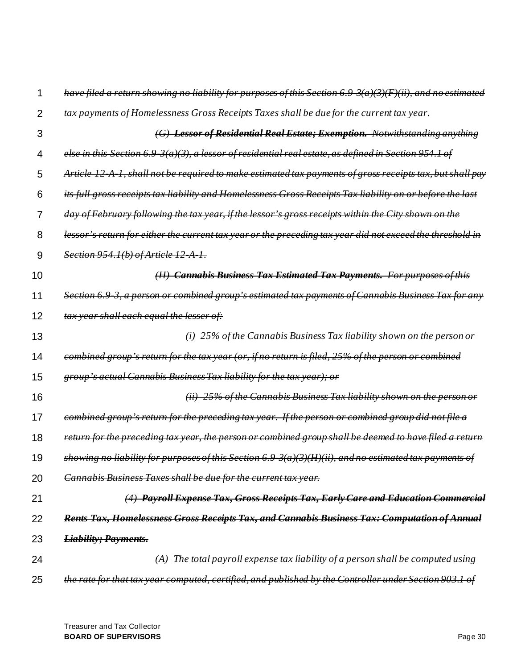|    | <del>no liability for purposes of this Section 6.9</del>                                                                |
|----|-------------------------------------------------------------------------------------------------------------------------|
| 2  | tax payments of Homelessness Gross Receipts Taxes shall be due for the current tax year.                                |
| 3  | <b>Lessor of Residential Real Estate; Exemption.</b> Notwithstanding anything                                           |
| 4  | else in this Section 6.9<br>$\beta$ (a)(3), a lessor of residential real estate, as defined in Section 954.1 of         |
| 5  | shall not be required to make estimated tax payments of gross receipts tax, but shall pay<br>Article                    |
| 6  | its full gross receipts tax liability and Homelessness Gross Receipts Tax liability on or before the last               |
| 7  | day of February following<br>if the lessor's<br>gross receipts within the City shown on the<br><del>the tax vear.</del> |
| 8  | lessor's return for either the current tax year or the preceding tax year did not exceed the                            |
| 9  | Section 954.1(b) of Article 12 A 1.                                                                                     |
| 10 | (H) Cannabis Business Tax Estimated Tax Payments. For purposes of this                                                  |
| 11 | a person or combined group's estimated tax payments of Cannabis Business Tax for any<br><del>Section</del>              |
| 12 | tax year shall each equal the lesser of:                                                                                |
| 13 | 25% of the Cannabis Business Tax liability shown on the person or                                                       |
| 14 | group's return for the tax year (or, if no return is filed, 25% of the person<br><del>or combined</del>                 |
| 15 | actual Cannabis Business Tax liability for the tax year); or                                                            |
| 16 | 25% of the Cannabis Business Tax liability shown on the person or                                                       |
| 17 | eombined group's return for the preceding tax year. If the person or combined group did not file a                      |
| 18 | tax year, the person or combined group shall be deemed to have filed a return<br><del>preceding</del>                   |
| 19 | showing no liability for purposes of this Section 6.9–3(a)(3)(H)(ii), and no estimated tax payments of                  |
| 20 | Cannabis Business Taxes shall be due for the current tax year.                                                          |
| 21 | (4) Payroll Expense Tax, Gross Receipts Tax, Early Care and Education Commercial                                        |
| 22 | Rents Tax, Homelessness Gross Receipts Tax, and Cannabis Business Tax: Computation of Annual                            |
| 23 | <b>Liability; Payments.</b>                                                                                             |
| 24 | $(A)$ The total payroll expense tax liability of a person shall be computed using                                       |
| 25 | the rate for that tax year computed, certified, and published by the Controller under Section 903.1 of                  |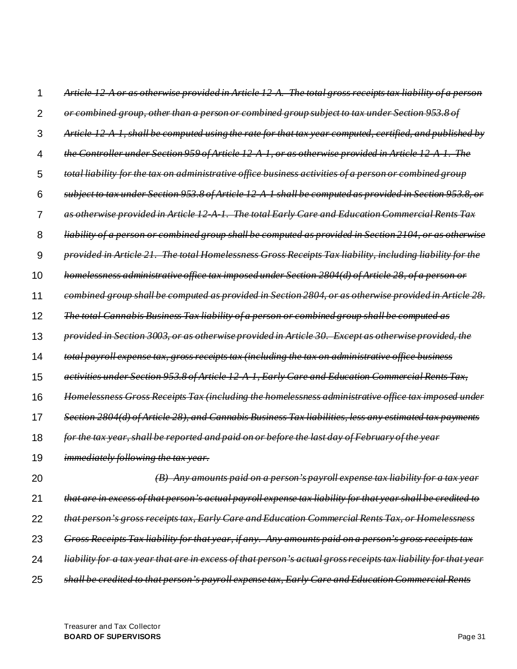| 1              | Article 12 A or as otherwise provided in Article 12 A. The total gross receipts tax liability of a person       |
|----------------|-----------------------------------------------------------------------------------------------------------------|
| $\overline{2}$ | or combined group, other than a person or combined group subject to tax under Section 953.8 of                  |
| 3              | Article 12 A 1, shall be computed using the rate for that tax year computed, certified, and published by        |
| 4              | the Controller under Section 959 of Article 12 A 1, or as otherwise provided in Article 12 A 1. The             |
| 5              | total liability for the tax on administrative office business activities of a person or combined group          |
| 6              | subject to tax under Section 953.8 of Article 12 A 1 shall be computed as provided in Section 953.8, or         |
| 7              | as otherwise provided in Article 12 A 1. The total Early Care and Education Commercial Rents Tax                |
| 8              | liability of a person or combined group shall be computed as provided in Section 2104, or as otherwise          |
| 9              | provided in Article 21. The total Homelessness Gross Receipts Tax liability, including liability for the        |
| 10             | homelessness administrative office tax imposed under Section 2804(d) of Article 28, of a person or              |
| 11             | combined group shall be computed as provided in Section 2804, or as otherwise provided in Article 28.           |
| 12             | The total Cannabis Business Tax liability of a person or combined group shall be computed as                    |
| 13             | provided in Section 3003, or as otherwise provided in Article 30. Except as otherwise provided, the             |
| 14             | total payroll expense tax, gross receipts tax (including the tax on administrative office business              |
| 15             | activities under Section 953.8 of Article 12 A 1, Early Care and Education Commercial Rents Tax,                |
| 16             | Homelessness Gross Receipts Tax (including the homelessness administrative office tax imposed under             |
| 17             | Section 2804(d) of Article 28), and Cannabis Business Tax liabilities, less any estimated tax payments          |
| 18             | for the tax year, shall be reported and paid on or before the last day of February of the year                  |
| 19             | <i>immediately following the tax year.</i>                                                                      |
| 20             | Any amounts paid on a person's payroll expense tax liability for                                                |
| 21             | that are in excess of that person's actual payroll expense tax liability for that year shall be credited to     |
| 22             | that person's gross receipts tax, Early Care and Education Commercial Rents Tax, or Homelessness                |
| 23             | for that year, if any. Any amounts paid on a person's gross receipts tax<br><b>Gross Receipts Tax liability</b> |
| 24             | a tax year that are in excess of that person's actual gross receipts tax liability for that year                |
| 25             | shall be credited to that person's payroll expense tax, Early Care and Education Commercial Rents               |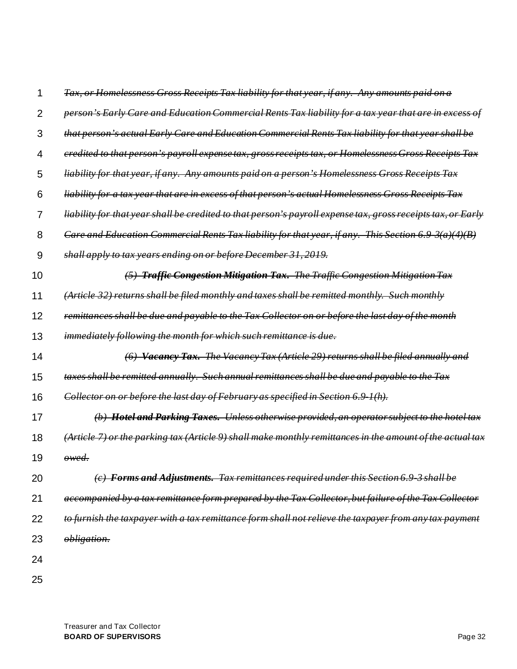|    | Tax, or Homelessness Gross Receipts Tax liability for that year, if any.   Any amounts paid on a             |
|----|--------------------------------------------------------------------------------------------------------------|
| 2  | person's Early Care and Education Commercial Rents Tax liability for a tax year that are in excess of        |
| 3  | that person's actual Early Care and Education Commercial Rents Tax liability for that year shall be          |
| 4  | eredited to that person's payroll expense tax, gross receipts tax, or Homelessness Gross Receipts Tax        |
| 5  | liability for that year, if any. Any amounts paid on a person's Homelessness Gross Receipts Tax              |
| 6  | liability for a tax year that are in excess of that person's actual Homelessness Gross Receipts Tax          |
| 7  | liability for that year shall be credited to that person's payroll expense tax, gross receipts tax, or Early |
| 8  | Care and Education Commercial Rents Tax liability for that year, if any. This Section 6.9 $3(a)(4)(B)$       |
| 9  | shall apply to tax years ending on or before December 31, 2019.                                              |
| 10 | (5) Traffic Congestion Mitigation Tax. The Traffic Congestion Mitigation Tax                                 |
| 11 | (Article 32) returns shall be filed monthly and taxes shall be remitted monthly. Such monthly                |
| 12 | remittances shall be due and payable to the Tax Collector on or before the last day of the month             |
| 13 | immediately following the month for which such remittance is due.                                            |
| 14 | (6) Vacancy Tax. The Vacancy Tax (Article 29) returns shall be filed annually and                            |
| 15 | taxes shall be remitted annually. Such annual remittances shall be due and payable to the Tax                |
| 16 | Collector on or before the last day of February as specified in Section 6.9 1(h).                            |
| 17 | (b) Hotel and Parking Taxes. Unless otherwise provided, an operator subject to the hotel tax                 |
| 18 | $(A$ rticle 7) or the parking tax (Article 9) shall make monthly remittances in the amount of the actual tax |
| 19 | owed.                                                                                                        |
| 20 | (c) Forms and Adjustments. Tax remittances required under this Section 6.9 3 shall be                        |
| 21 | accompanied by a tax remittance form prepared by the Tax Collector, but failure of the Tax Collector         |
| 22 | to furnish the taxpayer with a tax remittance form shall not relieve the taxpayer from any tax payment       |
| 23 | obligation.                                                                                                  |
| 24 |                                                                                                              |
| 25 |                                                                                                              |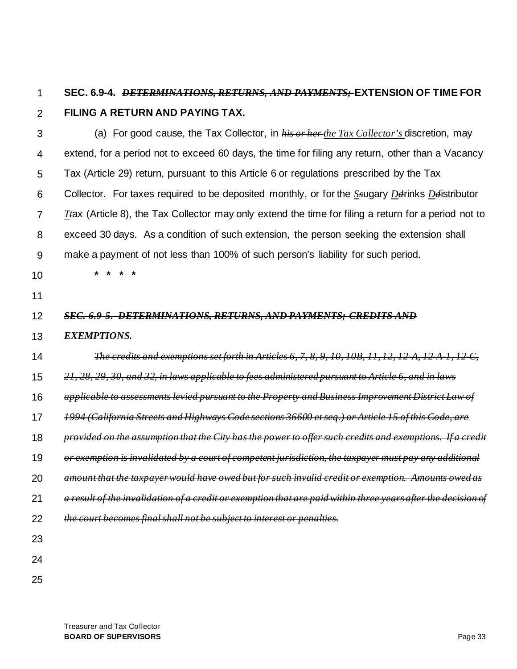#### 1 **SEC. 6.9-4.** *DETERMINATIONS, RETURNS, AND PAYMENTS;* **EXTENSION OF TIME FOR**

2

# **FILING A RETURN AND PAYING TAX.**

3 4 5 6 7 8 9 10 11 12 13 14 15 16 17 18 19 20 21 22 23 24 (a) For good cause, the Tax Collector, in *his or her the Tax Collector's* discretion, may extend, for a period not to exceed 60 days, the time for filing any return, other than a Vacancy Tax (Article 29) return, pursuant to this Article 6 or regulations prescribed by the Tax Collector. For taxes required to be deposited monthly, or for the *Ss*ugary *Dd*rinks *Dd*istributor *Tt*ax (Article 8), the Tax Collector may only extend the time for filing a return for a period not to exceed 30 days. As a condition of such extension, the person seeking the extension shall make a payment of not less than 100% of such person's liability for such period. **\* \* \* \*** *SEC. 6.9-5. DETERMINATIONS, RETURNS, AND PAYMENTS; CREDITS AND EXEMPTIONS. The credits and exemptions set forth in Articles 6, 7, 8, 9, 10, 10B, 11, 12, 12-A, 12-A-1, 12-C, 21, 28, 29, 30, and 32, in laws applicable to fees administered pursuant to Article 6, and in laws applicable to assessments levied pursuant to the Property and Business Improvement District Law of 1994 (California Streets and Highways Code sections 36600 et seq.) or Article 15 of this Code, are provided on the assumption that the City has the power to offer such credits and exemptions. If a credit or exemption is invalidated by a court of competent jurisdiction, the taxpayer must pay any additional amount that the taxpayer would have owed but for such invalid credit or exemption. Amounts owed as a result of the invalidation of a credit or exemption that are paid within three years after the decision of the court becomes final shall not be subject to interest or penalties.*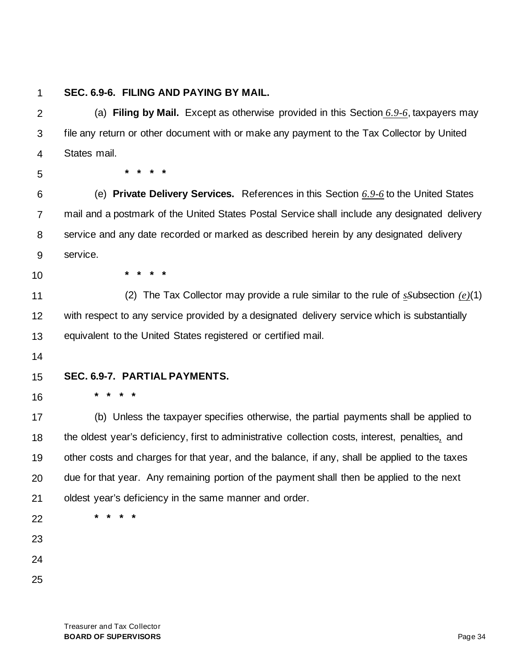### **SEC. 6.9-6. FILING AND PAYING BY MAIL.**

2 3 4 (a) **Filing by Mail.** Except as otherwise provided in this Section *6.9-6*, taxpayers may file any return or other document with or make any payment to the Tax Collector by United States mail.

5

**\* \* \* \***

**\* \* \* \***

6 7 8 9 (e) **Private Delivery Services.** References in this Section *6.9-6* to the United States mail and a postmark of the United States Postal Service shall include any designated delivery service and any date recorded or marked as described herein by any designated delivery service.

10

11 12 13 (2) The Tax Collector may provide a rule similar to the rule of *sS*ubsection *(e)*(1) with respect to any service provided by a designated delivery service which is substantially equivalent to the United States registered or certified mail.

14

#### 15 **SEC. 6.9-7. PARTIAL PAYMENTS.**

16 **\* \* \* \***

17 18 19 20 21 (b) Unless the taxpayer specifies otherwise, the partial payments shall be applied to the oldest year's deficiency, first to administrative collection costs, interest, penalties*,* and other costs and charges for that year, and the balance, if any, shall be applied to the taxes due for that year. Any remaining portion of the payment shall then be applied to the next oldest year's deficiency in the same manner and order.

22

- 23
- 24
- 
- 25

**\* \* \* \***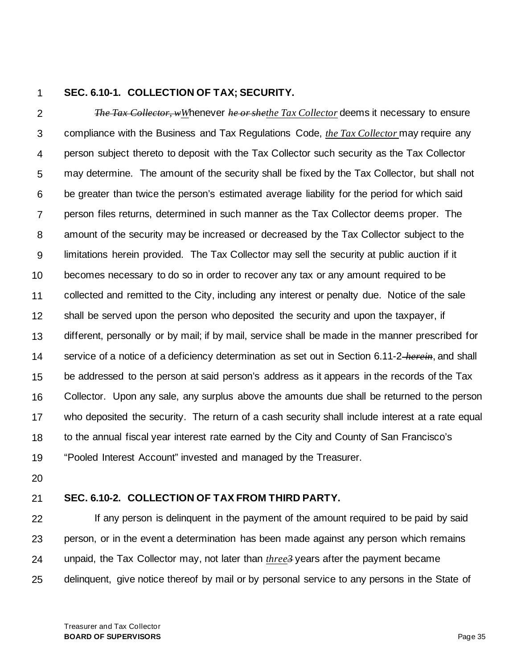### **SEC. 6.10-1. COLLECTION OF TAX; SECURITY.**

2 3 4 5 6 7 8 9 10 11 12 13 14 15 16 17 18 19 *The Tax Collector, wW*henever *he or shethe Tax Collector* deems it necessary to ensure compliance with the Business and Tax Regulations Code, *the Tax Collector* may require any person subject thereto to deposit with the Tax Collector such security as the Tax Collector may determine. The amount of the security shall be fixed by the Tax Collector, but shall not be greater than twice the person's estimated average liability for the period for which said person files returns, determined in such manner as the Tax Collector deems proper. The amount of the security may be increased or decreased by the Tax Collector subject to the limitations herein provided. The Tax Collector may sell the security at public auction if it becomes necessary to do so in order to recover any tax or any amount required to be collected and remitted to the City, including any interest or penalty due. Notice of the sale shall be served upon the person who deposited the security and upon the taxpayer, if different, personally or by mail; if by mail, service shall be made in the manner prescribed for service of a notice of a deficiency determination as set out in Section 6.11-2 *herein*, and shall be addressed to the person at said person's address as it appears in the records of the Tax Collector. Upon any sale, any surplus above the amounts due shall be returned to the person who deposited the security. The return of a cash security shall include interest at a rate equal to the annual fiscal year interest rate earned by the City and County of San Francisco's "Pooled Interest Account" invested and managed by the Treasurer.

20

#### 21 **SEC. 6.10-2. COLLECTION OF TAX FROM THIRD PARTY.**

22 23 24 25 If any person is delinquent in the payment of the amount required to be paid by said person, or in the event a determination has been made against any person which remains unpaid, the Tax Collector may, not later than *three3* years after the payment became delinquent, give notice thereof by mail or by personal service to any persons in the State of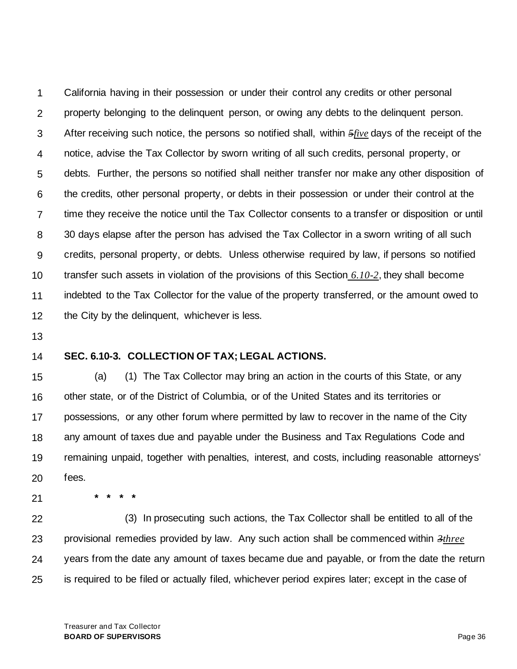1 2 3 4 5 6 7 8 9 10 11 12 California having in their possession or under their control any credits or other personal property belonging to the delinquent person, or owing any debts to the delinquent person. After receiving such notice, the persons so notified shall, within *5five* days of the receipt of the notice, advise the Tax Collector by sworn writing of all such credits, personal property, or debts. Further, the persons so notified shall neither transfer nor make any other disposition of the credits, other personal property, or debts in their possession or under their control at the time they receive the notice until the Tax Collector consents to a transfer or disposition or until 30 days elapse after the person has advised the Tax Collector in a sworn writing of all such credits, personal property, or debts. Unless otherwise required by law, if persons so notified transfer such assets in violation of the provisions of this Section *6.10-2*, they shall become indebted to the Tax Collector for the value of the property transferred, or the amount owed to the City by the delinquent, whichever is less.

13

### 14 **SEC. 6.10-3. COLLECTION OF TAX; LEGAL ACTIONS.**

15 16 17 18 19 20 (a) (1) The Tax Collector may bring an action in the courts of this State, or any other state, or of the District of Columbia, or of the United States and its territories or possessions, or any other forum where permitted by law to recover in the name of the City any amount of taxes due and payable under the Business and Tax Regulations Code and remaining unpaid, together with penalties, interest, and costs, including reasonable attorneys' fees.

21

22 23 24 25 (3) In prosecuting such actions, the Tax Collector shall be entitled to all of the provisional remedies provided by law. Any such action shall be commenced within *3three* years from the date any amount of taxes became due and payable, or from the date the return is required to be filed or actually filed, whichever period expires later; except in the case of

**\* \* \* \***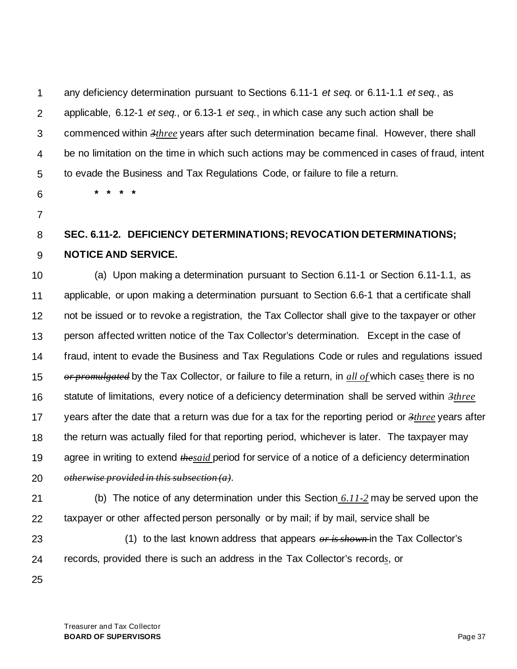1 2 3 4 5 any deficiency determination pursuant to Sections 6.11-1 *et seq.* or 6.11-1.1 *et seq.*, as applicable, 6.12-1 *et seq.*, or 6.13-1 *et seq.*, in which case any such action shall be commenced within *3three* years after such determination became final. However, there shall be no limitation on the time in which such actions may be commenced in cases of fraud, intent to evade the Business and Tax Regulations Code, or failure to file a return.

- 6
- 7

### 8 9 **SEC. 6.11-2. DEFICIENCY DETERMINATIONS; REVOCATION DETERMINATIONS; NOTICE AND SERVICE.**

10 11 12 13 14 15 16 17 18 19 (a) Upon making a determination pursuant to Section 6.11-1 or Section 6.11-1.1, as applicable, or upon making a determination pursuant to Section 6.6-1 that a certificate shall not be issued or to revoke a registration, the Tax Collector shall give to the taxpayer or other person affected written notice of the Tax Collector's determination. Except in the case of fraud, intent to evade the Business and Tax Regulations Code or rules and regulations issued *or promulgated* by the Tax Collector, or failure to file a return, in *all of* which case*s* there is no statute of limitations, every notice of a deficiency determination shall be served within *3three* years after the date that a return was due for a tax for the reporting period or *3three* years after the return was actually filed for that reporting period, whichever is later. The taxpayer may agree in writing to extend *thesaid* period for service of a notice of a deficiency determination

20 *otherwise provided in this subsection (a)*.

**\* \* \* \***

21

22 (b) The notice of any determination under this Section *6.11-2* may be served upon the taxpayer or other affected person personally or by mail; if by mail, service shall be

23

24

(1) to the last known address that appears *or is shown* in the Tax Collector's records, provided there is such an address in the Tax Collector's record*s*, or

25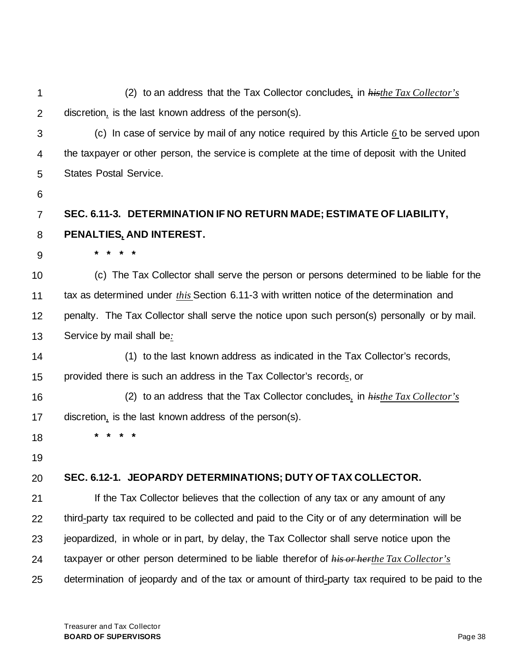1 2 3 4 5 6 7 8 9 10 11 12 13 14 15 16 17 18 19 20 21 22 23 24 25 (2) to an address that the Tax Collector concludes*,* in *histhe Tax Collector's*  discretion*,* is the last known address of the person(s). (c) In case of service by mail of any notice required by this Article *6* to be served upon the taxpayer or other person, the service is complete at the time of deposit with the United States Postal Service. **SEC. 6.11-3. DETERMINATION IF NO RETURN MADE; ESTIMATE OF LIABILITY, PENALTIES***,* **AND INTEREST. \* \* \* \*** (c) The Tax Collector shall serve the person or persons determined to be liable for the tax as determined under *this* Section 6.11-3 with written notice of the determination and penalty. The Tax Collector shall serve the notice upon such person(s) personally or by mail. Service by mail shall be*:* (1) to the last known address as indicated in the Tax Collector's records, provided there is such an address in the Tax Collector's record*s*, or (2) to an address that the Tax Collector concludes*,* in *histhe Tax Collector's*  discretion*,* is the last known address of the person(s). **\* \* \* \* SEC. 6.12-1. JEOPARDY DETERMINATIONS; DUTY OF TAX COLLECTOR.** If the Tax Collector believes that the collection of any tax or any amount of any third*-*party tax required to be collected and paid to the City or of any determination will be jeopardized, in whole or in part, by delay, the Tax Collector shall serve notice upon the taxpayer or other person determined to be liable therefor of *his or herthe Tax Collector's*  determination of jeopardy and of the tax or amount of third*-*party tax required to be paid to the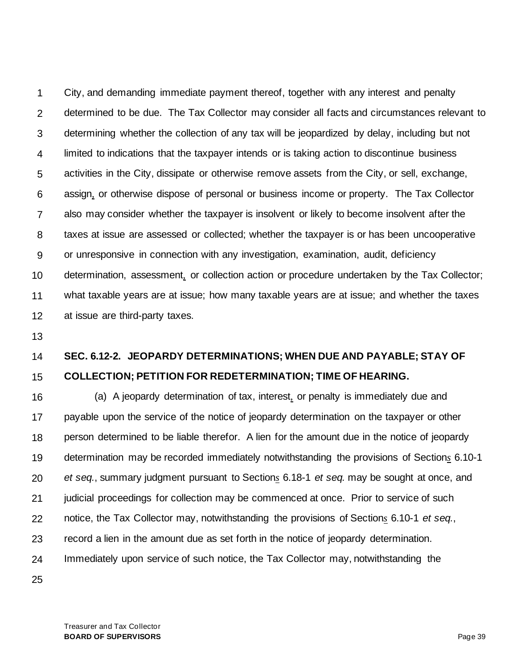1 2 3 4 5 6 7 8 9 10 11 12 City, and demanding immediate payment thereof, together with any interest and penalty determined to be due. The Tax Collector may consider all facts and circumstances relevant to determining whether the collection of any tax will be jeopardized by delay, including but not limited to indications that the taxpayer intends or is taking action to discontinue business activities in the City, dissipate or otherwise remove assets from the City, or sell, exchange, assign*,* or otherwise dispose of personal or business income or property. The Tax Collector also may consider whether the taxpayer is insolvent or likely to become insolvent after the taxes at issue are assessed or collected; whether the taxpayer is or has been uncooperative or unresponsive in connection with any investigation, examination, audit, deficiency determination, assessment*,* or collection action or procedure undertaken by the Tax Collector; what taxable years are at issue; how many taxable years are at issue; and whether the taxes at issue are third-party taxes.

13

### 14 15 **SEC. 6.12-2. JEOPARDY DETERMINATIONS; WHEN DUE AND PAYABLE; STAY OF COLLECTION; PETITION FOR REDETERMINATION; TIME OF HEARING.**

16 17 18 19 20 21 22 23 24 (a) A jeopardy determination of tax, interest*,* or penalty is immediately due and payable upon the service of the notice of jeopardy determination on the taxpayer or other person determined to be liable therefor. A lien for the amount due in the notice of jeopardy determination may be recorded immediately notwithstanding the provisions of Section*s* 6.10-1 *et seq.*, summary judgment pursuant to Section*s* 6.18-1 *et seq.* may be sought at once, and judicial proceedings for collection may be commenced at once. Prior to service of such notice, the Tax Collector may, notwithstanding the provisions of Section*s* 6.10-1 *et seq.*, record a lien in the amount due as set forth in the notice of jeopardy determination. Immediately upon service of such notice, the Tax Collector may, notwithstanding the

25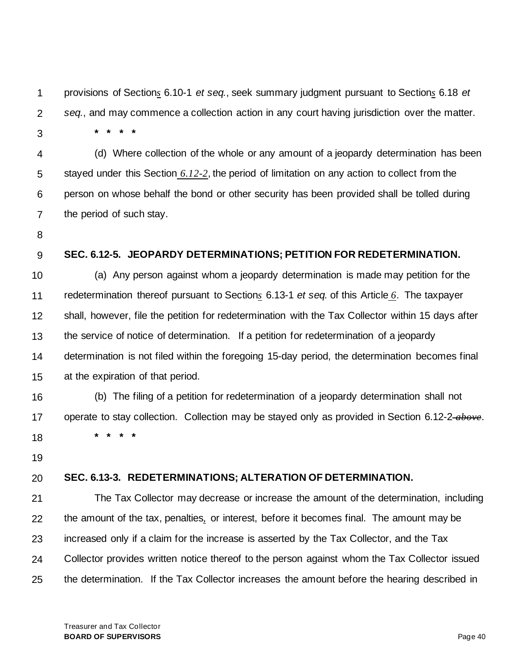1 2 3 provisions of Section*s* 6.10-1 *et seq.*, seek summary judgment pursuant to Section*s* 6.18 *et seq.*, and may commence a collection action in any court having jurisdiction over the matter. **\* \* \* \***

4 5 6 7 (d) Where collection of the whole or any amount of a jeopardy determination has been stayed under this Section *6.12-2*, the period of limitation on any action to collect from the person on whose behalf the bond or other security has been provided shall be tolled during the period of such stay.

8

9

### **SEC. 6.12-5. JEOPARDY DETERMINATIONS; PETITION FOR REDETERMINATION.**

10 11 12 13 14 15 (a) Any person against whom a jeopardy determination is made may petition for the redetermination thereof pursuant to Section*s* 6.13-1 *et seq.* of this Article *6*. The taxpayer shall, however, file the petition for redetermination with the Tax Collector within 15 days after the service of notice of determination. If a petition for redetermination of a jeopardy determination is not filed within the foregoing 15-day period, the determination becomes final at the expiration of that period.

16 17 18 (b) The filing of a petition for redetermination of a jeopardy determination shall not operate to stay collection. Collection may be stayed only as provided in Section 6.12-2 *above*. **\* \* \* \***

19

#### 20 **SEC. 6.13-3. REDETERMINATIONS; ALTERATION OF DETERMINATION.**

21 22 23 24 25 The Tax Collector may decrease or increase the amount of the determination, including the amount of the tax, penalties*,* or interest, before it becomes final. The amount may be increased only if a claim for the increase is asserted by the Tax Collector, and the Tax Collector provides written notice thereof to the person against whom the Tax Collector issued the determination. If the Tax Collector increases the amount before the hearing described in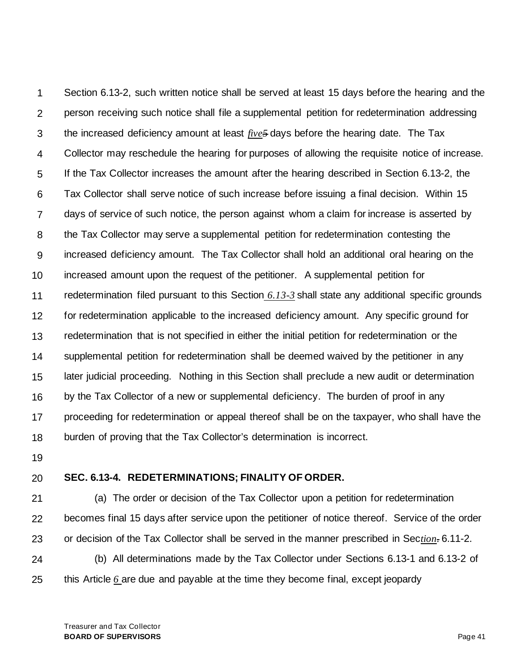1 2 3 4 5 6 7 8 9 10 11 12 13 14 15 16 17 18 Section 6.13-2, such written notice shall be served at least 15 days before the hearing and the person receiving such notice shall file a supplemental petition for redetermination addressing the increased deficiency amount at least *five5* days before the hearing date. The Tax Collector may reschedule the hearing for purposes of allowing the requisite notice of increase. If the Tax Collector increases the amount after the hearing described in Section 6.13-2, the Tax Collector shall serve notice of such increase before issuing a final decision. Within 15 days of service of such notice, the person against whom a claim for increase is asserted by the Tax Collector may serve a supplemental petition for redetermination contesting the increased deficiency amount. The Tax Collector shall hold an additional oral hearing on the increased amount upon the request of the petitioner. A supplemental petition for redetermination filed pursuant to this Section *6.13-3* shall state any additional specific grounds for redetermination applicable to the increased deficiency amount. Any specific ground for redetermination that is not specified in either the initial petition for redetermination or the supplemental petition for redetermination shall be deemed waived by the petitioner in any later judicial proceeding. Nothing in this Section shall preclude a new audit or determination by the Tax Collector of a new or supplemental deficiency. The burden of proof in any proceeding for redetermination or appeal thereof shall be on the taxpayer, who shall have the burden of proving that the Tax Collector's determination is incorrect.

19

#### 20 **SEC. 6.13-4. REDETERMINATIONS; FINALITY OF ORDER.**

21 22 23 24 (a) The order or decision of the Tax Collector upon a petition for redetermination becomes final 15 days after service upon the petitioner of notice thereof. Service of the order or decision of the Tax Collector shall be served in the manner prescribed in Sec*tion.* 6.11-2. (b) All determinations made by the Tax Collector under Sections 6.13-1 and 6.13-2 of

25 this Article *6* are due and payable at the time they become final, except jeopardy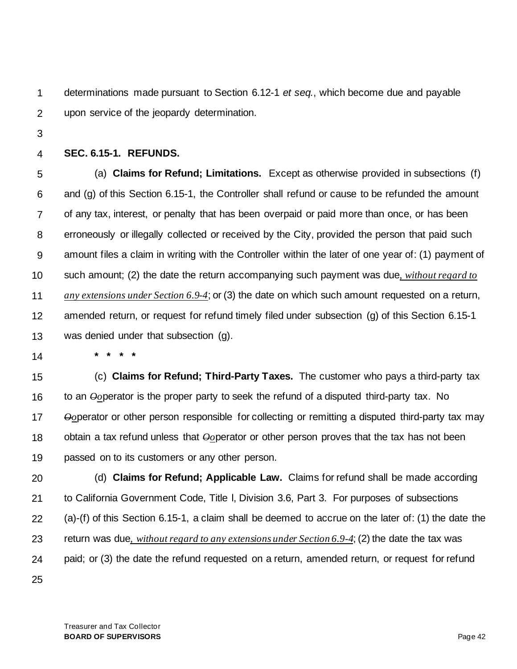1 2 determinations made pursuant to Section 6.12-1 *et seq.*, which become due and payable upon service of the jeopardy determination.

3

#### 4 **SEC. 6.15-1. REFUNDS.**

5 6 7 8 9 10 11 12 13 (a) **Claims for Refund; Limitations.** Except as otherwise provided in subsections (f) and (g) of this Section 6.15-1, the Controller shall refund or cause to be refunded the amount of any tax, interest, or penalty that has been overpaid or paid more than once, or has been erroneously or illegally collected or received by the City, provided the person that paid such amount files a claim in writing with the Controller within the later of one year of: (1) payment of such amount; (2) the date the return accompanying such payment was due*, without regard to any extensions under Section 6.9-4*; or (3) the date on which such amount requested on a return, amended return, or request for refund timely filed under subsection (g) of this Section 6.15-1 was denied under that subsection (g).

14

**\* \* \* \***

15 16 17 18 19 (c) **Claims for Refund; Third-Party Taxes.** The customer who pays a third-party tax to an *Oo*perator is the proper party to seek the refund of a disputed third-party tax. No *Oo*perator or other person responsible for collecting or remitting a disputed third-party tax may obtain a tax refund unless that *Oo*perator or other person proves that the tax has not been passed on to its customers or any other person.

20 21 22 23 24 25 (d) **Claims for Refund; Applicable Law.** Claims for refund shall be made according to California Government Code, Title l, Division 3.6, Part 3. For purposes of subsections (a)-(f) of this Section 6.15-1, a claim shall be deemed to accrue on the later of: (1) the date the return was due*, without regard to any extensions under Section 6.9-4*; (2) the date the tax was paid; or (3) the date the refund requested on a return, amended return, or request for refund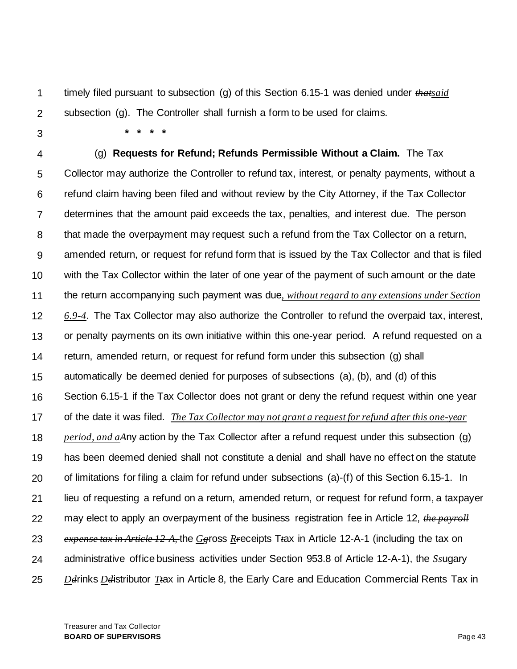1 2 timely filed pursuant to subsection (g) of this Section 6.15-1 was denied under *thatsaid*  subsection (g). The Controller shall furnish a form to be used for claims.

3

4 5 6 7 8 9 10 11 12 13 14 15 16 17 18 19 20 21 22 23 24 25 **\* \* \* \*** (g) **Requests for Refund; Refunds Permissible Without a Claim.** The Tax Collector may authorize the Controller to refund tax, interest, or penalty payments, without a refund claim having been filed and without review by the City Attorney, if the Tax Collector determines that the amount paid exceeds the tax, penalties, and interest due. The person that made the overpayment may request such a refund from the Tax Collector on a return, amended return, or request for refund form that is issued by the Tax Collector and that is filed with the Tax Collector within the later of one year of the payment of such amount or the date the return accompanying such payment was due*, without regard to any extensions under Section 6.9-4*. The Tax Collector may also authorize the Controller to refund the overpaid tax, interest, or penalty payments on its own initiative within this one-year period. A refund requested on a return, amended return, or request for refund form under this subsection (g) shall automatically be deemed denied for purposes of subsections (a), (b), and (d) of this Section 6.15-1 if the Tax Collector does not grant or deny the refund request within one year of the date it was filed. *The Tax Collector may not grant a request for refund after this one-year period, and aA*ny action by the Tax Collector after a refund request under this subsection (g) has been deemed denied shall not constitute a denial and shall have no effect on the statute of limitations for filing a claim for refund under subsections (a)-(f) of this Section 6.15-1. In lieu of requesting a refund on a return, amended return, or request for refund form, a taxpayer may elect to apply an overpayment of the business registration fee in Article 12, *the payroll expense tax in Article 12-A,* the *Gg*ross *Rr*eceipts T*t*ax in Article 12-A-1 (including the tax on administrative office business activities under Section 953.8 of Article 12-A-1), the *Ss*ugary *Dd*rinks *Dd*istributor *Tt*ax in Article 8, the Early Care and Education Commercial Rents Tax in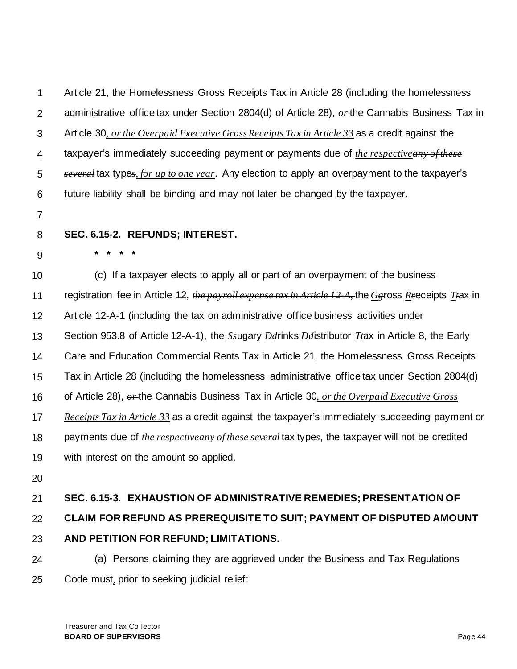1 2 3 4 5 6 7 8 9 10 11 12 13 14 15 16 17 18 19 20 21 22 23 Article 21, the Homelessness Gross Receipts Tax in Article 28 (including the homelessness administrative office tax under Section 2804(d) of Article 28), *or* the Cannabis Business Tax in Article 30*, or the Overpaid Executive Gross Receipts Tax in Article 33* as a credit against the taxpayer's immediately succeeding payment or payments due of *the respectiveany of these several* tax type*s, for up to one year*. Any election to apply an overpayment to the taxpayer's future liability shall be binding and may not later be changed by the taxpayer. **SEC. 6.15-2. REFUNDS; INTEREST. \* \* \* \*** (c) If a taxpayer elects to apply all or part of an overpayment of the business registration fee in Article 12, *the payroll expense tax in Article 12-A,* the *Gg*ross *Rr*eceipts *Tt*ax in Article 12-A-1 (including the tax on administrative office business activities under Section 953.8 of Article 12-A-1), the *Ss*ugary *Dd*rinks *Dd*istributor *Tt*ax in Article 8, the Early Care and Education Commercial Rents Tax in Article 21, the Homelessness Gross Receipts Tax in Article 28 (including the homelessness administrative office tax under Section 2804(d) of Article 28), *or* the Cannabis Business Tax in Article 30*, or the Overpaid Executive Gross Receipts Tax in Article 33* as a credit against the taxpayer's immediately succeeding payment or payments due of *the respectiveany of these several* tax type*s*, the taxpayer will not be credited with interest on the amount so applied. **SEC. 6.15-3. EXHAUSTION OF ADMINISTRATIVE REMEDIES; PRESENTATION OF CLAIM FOR REFUND AS PREREQUISITE TO SUIT; PAYMENT OF DISPUTED AMOUNT AND PETITION FOR REFUND; LIMITATIONS.**

24 25 (a) Persons claiming they are aggrieved under the Business and Tax Regulations Code must*,* prior to seeking judicial relief: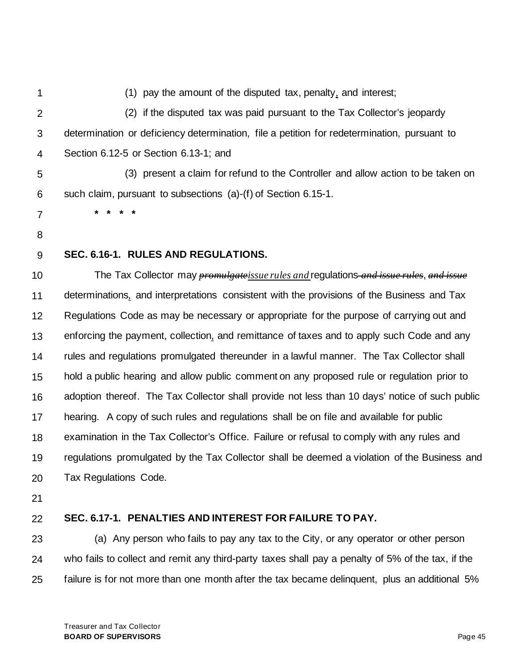1 2 3 4 5 6 7 8 9 10 11 12 13 14 15 16 17 18 19 20 (1) pay the amount of the disputed tax, penalty*,* and interest; (2) if the disputed tax was paid pursuant to the Tax Collector's jeopardy determination or deficiency determination, file a petition for redetermination, pursuant to Section 6.12-5 or Section 6.13-1; and (3) present a claim for refund to the Controller and allow action to be taken on such claim, pursuant to subsections (a)-(f) of Section 6.15-1. **\* \* \* \* SEC. 6.16-1. RULES AND REGULATIONS.** The Tax Collector may *promulgateissue rules and* regulations *and issue rules*, *and issue* determinations*,* and interpretations consistent with the provisions of the Business and Tax Regulations Code as may be necessary or appropriate for the purpose of carrying out and enforcing the payment, collection*,* and remittance of taxes and to apply such Code and any rules and regulations promulgated thereunder in a lawful manner. The Tax Collector shall hold a public hearing and allow public comment on any proposed rule or regulation prior to adoption thereof. The Tax Collector shall provide not less than 10 days' notice of such public hearing. A copy of such rules and regulations shall be on file and available for public examination in the Tax Collector's Office. Failure or refusal to comply with any rules and regulations promulgated by the Tax Collector shall be deemed a violation of the Business and Tax Regulations Code.

21

#### 22 **SEC. 6.17-1. PENALTIES AND INTEREST FOR FAILURE TO PAY.**

23 24 25 (a) Any person who fails to pay any tax to the City, or any operator or other person who fails to collect and remit any third-party taxes shall pay a penalty of 5% of the tax, if the failure is for not more than one month after the tax became delinguent, plus an additional 5%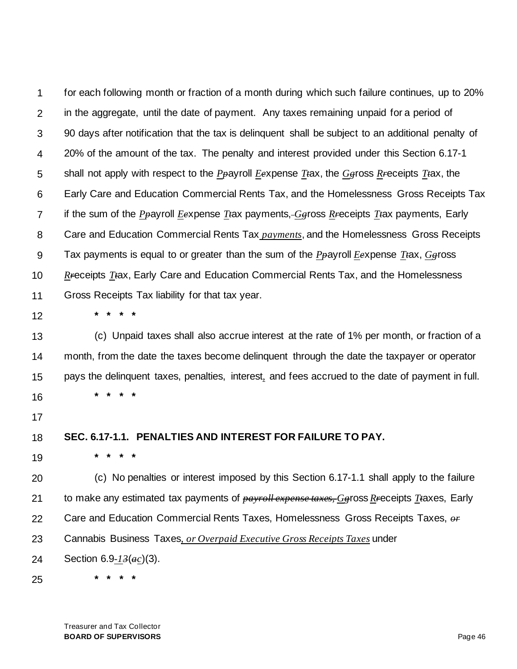1 2 3 4 5 6 7 8 9 10 11 for each following month or fraction of a month during which such failure continues, up to 20% in the aggregate, until the date of payment. Any taxes remaining unpaid for a period of 90 days after notification that the tax is delinquent shall be subject to an additional penalty of 20% of the amount of the tax. The penalty and interest provided under this Section 6.17-1 shall not apply with respect to the *Pp*ayroll *Ee*xpense *Tt*ax, the *Gg*ross *Rr*eceipts *Tt*ax, the Early Care and Education Commercial Rents Tax, and the Homelessness Gross Receipts Tax if the sum of the *P*<sub>p</sub>ayroll *Eexpense Ttax payments, Geross R<sub>F</sub>eceipts Ttax payments, Early* Care and Education Commercial Rents Tax *payments*, and the Homelessness Gross Receipts Tax payments is equal to or greater than the sum of the  $P_{\bm{\theta}}$  ayroll *E*expense *T* $\#$ ax,  $G_{\bm{\theta}}$  ross *Rr*eceipts *Tt*ax, Early Care and Education Commercial Rents Tax, and the Homelessness Gross Receipts Tax liability for that tax year.

12

**\* \* \* \***

**\* \* \* \***

13 14 15 16 (c) Unpaid taxes shall also accrue interest at the rate of 1% per month, or fraction of a month, from the date the taxes become delinquent through the date the taxpayer or operator pays the delinquent taxes, penalties, interest*,* and fees accrued to the date of payment in full. **\* \* \* \***

17

#### 18 **SEC. 6.17-1.1. PENALTIES AND INTEREST FOR FAILURE TO PAY.**

19

20 21 22 23 24 (c) No penalties or interest imposed by this Section 6.17-1.1 shall apply to the failure to make any estimated tax payments of *payroll expense taxes, Gg*ross *Rr*eceipts *Tt*axes, Early Care and Education Commercial Rents Taxes, Homelessness Gross Receipts Taxes, *or*  Cannabis Business Taxes*, or Overpaid Executive Gross Receipts Taxes* under Section 6.9*-13*(*ac*)(3).

25

Treasurer and Tax Collector **BOARD OF SUPERVISORS** Page 46

**\* \* \* \***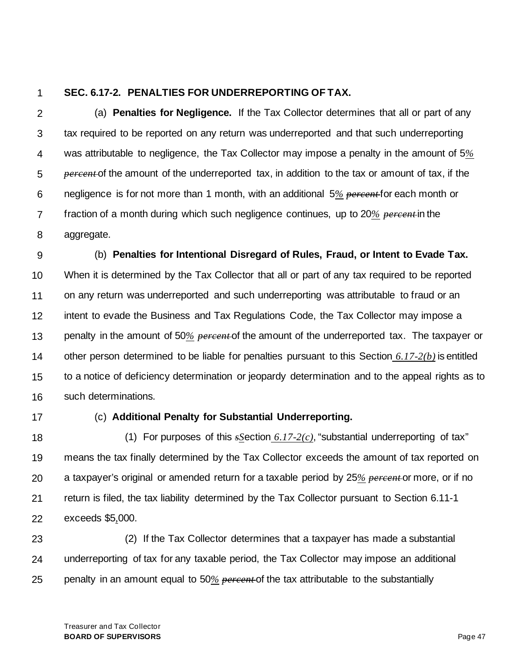#### 1 **SEC. 6.17-2. PENALTIES FOR UNDERREPORTING OF TAX.**

2 3 4 5 6 7 8 (a) **Penalties for Negligence.** If the Tax Collector determines that all or part of any tax required to be reported on any return was underreported and that such underreporting was attributable to negligence, the Tax Collector may impose a penalty in the amount of 5*% percent* of the amount of the underreported tax, in addition to the tax or amount of tax, if the negligence is for not more than 1 month, with an additional 5*% percent* for each month or fraction of a month during which such negligence continues, up to 20*% percent* in the aggregate.

9 10 11 12 13 14 15 16 (b) **Penalties for Intentional Disregard of Rules, Fraud, or Intent to Evade Tax.** When it is determined by the Tax Collector that all or part of any tax required to be reported on any return was underreported and such underreporting was attributable to fraud or an intent to evade the Business and Tax Regulations Code, the Tax Collector may impose a penalty in the amount of 50*% percent* of the amount of the underreported tax. The taxpayer or other person determined to be liable for penalties pursuant to this Section *6.17-2(b)* is entitled to a notice of deficiency determination or jeopardy determination and to the appeal rights as to such determinations.

17

## (c) **Additional Penalty for Substantial Underreporting.**

18 19 20 21 22 (1) For purposes of this *sS*ection *6.17-2(c)*, "substantial underreporting of tax" means the tax finally determined by the Tax Collector exceeds the amount of tax reported on a taxpayer's original or amended return for a taxable period by 25*% percent* or more, or if no return is filed, the tax liability determined by the Tax Collector pursuant to Section 6.11-1 exceeds \$5*,*000.

23 24 25 (2) If the Tax Collector determines that a taxpayer has made a substantial underreporting of tax for any taxable period, the Tax Collector may impose an additional penalty in an amount equal to 50*% percent* of the tax attributable to the substantially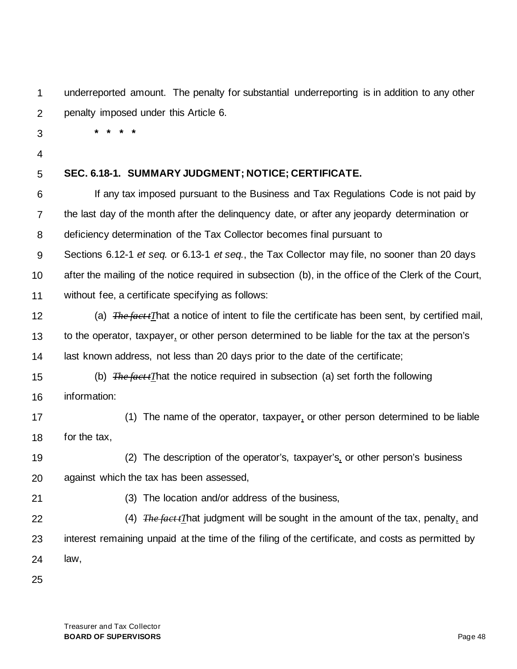1 2 underreported amount. The penalty for substantial underreporting is in addition to any other penalty imposed under this Article 6.

3

**\* \* \* \***

4

#### 5 **SEC. 6.18-1. SUMMARY JUDGMENT; NOTICE; CERTIFICATE.**

6 7 8 If any tax imposed pursuant to the Business and Tax Regulations Code is not paid by the last day of the month after the delinquency date, or after any jeopardy determination or deficiency determination of the Tax Collector becomes final pursuant to

9 10 11 Sections 6.12-1 *et seq.* or 6.13-1 *et seq.*, the Tax Collector may file, no sooner than 20 days after the mailing of the notice required in subsection (b), in the office of the Clerk of the Court, without fee, a certificate specifying as follows:

12 13 14 (a) *The fact tT*hat a notice of intent to file the certificate has been sent, by certified mail, to the operator, taxpayer*,* or other person determined to be liable for the tax at the person's last known address, not less than 20 days prior to the date of the certificate;

15 16 (b) *The fact tT*hat the notice required in subsection (a) set forth the following information:

- 17 18 (1) The name of the operator, taxpayer*,* or other person determined to be liable for the tax,
- 19 20 (2) The description of the operator's, taxpayer's*,* or other person's business against which the tax has been assessed,
- 21

(3) The location and/or address of the business,

22 23 24 (4) *The fact tT*hat judgment will be sought in the amount of the tax, penalty*,* and interest remaining unpaid at the time of the filing of the certificate, and costs as permitted by law,

25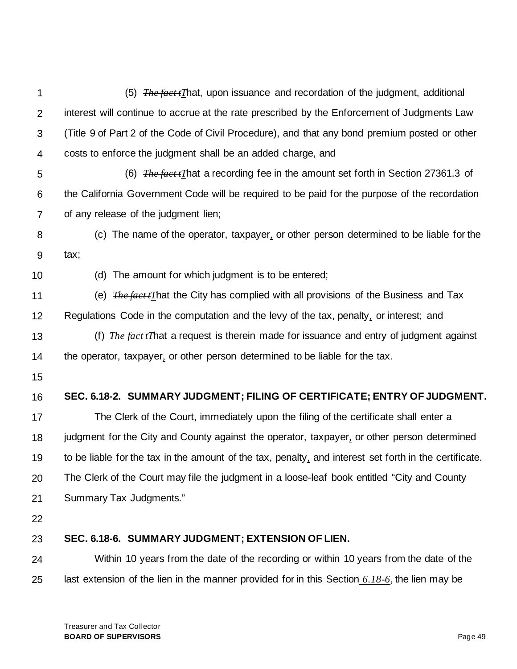1 2 3 4 5 6 7 8 9 10 11 12 13 14 15 16 17 18 19 20 21 22 23 24 25 (5) *The fact tT*hat, upon issuance and recordation of the judgment, additional interest will continue to accrue at the rate prescribed by the Enforcement of Judgments Law (Title 9 of Part 2 of the Code of Civil Procedure), and that any bond premium posted or other costs to enforce the judgment shall be an added charge, and (6) *The fact tT*hat a recording fee in the amount set forth in Section 27361.3 of the California Government Code will be required to be paid for the purpose of the recordation of any release of the judgment lien; (c) The name of the operator, taxpayer*,* or other person determined to be liable for the tax; (d) The amount for which judgment is to be entered; (e) *The fact tT*hat the City has complied with all provisions of the Business and Tax Regulations Code in the computation and the levy of the tax, penalty*,* or interest; and (f) *The fact tT*hat a request is therein made for issuance and entry of judgment against the operator, taxpayer*,* or other person determined to be liable for the tax. **SEC. 6.18-2. SUMMARY JUDGMENT; FILING OF CERTIFICATE; ENTRY OF JUDGMENT.** The Clerk of the Court, immediately upon the filing of the certificate shall enter a judgment for the City and County against the operator, taxpayer*,* or other person determined to be liable for the tax in the amount of the tax, penalty*,* and interest set forth in the certificate. The Clerk of the Court may file the judgment in a loose-leaf book entitled "City and County Summary Tax Judgments." **SEC. 6.18-6. SUMMARY JUDGMENT; EXTENSION OF LIEN.** Within 10 years from the date of the recording or within 10 years from the date of the last extension of the lien in the manner provided for in this Section *6.18-6*, the lien may be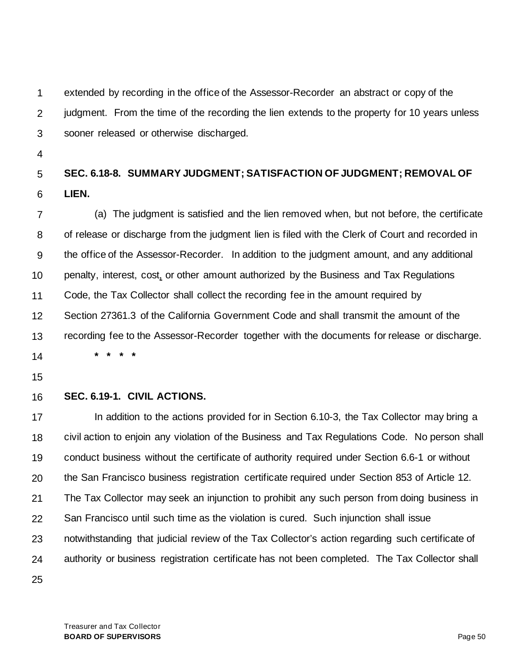1 2 3 extended by recording in the office of the Assessor-Recorder an abstract or copy of the judgment. From the time of the recording the lien extends to the property for 10 years unless sooner released or otherwise discharged.

4

### 5 6 **SEC. 6.18-8. SUMMARY JUDGMENT; SATISFACTION OF JUDGMENT; REMOVAL OF LIEN.**

7 8 9 10 11 12 13 (a) The judgment is satisfied and the lien removed when, but not before, the certificate of release or discharge from the judgment lien is filed with the Clerk of Court and recorded in the office of the Assessor-Recorder. In addition to the judgment amount, and any additional penalty, interest, cost*,* or other amount authorized by the Business and Tax Regulations Code, the Tax Collector shall collect the recording fee in the amount required by Section 27361.3 of the California Government Code and shall transmit the amount of the recording fee to the Assessor-Recorder together with the documents for release or discharge. **\* \* \* \***

- 14
- 15

#### 16 **SEC. 6.19-1. CIVIL ACTIONS.**

17 18 19 20 21 22 23 24 25 In addition to the actions provided for in Section 6.10-3, the Tax Collector may bring a civil action to enjoin any violation of the Business and Tax Regulations Code. No person shall conduct business without the certificate of authority required under Section 6.6-1 or without the San Francisco business registration certificate required under Section 853 of Article 12. The Tax Collector may seek an injunction to prohibit any such person from doing business in San Francisco until such time as the violation is cured. Such injunction shall issue notwithstanding that judicial review of the Tax Collector's action regarding such certificate of authority or business registration certificate has not been completed. The Tax Collector shall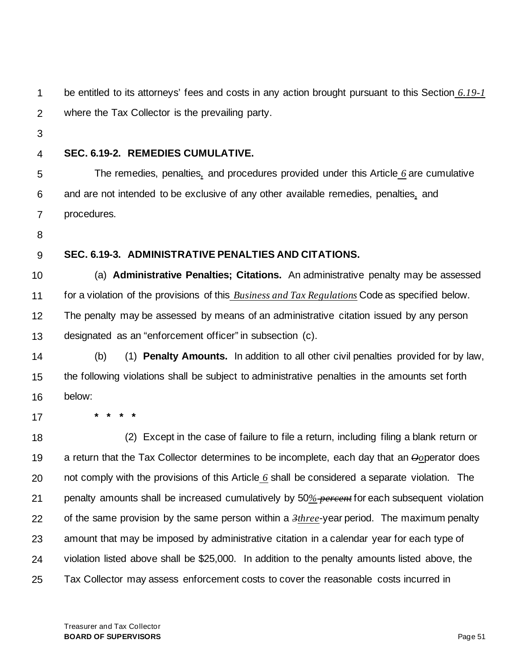1 2 be entitled to its attorneys' fees and costs in any action brought pursuant to this Section *6.19-1* where the Tax Collector is the prevailing party.

- 3
- 4

## **SEC. 6.19-2. REMEDIES CUMULATIVE.**

5 6 7 The remedies, penalties*,* and procedures provided under this Article *6* are cumulative and are not intended to be exclusive of any other available remedies, penalties*,* and procedures.

- 8
- 9

## **SEC. 6.19-3. ADMINISTRATIVE PENALTIES AND CITATIONS.**

10 11 12 13 (a) **Administrative Penalties; Citations.** An administrative penalty may be assessed for a violation of the provisions of this *Business and Tax Regulations* Code as specified below. The penalty may be assessed by means of an administrative citation issued by any person designated as an "enforcement officer" in subsection (c).

- 14 15 16 (b) (1) **Penalty Amounts.** In addition to all other civil penalties provided for by law, the following violations shall be subject to administrative penalties in the amounts set forth below:
- 17

18 19 20 21 22 23 24 25 (2) Except in the case of failure to file a return, including filing a blank return or a return that the Tax Collector determines to be incomplete, each day that an *Oo*perator does not comply with the provisions of this Article *6* shall be considered a separate violation. The penalty amounts shall be increased cumulatively by 50*% percent* for each subsequent violation of the same provision by the same person within a *3three*-year period. The maximum penalty amount that may be imposed by administrative citation in a calendar year for each type of violation listed above shall be \$25,000. In addition to the penalty amounts listed above, the Tax Collector may assess enforcement costs to cover the reasonable costs incurred in

**\* \* \* \***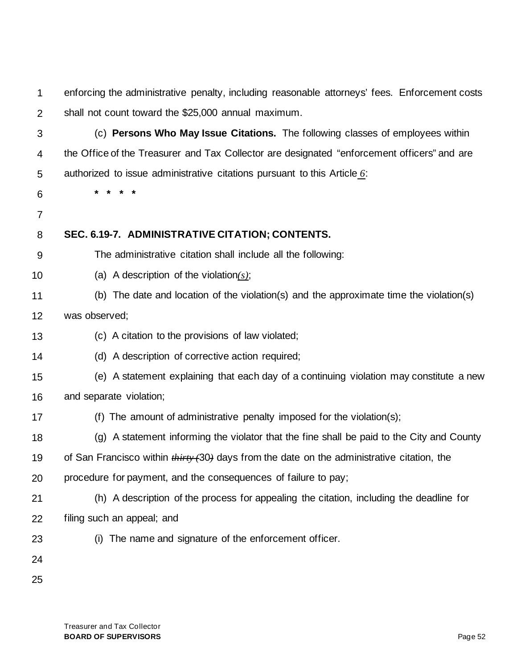1 2 enforcing the administrative penalty, including reasonable attorneys' fees. Enforcement costs shall not count toward the \$25,000 annual maximum.

- 3 4 5 (c) **Persons Who May Issue Citations.** The following classes of employees within the Office of the Treasurer and Tax Collector are designated "enforcement officers" and are authorized to issue administrative citations pursuant to this Article *6*:
- 6
- 7

#### 8 **SEC. 6.19-7. ADMINISTRATIVE CITATION; CONTENTS.**

- 9 The administrative citation shall include all the following:
- 10 (a) A description of the violation*(s)*;

**\* \* \* \***

- 11 (b) The date and location of the violation(s) and the approximate time the violation(s)
- 12 was observed;
- 13 (c) A citation to the provisions of law violated;
- 14 (d) A description of corrective action required;
- 15 16 (e) A statement explaining that each day of a continuing violation may constitute a new and separate violation;
- 17 (f) The amount of administrative penalty imposed for the violation(s);
- 18 (g) A statement informing the violator that the fine shall be paid to the City and County
- 19 of San Francisco within *thirty (*30*)* days from the date on the administrative citation, the
- 20 procedure for payment, and the consequences of failure to pay;
- 21 22 (h) A description of the process for appealing the citation, including the deadline for filing such an appeal; and
- 23
- (i) The name and signature of the enforcement officer.
- 24
- 25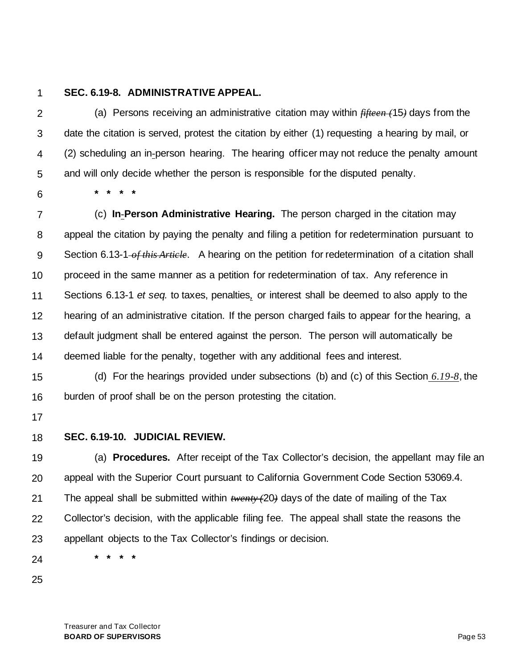#### 1 **SEC. 6.19-8. ADMINISTRATIVE APPEAL.**

**\* \* \* \***

2 3 4 5 (a) Persons receiving an administrative citation may within *fifteen (*15*)* days from the date the citation is served, protest the citation by either (1) requesting a hearing by mail, or (2) scheduling an in*-*person hearing. The hearing officer may not reduce the penalty amount and will only decide whether the person is responsible for the disputed penalty.

6

7 8 9 10 11 12 13 14 (c) **In***-***Person Administrative Hearing.** The person charged in the citation may appeal the citation by paying the penalty and filing a petition for redetermination pursuant to Section 6.13-1 of this Article. A hearing on the petition for redetermination of a citation shall proceed in the same manner as a petition for redetermination of tax. Any reference in Sections 6.13-1 *et seq.* to taxes, penalties*,* or interest shall be deemed to also apply to the hearing of an administrative citation. If the person charged fails to appear for the hearing, a default judgment shall be entered against the person. The person will automatically be deemed liable for the penalty, together with any additional fees and interest.

15 16 (d) For the hearings provided under subsections (b) and (c) of this Section *6.19-8*, the burden of proof shall be on the person protesting the citation.

- 17
- 18 **SEC. 6.19-10. JUDICIAL REVIEW.**

19 20 21 22 23 (a) **Procedures.** After receipt of the Tax Collector's decision, the appellant may file an appeal with the Superior Court pursuant to California Government Code Section 53069.4. The appeal shall be submitted within *twenty (*20*)* days of the date of mailing of the Tax Collector's decision, with the applicable filing fee. The appeal shall state the reasons the appellant objects to the Tax Collector's findings or decision.

24 **\* \* \* \***

25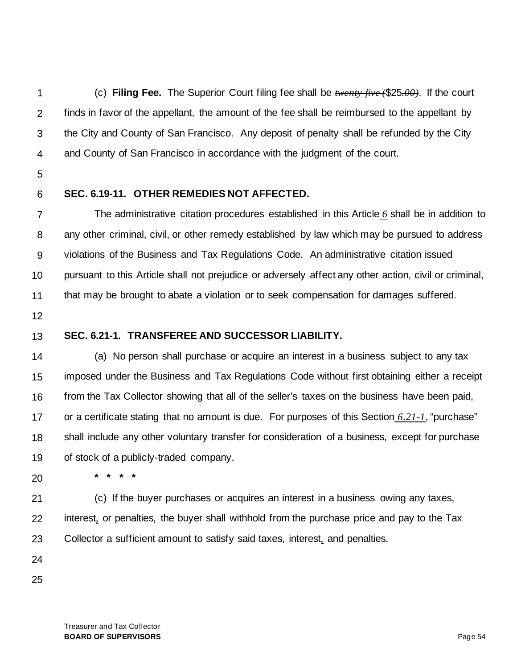1 2 3 4 (c) **Filing Fee.** The Superior Court filing fee shall be *twenty-five (*\$25*.00)*. If the court finds in favor of the appellant, the amount of the fee shall be reimbursed to the appellant by the City and County of San Francisco. Any deposit of penalty shall be refunded by the City and County of San Francisco in accordance with the judgment of the court.

- 5
- 6

## **SEC. 6.19-11. OTHER REMEDIES NOT AFFECTED.**

7 8 9 10 11 The administrative citation procedures established in this Article *6* shall be in addition to any other criminal, civil, or other remedy established by law which may be pursued to address violations of the Business and Tax Regulations Code. An administrative citation issued pursuant to this Article shall not prejudice or adversely affect any other action, civil or criminal, that may be brought to abate a violation or to seek compensation for damages suffered.

- 12
- 13

# **SEC. 6.21-1. TRANSFEREE AND SUCCESSOR LIABILITY.**

14 15 16 17 18 19 (a) No person shall purchase or acquire an interest in a business subject to any tax imposed under the Business and Tax Regulations Code without first obtaining either a receipt from the Tax Collector showing that all of the seller's taxes on the business have been paid, or a certificate stating that no amount is due. For purposes of this Section *6.21-1*, "purchase" shall include any other voluntary transfer for consideration of a business, except for purchase of stock of a publicly-traded company.

- 20
- **\* \* \* \***

21 (c) If the buyer purchases or acquires an interest in a business owing any taxes,

22 23 interest*,* or penalties, the buyer shall withhold from the purchase price and pay to the Tax Collector a sufficient amount to satisfy said taxes, interest*,* and penalties.

24

25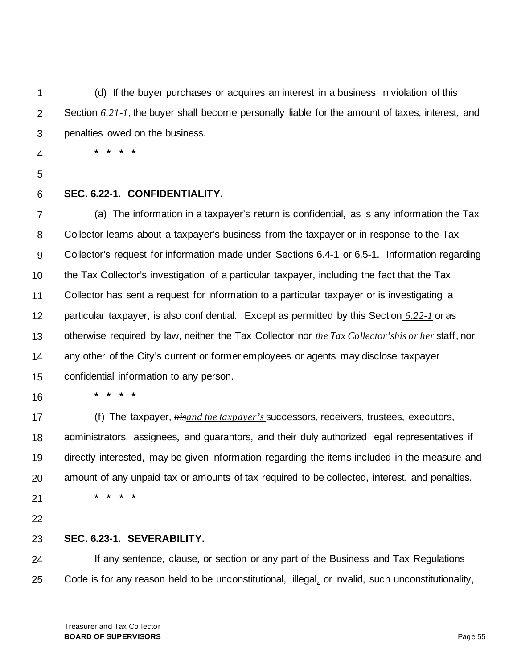1 2 3 (d) If the buyer purchases or acquires an interest in a business in violation of this Section *6.21-1*, the buyer shall become personally liable for the amount of taxes, interest*,* and penalties owed on the business.

- 4
- 5
- 6

# **SEC. 6.22-1. CONFIDENTIALITY.**

**\* \* \* \***

7 8 9 10 11 12 13 14 15 (a) The information in a taxpayer's return is confidential, as is any information the Tax Collector learns about a taxpayer's business from the taxpayer or in response to the Tax Collector's request for information made under Sections 6.4-1 or 6.5-1. Information regarding the Tax Collector's investigation of a particular taxpayer, including the fact that the Tax Collector has sent a request for information to a particular taxpayer or is investigating a particular taxpayer, is also confidential. Except as permitted by this Section *6.22-1* or as otherwise required by law, neither the Tax Collector nor *the Tax Collector'shis or her* staff, nor any other of the City's current or former employees or agents may disclose taxpayer confidential information to any person.

16

17 18 19 20 21 (f) The taxpayer, *hisand the taxpayer's* successors, receivers, trustees, executors, administrators, assignees*,* and guarantors, and their duly authorized legal representatives if directly interested, may be given information regarding the items included in the measure and amount of any unpaid tax or amounts of tax required to be collected, interest*,* and penalties. **\* \* \* \***

22

#### 23 **SEC. 6.23-1. SEVERABILITY.**

**\* \* \* \***

24 25 If any sentence, clause*,* or section or any part of the Business and Tax Regulations Code is for any reason held to be unconstitutional, illegal*,* or invalid, such unconstitutionality,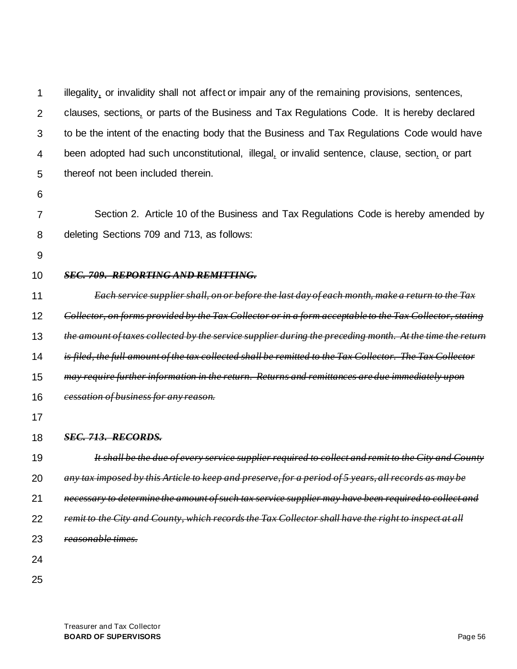1 2 3 4 5 illegality*,* or invalidity shall not affect or impair any of the remaining provisions, sentences, clauses, sections*,* or parts of the Business and Tax Regulations Code. It is hereby declared to be the intent of the enacting body that the Business and Tax Regulations Code would have been adopted had such unconstitutional, illegal*,* or invalid sentence, clause, section*,* or part thereof not been included therein.

6

7 8 Section 2. Article 10 of the Business and Tax Regulations Code is hereby amended by deleting Sections 709 and 713, as follows:

9

#### 10 *SEC. 709. REPORTING AND REMITTING.*

11 12 13 14 15 16 17 18 19 20 21 *Each service supplier shall, on or before the last day of each month, make a return to the Tax Collector, on forms provided by the Tax Collector or in a form acceptable to the Tax Collector, stating the amount of taxes collected by the service supplier during the preceding month. At the time the return is filed, the full amount of the tax collected shall be remitted to the Tax Collector. The Tax Collector may require further information in the return. Returns and remittances are due immediately upon cessation of business for any reason. SEC. 713. RECORDS. It shall be the due of every service supplier required to collect and remit to the City and County any tax imposed by this Article to keep and preserve, for a period of 5 years, all records as may be necessary to determine the amount of such tax service supplier may have been required to collect and* 

- 22 *remit to the City and County, which records the Tax Collector shall have the right to inspect at all*
- 23 *reasonable times.*
- 24
- 25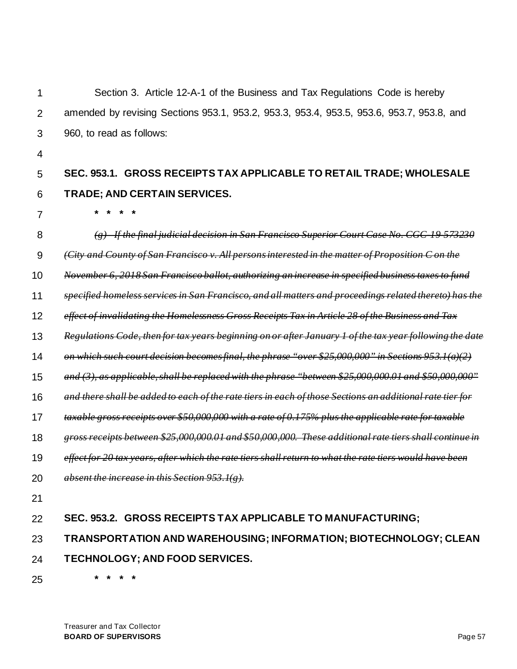| 1              | Section 3. Article 12-A-1 of the Business and Tax Regulations Code is hereby                             |
|----------------|----------------------------------------------------------------------------------------------------------|
| $\overline{2}$ | amended by revising Sections 953.1, 953.2, 953.3, 953.4, 953.5, 953.6, 953.7, 953.8, and                 |
| 3              | 960, to read as follows:                                                                                 |
| 4              |                                                                                                          |
| 5              | SEC. 953.1. GROSS RECEIPTS TAX APPLICABLE TO RETAIL TRADE; WHOLESALE                                     |
| 6              | <b>TRADE; AND CERTAIN SERVICES.</b>                                                                      |
| $\overline{7}$ |                                                                                                          |
| 8              | (g) If the final judicial decision in San Francisco Superior Court Case No. CGC 19 573230                |
| 9              | (City and County of San Francisco y. All persons interested in the matter of Proposition C on the        |
| 10             | November 6, 2018 San Francisco ballot, authorizing an increase in specified business taxes to fund       |
| 11             | specified homeless services in San Francisco, and all matters and proceedings related thereto) has the   |
| 12             | effect of invalidating the Homelessness Gross Receipts Tax in Article 28 of the Business and Tax         |
| 13             | Regulations Code, then for tax years beginning on or after January 1 of the tax year following the date  |
| 14             | on which such court decision becomes final, the phrase "over \$25,000,000" in Sections 953.1(a)(2)       |
| 15             | and (3), as applicable, shall be replaced with the phrase "between \$25,000,000.01 and \$50,000,000"     |
| 16             | and there shall be added to each of the rate tiers in each of those Sections an additional rate tier for |
| 17             | taxable gross receipts over \$50,000,000 with a rate of 0.175% plus the applicable rate for taxable      |
| 18             | gross receipts between \$25,000,000.01 and \$50,000,000. These additional rate tiers shall continue in   |
| 19             | effect for 20 tax years, after which the rate tiers shall return to what the rate tiers would have been  |
| 20             | absent the increase in this Section $953.1(g)$ .                                                         |
| 21             |                                                                                                          |
| 22             | SEC. 953.2. GROSS RECEIPTS TAX APPLICABLE TO MANUFACTURING;                                              |
| 23             | TRANSPORTATION AND WAREHOUSING; INFORMATION; BIOTECHNOLOGY; CLEAN                                        |
| 24             | TECHNOLOGY; AND FOOD SERVICES.                                                                           |
|                |                                                                                                          |

**\* \* \* \***

25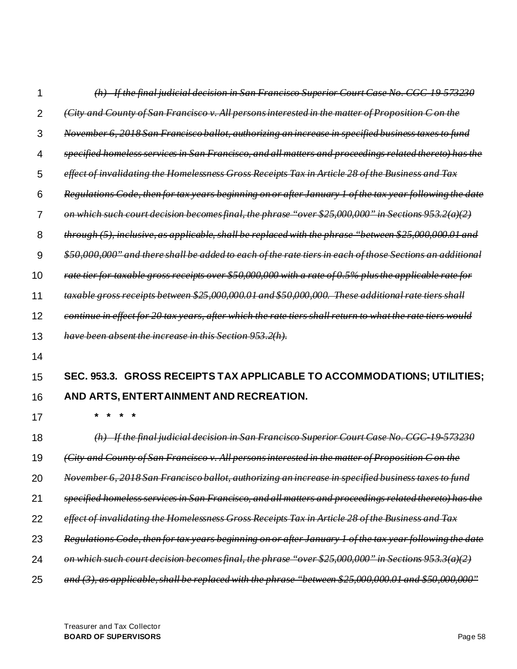| 1  | If the final judicial decision in San Francisco Superior Court Case No. CGC 19 573230                     |  |
|----|-----------------------------------------------------------------------------------------------------------|--|
| 2  | (City and County of San Francisco v. All persons interested in the matter of Proposition C on the         |  |
| 3  | November 6, 2018 San Francisco ballot, authorizing an increase in specified business taxes to fund        |  |
| 4  | specified homeless services in San Francisco, and all matters and proceedings related thereto) has the    |  |
| 5  | effect of invalidating the Homelessness Gross Receipts Tax in Article 28 of the Business and Tax          |  |
| 6  | Regulations Code, then for tax years beginning on or after January 1 of the tax year following the date   |  |
| 7  | on which such court decision becomes final, the phrase "over \$25,000,000" in Sections 953.2(a)(2)        |  |
| 8  | through (5), inclusive, as applicable, shall be replaced with the phrase "between \$25,000,000.01 and     |  |
| 9  | \$50,000,000" and there shall be added to each of the rate tiers in each of those Sections an additional  |  |
| 10 | rate tier for taxable gross receipts over \$50,000,000 with a rate of 0.5% plus the applicable rate for   |  |
| 11 | taxable gross receipts between \$25,000,000.01 and \$50,000,000. These additional rate tiers shall        |  |
| 12 | continue in effect for 20 tax years, after which the rate tiers shall return to what the rate tiers would |  |
| 13 | have been absent the increase in this Section 953.2(h).                                                   |  |
| 14 |                                                                                                           |  |
| 15 |                                                                                                           |  |
|    | SEC. 953.3. GROSS RECEIPTS TAX APPLICABLE TO ACCOMMODATIONS; UTILITIES;                                   |  |
| 16 | AND ARTS, ENTERTAINMENT AND RECREATION.                                                                   |  |
| 17 |                                                                                                           |  |
| 18 | lecision in San Francisco Superior Court Case No<br>$\leftrightarrow$<br><del>It the final judicia</del>  |  |
| 19 | (City and County of San Francisco v. All persons interested in the matter of Proposition C on the         |  |
| 20 | November 6, 2018 San Francisco ballot, authorizing an increase in specified business taxes to fund        |  |
| 21 | specified homeless services in San Francisco, and all matters and proceedings related thereto) has the    |  |
| 22 | effect of invalidating the Homelessness Gross Receipts Tax in Article 28 of the Business and Tax          |  |
| 23 | <del>for tax years beginning on or after January 1</del>                                                  |  |
| 24 | on which such court decision becomes final, the phrase "over \$25,000,000" in Sections 953.3(a)(2)        |  |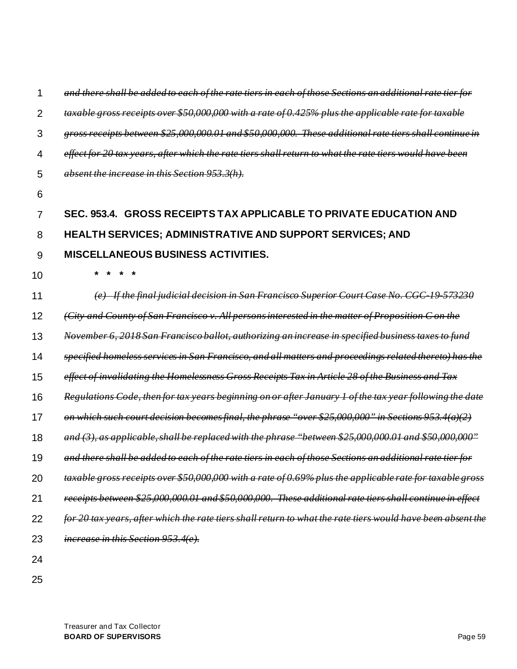| 1              | and there shall be added to each of the rate tiers in each of those Sections an additional rate tier for    |
|----------------|-------------------------------------------------------------------------------------------------------------|
| $\overline{2}$ | taxable gross receipts over \$50,000,000 with a rate of 0.425% plus the applicable rate for taxable         |
| 3              | gross receipts between \$25,000,000.01 and \$50,000,000. These additional rate tiers shall continue in      |
| 4              | effect for 20 tax years, after which the rate tiers shall return to what the rate tiers would have been     |
| 5              | absent the increase in this Section 953.3(h).                                                               |
| 6              |                                                                                                             |
| 7              | SEC. 953.4. GROSS RECEIPTS TAX APPLICABLE TO PRIVATE EDUCATION AND                                          |
| 8              | <b>HEALTH SERVICES; ADMINISTRATIVE AND SUPPORT SERVICES; AND</b>                                            |
| 9              | <b>MISCELLANEOUS BUSINESS ACTIVITIES.</b>                                                                   |
| 10             |                                                                                                             |
| 11             | <u> If the final judicial decision in San Francisco Superior Court Case No. CGC 19 573230</u>               |
| 12             | (City and County of San Francisco v. All persons interested in the matter of Proposition C on the           |
| 13             | November 6, 2018 San Francisco ballot, authorizing an increase in specified business taxes to fund          |
| 14             | specified homeless services in San Francisco, and all matters and proceedings related thereto) has the      |
| 15             | effect of invalidating the Homelessness Gross Receipts Tax in Article 28 of the Business and Tax            |
| 16             | Regulations Code, then for tax years beginning on or after January 1 of the tax year following the date     |
| 17             | on which such court decision becomes final, the phrase "over \$25,000,000" in Sections 953.4(a)(2)          |
| 18             | and $(3)$ , as applicable, shall be replaced with the phrase "between \$25,000,000.01<br>and \$50,000,000"  |
| 19             | and there shall be added to each of the rate tiers in each of those Sections an additional rate tier for    |
| 20             | taxable gross receipts over \$50,000,000 with a rate of 0.69% plus the applicable rate for taxable gross    |
| 21             | receipts between \$25,000,000.01 and \$50,000,000. These additional rate tiers shall continue in effect     |
| 22             | for 20 tax years, after which the rate tiers shall return to what the rate tiers would have been absent the |
| 23             | increase in this Section 953.4(e).                                                                          |
| 24             |                                                                                                             |
| 25             |                                                                                                             |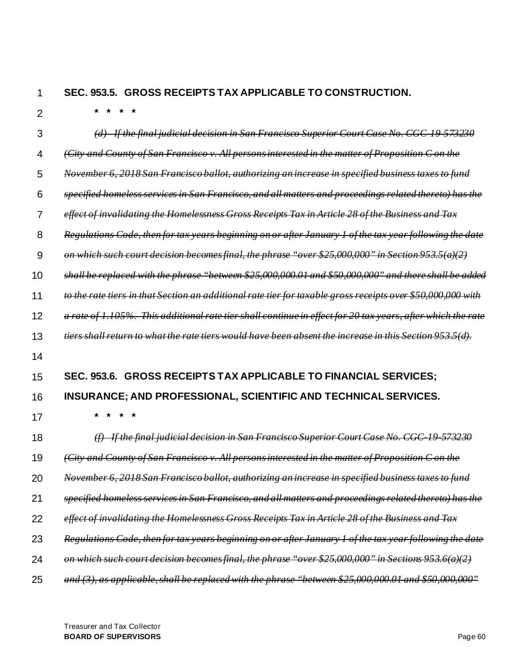#### 1 **SEC. 953.5. GROSS RECEIPTS TAX APPLICABLE TO CONSTRUCTION.**

 $\overline{2}$ 

**\* \* \* \***

| 3  | <u>If the final judicial decision in San Francisco Superior Court Case No.</u>                              |  |
|----|-------------------------------------------------------------------------------------------------------------|--|
| 4  | (City and County of San Francisco v. All persons interested in the matter of Proposition C on the           |  |
| 5  | November 6, 2018 San Francisco ballot, authorizing an increase in specified business taxes to fund          |  |
| 6  | specified homeless services in San Francisco, and all matters and proceedings related thereto) has the      |  |
| 7  | effect of invalidating the Homelessness Gross Receipts Tax in Article 28 of the Business and Tax            |  |
| 8  | Regulations Code, then for tax years beginning on or after January 1 of the tax year following the date     |  |
| 9  | on which such court decision becomes final, the phrase "over \$25,000,000" in Section 953.5(a)(2)           |  |
| 10 | shall be replaced with the phrase "between \$25,000,000.01 and \$50,000,000" and there shall be added       |  |
| 11 | to the rate tiers in that Section an additional rate tier for taxable gross receipts over \$50,000,000 with |  |
| 12 | This additional rate tier shall continue in effect for 20 tax years,<br>105%.<br><del>a rate of 1</del>     |  |
| 13 | tiers shall return to what the rate tiers would have been absent the increase in this Section 953           |  |
| 14 |                                                                                                             |  |
| 15 | SEC. 953.6. GROSS RECEIPTS TAX APPLICABLE TO FINANCIAL SERVICES:                                            |  |
| 16 | <b>INSURANCE: AND PROFESSIONAL, SCIENTIFIC AND TECHNICAL SERVICES.</b>                                      |  |
| 17 |                                                                                                             |  |
| 18 | $(f)$ If the final judicial decision in San Francisco Superior Court Case No. CGC 19 573230                 |  |
| 19 | (City and County of San Francisco y. All persons interested in the matter of Proposition C on the           |  |
| 20 | 2018 San Francisco ballot,<br><del>authorizing an increase in specified business tax</del>                  |  |
| 21 | specified homeless services in San Francisco, and all matters and proceedings related thereto) has the      |  |
| 22 | effect of invalidating the Homelessness Gross Receipts Tax in Article 28 of the Business and Tax            |  |
| 23 | Regulations Code, then for tax years beginning on or after January 1 of the tax year following the date     |  |
| 24 | on which such court decision becomes final, the phrase "over \$25,000,000" in Sections 953.6(a)(2)          |  |

25 *and (3), as applicable, shall be replaced with the phrase "between \$25,000,000.01 and \$50,000,000"*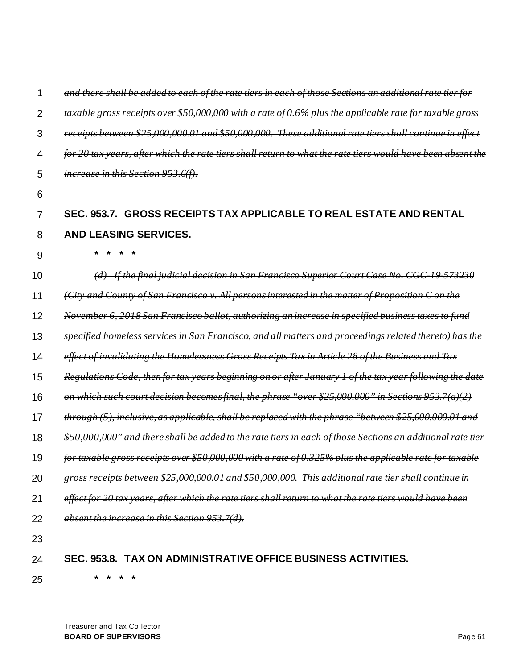| 1              | <del>and there shall be added to each of the rate tiers in each of those Sections an additional rate tier for</del> |
|----------------|---------------------------------------------------------------------------------------------------------------------|
| $\overline{2}$ | gross receipts over \$50,000,000 with a rate of 0.6% plus the applicable rate for taxable gross                     |
| 3              | receipts between \$25,000,000.01<br>and \$50,000,000. These additional rate tiers shall continue in effect          |
| 4              | <u>the rate tiers shall return to what the rate tiers wor</u>                                                       |
| 5              | increase in this Section 953.6(f).                                                                                  |
| 6              |                                                                                                                     |
| 7              | SEC. 953.7. GROSS RECEIPTS TAX APPLICABLE TO REAL ESTATE AND RENTAL                                                 |
| 8              | <b>AND LEASING SERVICES.</b>                                                                                        |
| 9              |                                                                                                                     |
| 10             | <u>If the final judicial decision in San Francisco Superior Court Case No. CGC-</u>                                 |
| 11             | (City and County of San Francisco v. All persons interested in the matter of Proposition C on the                   |
| 12             | November 6, 2018 San Francisco ballot, authorizing an increase in specified business taxes to fund                  |
| 13             | specified homeless services in San Francisco, and all matters and proceedings related thereto) has the              |
| 14             | effect of invalidating the Homelessness Gross Receipts Tax in Article 28 of the Business and Tax                    |
| 15             | Regulations Code, then for tax years beginning on or after January 1 of the tax year following the date             |
| 16             | on which such court decision becomes final, the phrase "over \$25,000,000" in Sections 953.7(a)(2)                  |
| 17             | through (5), inclusive, as applicable, shall be replaced with the phrase "between \$25,000,000.01 and               |
| 18             | \$50,000,000" and there shall be added to the rate tiers in each of those Sections an additional rate tier          |
| 19             | for taxable gross receipts over \$50,000,000 with a rate of 0.325% plus the applicable rate for taxable             |
| 20             | gross receipts between \$25,000,000.01 and \$50,000,000. This additional rate tier shall continue in                |
| 21             | effect for 20 tax years, after which the rate tiers shall return to what the rate tiers would have been             |
| 22             | absent the increase in this Section 953.7(d).                                                                       |
| 23             |                                                                                                                     |
| 24             | SEC. 953.8. TAX ON ADMINISTRATIVE OFFICE BUSINESS ACTIVITIES.                                                       |

25

Treasurer and Tax Collector **BOARD OF SUPERVISORS** Page 61

**\* \* \* \***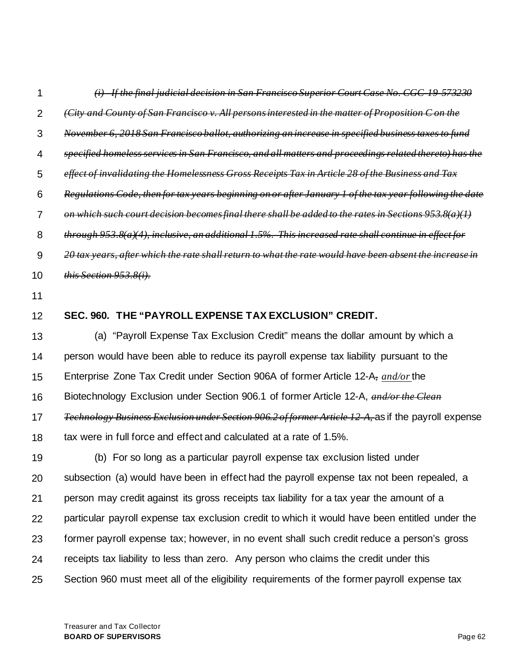| 1              | <u> If the final judicial decision in San Francisco Superior Court Case No. CGC 19-573230</u>              |
|----------------|------------------------------------------------------------------------------------------------------------|
| $\overline{2}$ | (City and County of San Francisco y. All persons interested in the matter of Proposition C on the          |
| 3              | November 6, 2018 San Francisco ballot, authorizing an increase in specified business taxes to fund         |
| 4              | specified homeless services in San Francisco, and all matters and proceedings related thereto) has the     |
| 5              | effect of invalidating the Homelessness Gross Receipts Tax in Article 28 of the Business and Tax           |
| 6              | Regulations Code, then for tax years beginning on or after January 1 of the tax year following the date    |
| $\overline{7}$ | on which such court decision becomes final there shall be added to the rates in Sections 953.8(a)(1)       |
| 8              | $through 953.8(a)(4)$ , inclusive, an additional 1.5%. This increased rate shall continue in effect for    |
| 9              | 20 tax years, after which the rate shall return to what the rate would have been absent the increase in    |
| 10             | this Section 953.8(i).                                                                                     |
| 11             |                                                                                                            |
| 12             | SEC. 960. THE "PAYROLL EXPENSE TAX EXCLUSION" CREDIT.                                                      |
| 13             | (a) "Payroll Expense Tax Exclusion Credit" means the dollar amount by which a                              |
| 14             | person would have been able to reduce its payroll expense tax liability pursuant to the                    |
| 15             | Enterprise Zone Tax Credit under Section 906A of former Article 12-A, and/or the                           |
| 16             | Biotechnology Exclusion under Section 906.1 of former Article 12-A, and/or the Clean                       |
| 17             | <i>Fechnology Business Exclusion under Section 906.2 of former Article 12 A, as if the payroll expense</i> |
| 18             | tax were in full force and effect and calculated at a rate of 1.5%.                                        |
| 19             | (b) For so long as a particular payroll expense tax exclusion listed under                                 |
| 20             | subsection (a) would have been in effect had the payroll expense tax not been repealed, a                  |
| 21             | person may credit against its gross receipts tax liability for a tax year the amount of a                  |
| 22             | particular payroll expense tax exclusion credit to which it would have been entitled under the             |
| 23             | former payroll expense tax; however, in no event shall such credit reduce a person's gross                 |
| 24             | receipts tax liability to less than zero. Any person who claims the credit under this                      |
| 25             | Section 960 must meet all of the eligibility requirements of the former payroll expense tax                |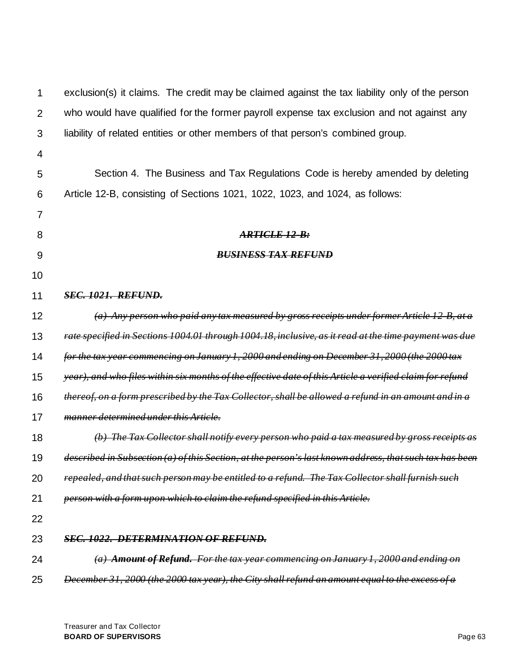| 1              | exclusion(s) it claims. The credit may be claimed against the tax liability only of the person           |  |
|----------------|----------------------------------------------------------------------------------------------------------|--|
| $\overline{2}$ | who would have qualified for the former payroll expense tax exclusion and not against any                |  |
| 3              | liability of related entities or other members of that person's combined group.                          |  |
| 4              |                                                                                                          |  |
| 5              | Section 4. The Business and Tax Regulations Code is hereby amended by deleting                           |  |
| 6              | Article 12-B, consisting of Sections 1021, 1022, 1023, and 1024, as follows:                             |  |
| $\overline{7}$ |                                                                                                          |  |
| 8              | ARTICLE 12-B:                                                                                            |  |
| 9              | <b>BUSINESS TAX REFUND</b>                                                                               |  |
| 10             |                                                                                                          |  |
| 11             | <b>SEC. 1021. REFUND.</b>                                                                                |  |
| 12             | (a) Any person who paid any tax measured by gross receipts under former Article 12 B, at a               |  |
| 13             | rate specified in Sections 1004.01 through 1004.18, inclusive, as it read at the time payment was due    |  |
| 14             | for the tax year commencing on January 1, 2000 and ending on December 31, 2000 (the 2000 tax             |  |
| 15             | year), and who files within six months of the effective date of this Article a verified claim for refund |  |
| 16             | thereof, on a form prescribed by the Tax Collector, shall be allowed a refund in an amount and in a      |  |
| 17             | manner determined under this Article.                                                                    |  |
| 18             | (b) The Tax Collector shall notify every person who paid a tax measured by gross receipts as             |  |
| 19             | described in Subsection (a) of this Section, at the person's last known address, that such tax has been  |  |
| 20             | repealed, and that such person may be entitled to a refund. The Tax Collector shall furnish such         |  |
| 21             | person with a form upon which to claim the refund specified in this Article.                             |  |
| 22             |                                                                                                          |  |
| 23             | <b>SEC. 1022. DETERMINATION OF REFUND.</b>                                                               |  |
| 24             | (a) Amount of Refund. For the tax year commencing on January 1, 2000 and ending on                       |  |
| 25             | December 31, 2000 (the 2000 tax year), the City shall refund an amount equal to the excess of a          |  |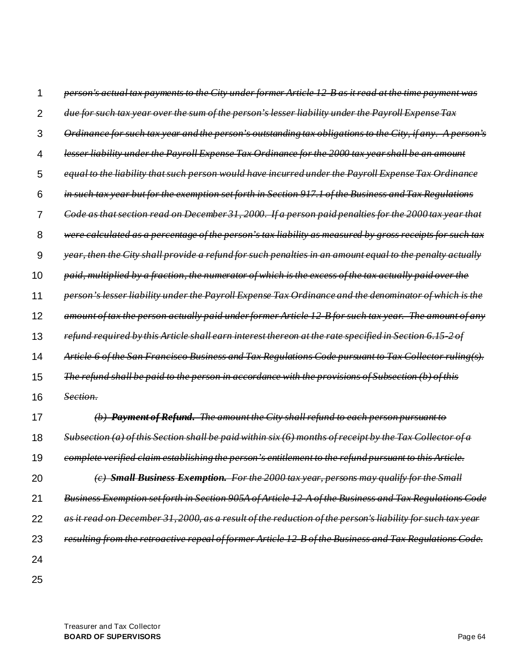|    | person's actual tax payments to the City under former Article 12 B as it read at the time payment was                 |
|----|-----------------------------------------------------------------------------------------------------------------------|
| 2  | due for such tax year over the sum of the person's lesser liability under the Payroll Expense Tax                     |
| 3  | Ordinance for such tax year and the person's outstanding tax obligations to the City, if any. A person's              |
| 4  | lesser liability under the Payroll Expense Tax Ordinance for the 2000 tax year shall be an amount                     |
| 5  | equal to the liability that such person would have incurred under the Payroll Expense Tax Ordinance                   |
| 6  | in such tax year but for the exemption set forth in Section 917.1 of the Business and Tax Regulations                 |
| 7  | Code as that section read on December 31, 2000. If a person paid penalties for the 2000 tax year that                 |
| 8  | were calculated as a percentage of the person's tax liability as measured by gross receipts for such tax              |
| 9  | year, then the City shall provide a refund for such penalties in an amount equal to the penalty actually              |
| 10 | paid, multiplied by a fraction, the numerator of which is the excess of the tax actually paid over the                |
| 11 | person's lesser liability under the Payroll Expense Tax Ordinance and the denominator of which is the                 |
| 12 | amount of tax the person actually paid under former Article 12 B for such tax year. The amount of any                 |
| 13 | refund required by this Article shall earn interest thereon at the rate specified in Section 6.15                     |
| 14 | Article 6 of the San Francisco Business and Tax Regulations Code pursuant to Tax Collector ruling(s).                 |
| 15 | <u>The refund shall be paid to the person in accordance with the provisions of Subsection</u>                         |
| 16 | <del>Section.</del>                                                                                                   |
| 17 | <b>Payment of Refund.</b> The amount the City shall refund to each person pursuant to                                 |
| 18 | (a) of this Section shall be paid within six (6) months of receipt by the Tax Collector of a<br><del>Subsection</del> |
| 19 | complete verified claim establishing the person's entitlement to the refund pursuant to this Article.                 |
| 20 | (c) Small Business Exemption. For the 2000 tax year, persons may qualify for the Small                                |
| 21 | Business Exemption set forth in Section 905A of Article 12 A of the Business and Tax Regulations Code                 |
| 22 | as it read on December 31, 2000, as a result of the reduction of the person's liability for such tax year             |
| 23 | resulting from the retroactive repeal of former Article 12 B of the Business and Tax Regulations Code.                |
| 24 |                                                                                                                       |
| 25 |                                                                                                                       |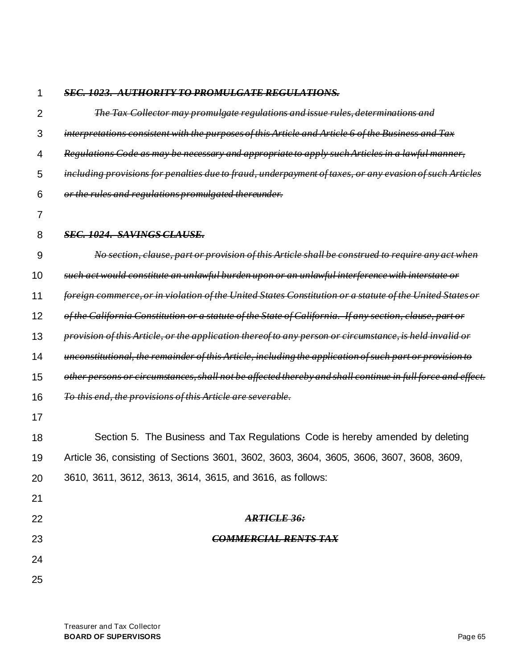#### 1 *SEC. 1023. AUTHORITY TO PROMULGATE REGULATIONS.*

| $\overline{2}$ | The Tax Collector may promulgate regulations and issue rules, determinations and                           |
|----------------|------------------------------------------------------------------------------------------------------------|
| 3              | interpretations consistent with the purposes of this Article and Article 6 of the Business and Tax         |
| 4              | Regulations Code as may be necessary and appropriate to apply such Articles in a lawful manner,            |
| 5              | including provisions for penalties due to fraud, underpayment of taxes, or any evasion of such Articles    |
| 6              | or the rules and regulations promulgated thereunder.                                                       |
| 7              |                                                                                                            |
| 8              | <b>SEC. 1024. SAVINGS CLAUSE.</b>                                                                          |
| 9              | No section, clause, part or provision of this Article shall be construed to require any act when           |
| 10             | such act would constitute an unlawful burden upon or an unlawful interference with interstate or           |
| 11             | foreign commerce, or in violation of the United States Constitution or a statute of the United States or   |
| 12             | of the California Constitution or a statute of the State of California. If any section, clause, part or    |
| 13             | provision of this Article, or the application thereof to any person or circumstance, is held invalid or    |
| 14             | unconstitutional, the remainder of this Article, including the application of such part or provision to    |
| 15             | other persons or circumstances, shall not be affected thereby and shall continue in full force and effect. |
| 16             | To this end, the provisions of this Article are severable.                                                 |
| 17             |                                                                                                            |
| 18             | Section 5. The Business and Tax Regulations Code is hereby amended by deleting                             |
| 19             | Article 36, consisting of Sections 3601, 3602, 3603, 3604, 3605, 3606, 3607, 3608, 3609,                   |
| 20             | 3610, 3611, 3612, 3613, 3614, 3615, and 3616, as follows:                                                  |
| 21             |                                                                                                            |
| 22             | <b>ARTICLE 36:</b>                                                                                         |
| 23             | <b>COMMERCIAL RENTS TAX</b>                                                                                |
| 24             |                                                                                                            |
| 25             |                                                                                                            |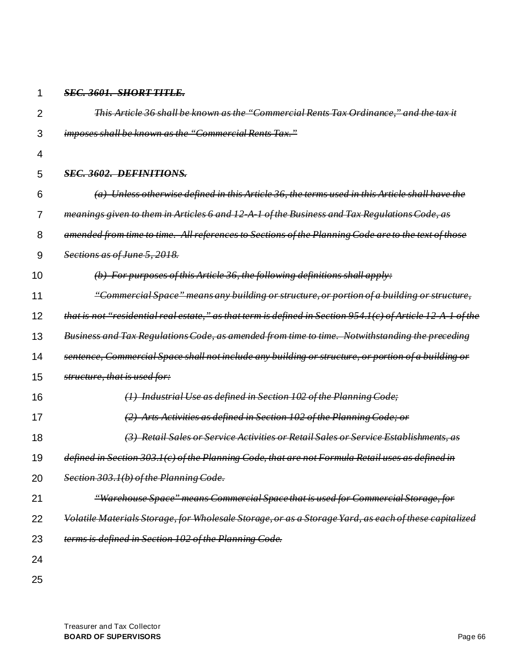#### 1 *SEC. 3601. SHORT TITLE.*

| $\overline{2}$ | This Article 36 shall be known as the "Commercial Rents Tax Ordinance," and the tax it                                    |  |  |
|----------------|---------------------------------------------------------------------------------------------------------------------------|--|--|
| 3              | imposes shall be known as the "Commercial Rents Tax."                                                                     |  |  |
| 4              |                                                                                                                           |  |  |
| 5              | SEC. 3602. DEFINITIONS.                                                                                                   |  |  |
| 6              | $(a)$ Unless otherwise defined in this Article 36, the terms used in this Article shall have the                          |  |  |
| 7              | meanings given to them in Articles 6 and 12 A 1 of the Business and Tax Regulations Code, as                              |  |  |
| 8              | amended from time to time. All references to Sections of the Planning Code are to the text of those                       |  |  |
| 9              | Sections as of June 5, 2018.                                                                                              |  |  |
| 10             | $(b)$ For purposes of this Article 36, the following definitions shall apply:                                             |  |  |
| 11             | "Commercial Space" means any building or structure, or portion of a building or structure,                                |  |  |
| 12             | that is not "residential real estate," as that term is defined in Section 954.1(c) of Article 12 A 1<br><del>of the</del> |  |  |
| 13             | Business and Tax Regulations Code, as amended from time to time. Notwithstanding the preceding                            |  |  |
| 14             | sentence, Commercial Space shall not include any building or structure, or portion of a building or                       |  |  |
| 15             | structure, that is used for:                                                                                              |  |  |
| 16             | $(1)$ Industrial Use as defined in Section 102 of the Planning Code;                                                      |  |  |
| 17             | (2) Arts Activities as defined in Section 102 of the Planning Code; or                                                    |  |  |
| 18             | <b>Retail Sales or Service Activities or Retail Sales or Service Establishments, as</b><br>$\leftrightarrow$              |  |  |
| 19             | defined in Section 303.1(c) of the Planning Code, that are not Formula Retail uses as defined in                          |  |  |
| 20             | Section 303.1(b) of the Planning Code.                                                                                    |  |  |
| 21             | "Warehouse Space" means Commercial Space that is used for Commercial Storage, for                                         |  |  |
| 22             | Volatile Materials Storage, for Wholesale Storage, or as a Storage Yard, as each of these capitalized                     |  |  |
| 23             | terms is defined in Section 102 of the Planning Code.                                                                     |  |  |
| 24             |                                                                                                                           |  |  |
| 25             |                                                                                                                           |  |  |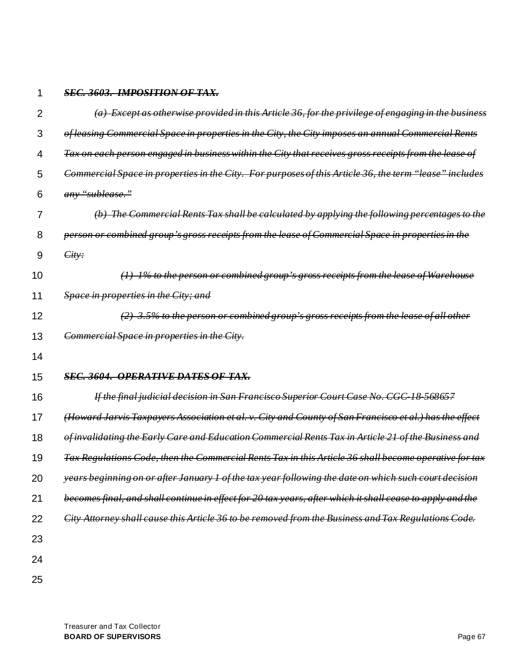### 2 3 4 5 6 7 8 9 10 11 12 13 14 15 16 17 18 19 20 21 22 23 24 *(a) Except as otherwise provided in this Article 36, for the privilege of engaging in the business of leasing Commercial Space in properties in the City, the City imposes an annual Commercial Rents Tax on each person engaged in business within the City that receives gross receipts from the lease of Commercial Space in properties in the City. For purposes of this Article 36, the term "lease" includes any "sublease." (b) The Commercial Rents Tax shall be calculated by applying the following percentages to the person or combined group's gross receipts from the lease of Commercial Space in properties in the City: (1) 1% to the person or combined group's gross receipts from the lease of Warehouse Space in properties in the City; and (2) 3.5% to the person or combined group's gross receipts from the lease of all other Commercial Space in properties in the City. SEC. 3604. OPERATIVE DATES OF TAX. If the final judicial decision in San Francisco Superior Court Case No. CGC-18-568657 (Howard Jarvis Taxpayers Association et al. v. City and County of San Francisco et al.) has the effect of invalidating the Early Care and Education Commercial Rents Tax in Article 21 of the Business and Tax Regulations Code, then the Commercial Rents Tax in this Article 36 shall become operative for tax years beginning on or after January 1 of the tax year following the date on which such court decision becomes final, and shall continue in effect for 20 tax years, after which it shall cease to apply and the City Attorney shall cause this Article 36 to be removed from the Business and Tax Regulations Code.*

25

1

*SEC. 3603. IMPOSITION OF TAX.*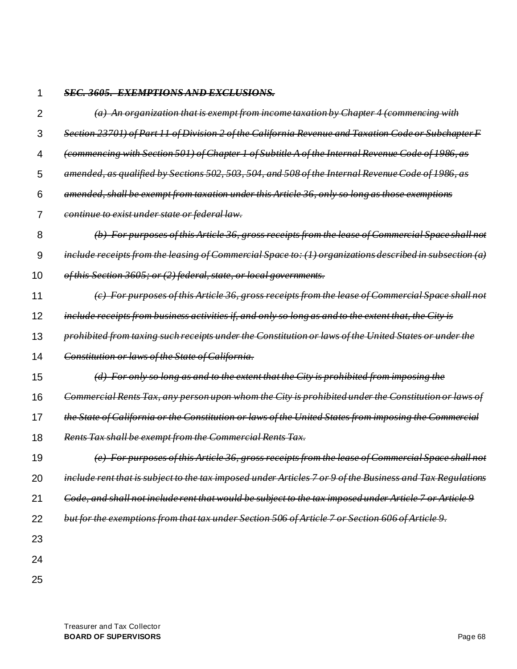#### 1 *SEC. 3605. EXEMPTIONS AND EXCLUSIONS.*

| 2  | (a) An organization that is exempt from income taxation by Chapter 4 (commencing with                                |
|----|----------------------------------------------------------------------------------------------------------------------|
| 3  | Section 23701) of Part 11 of Division 2 of the California Revenue and Taxation Code or Subchapter F                  |
| 4  | (commencing with Section 501) of Chapter 1 of Subtitle A of the Internal Revenue Code of 1986, as                    |
| 5  | amended, as qualified by Sections 502, 503, 504, and 508 of the Internal Revenue Code of 1986, as                    |
| 6  | amended, shall be exempt from taxation under this Article 36, only so long as those exemptions                       |
| 7  | <i>continue to exist under state or federal law.</i>                                                                 |
| 8  | (b) For purposes of this Article 36, gross receipts from the lease of Commercial Space shall not                     |
| 9  | include receipts from the leasing of Commercial Space to: $(1)$ organizations described in subsection $(a)$          |
| 10 | of this Section 3605; or (2) federal, state, or local governments.                                                   |
| 11 | (c) For purposes of this Article 36, gross receipts from the lease of Commercial Space shall not                     |
| 12 | include receipts from business activities if, and only so long as and to the extent that, the City is                |
| 13 | prohibited from taxing such receipts under the Constitution or laws of the United States or under the                |
| 14 | Constitution or laws of the State of California.                                                                     |
| 15 | $(d)$ For only so long as and to the extent that the City is prohibited from imposing the                            |
| 16 | Commercial Rents Tax, any person upon whom the City is prohibited under the Constitution or laws of                  |
| 17 | the State of California or the Constitution or laws of the United States from imposing the Commercial                |
| 18 | Rents Tax shall be exempt from the Commercial Rents Tax.                                                             |
| 19 | (e) For purposes of this Article 36, gross receipts from the lease of Commercial Space shall not                     |
| 20 | <del>include rent that is subject to the tax imposed under Articles 7 or 9 of the Business and Tax Regulations</del> |
| 21 | Code, and shall not include rent that would be subject to the tax imposed under Article 7 or Article 9               |
| 22 | but for the exemptions from that tax under Section 506 of Article 7 or Section 606 of Article 9.                     |
| 23 |                                                                                                                      |
| 24 |                                                                                                                      |
| 25 |                                                                                                                      |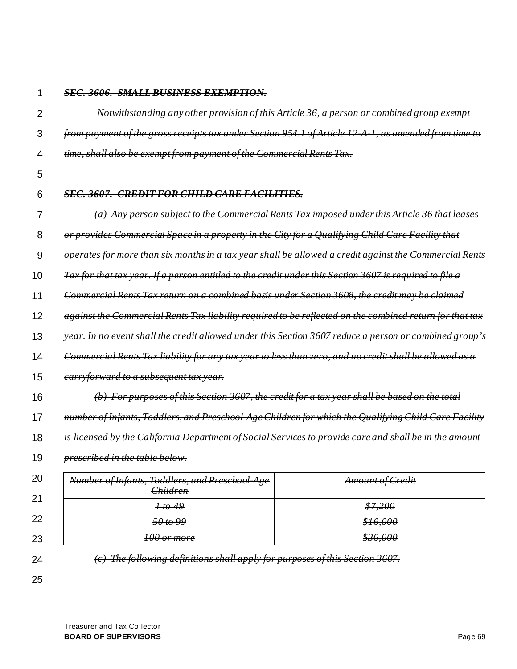1

## *SEC. 3606. SMALL BUSINESS EXEMPTION.*

| $\overline{2}$ | -Notwithstanding any other provision of this Article 36, a person or combined group exempt              |                         |  |
|----------------|---------------------------------------------------------------------------------------------------------|-------------------------|--|
| 3              | from payment of the gross receipts tax under Section 954.1 of Article 12 A 1, as amended from time to   |                         |  |
| 4              | time, shall also be exempt from payment of the Commercial Rents Tax.                                    |                         |  |
| 5              |                                                                                                         |                         |  |
| 6              | <b>SEC. 3607. CREDIT FOR CHILD CARE FACILITIES.</b>                                                     |                         |  |
| 7              | (a) Any person subject to the Commercial Rents Tax imposed under this Article 36 that leases            |                         |  |
| 8              | or provides Commercial Space in a property in the City for a Qualifying Child Care Facility that        |                         |  |
| 9              | operates for more than six months in a tax year shall be allowed a credit against the Commercial Rents  |                         |  |
| 10             | Tax for that tax year. If a person entitled to the credit under this Section 3607 is required to file a |                         |  |
| 11             | Commercial Rents Tax return on a combined basis under Section 3608, the credit may be claimed           |                         |  |
| 12             | against the Commercial Rents Tax liability required to be reflected on the combined return for that tax |                         |  |
| 13             | vear. In no event shall the credit allowed under this Section 3607 reduce a person or combined group's  |                         |  |
| 14             | Commercial Rents Tax liability for any tax year to less than zero, and no credit shall be allowed as a  |                         |  |
| 15             | earryforward to a subsequent tax year.                                                                  |                         |  |
| 16             | (b) For purposes of this Section 3607, the credit for a tax year shall be based on the total            |                         |  |
| 17             | number of Infants, Toddlers, and Preschool Age Children for which the Qualifying Child Care Facility    |                         |  |
| 18             | is licensed by the California Department of Social Services to provide care and shall be in the amount  |                         |  |
| 19             | prescribed in the table below.                                                                          |                         |  |
| 20             | Number of Infants, Toddlers, and Preschool Age                                                          | <b>Amount of Credit</b> |  |
| 21             | <b>Children</b><br>1 to 49                                                                              | \$7,200                 |  |
| 22             | 50 to 99                                                                                                | \$16,000                |  |
| 23             | 100 or more                                                                                             | \$36,000                |  |
|                |                                                                                                         |                         |  |
| 24             | (c) The following definitions shall apply for purposes of this Section 3607.                            |                         |  |
| 25             |                                                                                                         |                         |  |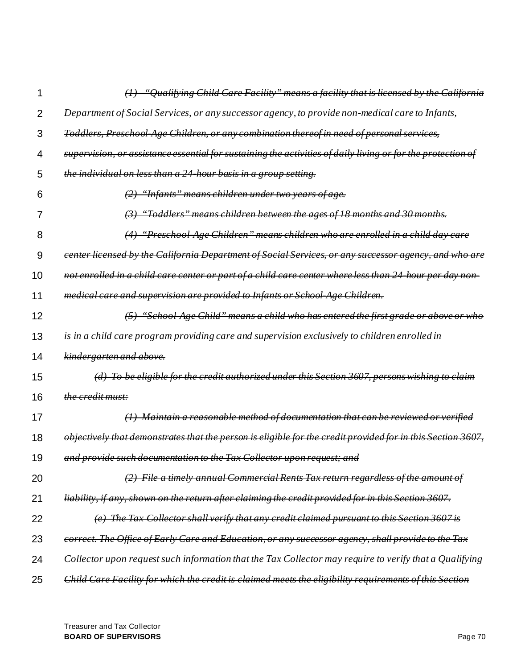| 1  | <i>"Qualifying Child Care Facility" means a facility that is licensed by the California</i>                 |
|----|-------------------------------------------------------------------------------------------------------------|
| 2  | Department of Social Services, or any successor agency, to provide non-medical care to Infants,             |
| 3  | Toddlers, Preschool Age Children, or any combination thereof in need of personal services,                  |
| 4  | supervision, or assistance essential for sustaining the activities of daily living or for the protection of |
| 5  | the individual on less than a 24 hour basis in a group setting.                                             |
| 6  | (2) "Infants" means children under two years of age.                                                        |
| 7  | "Toddlers" means children between the ages of 18 months and 30 months.                                      |
| 8  | "Preschool Age Children" means children who are enrolled in a child day care                                |
| 9  | eenter licensed by the California Department of Social Services, or any successor agency, and who are       |
| 10 | not enrolled in a child care center or part of a child care center where less than 24 hour per day non-     |
| 11 | medical care and supervision are provided to Infants or School Age Children.                                |
| 12 | "School Age Child" means a child who has entered the first grade or above or who                            |
| 13 | is in a child care program providing care and supervision exclusively to children enrolled in               |
| 14 | kindergarten and above.                                                                                     |
| 15 | (d) To be eligible for the credit authorized under this Section 3607, persons wishing to claim              |
| 16 | the credit must:                                                                                            |
| 17 | $(1)$ Maintain a reasonable method of documentation that can be reviewed or verified                        |
| 18 | objectively that demonstrates that the person is eligible for the credit provided for in this Section 3607, |
| 19 | and provide such documentation to the Tax Collector upon request; and                                       |
| 20 | File a timely annual Commercial Rents Tax return regardless of the amount of                                |
| 21 | liability, if any, shown on the return after claiming the credit provided for in this Section 3607.         |
| 22 | (e) The Tax Collector shall verify that any credit claimed pursuant to this Section 3607 is                 |
| 23 | correct. The Office of Early Care and Education, or any successor agency, shall provide to the Tax          |
| 24 | Collector upon request such information that the Tax Collector may require to verify that a Qualifying      |
| 25 | Child Care Facility for which the credit is claimed meets the eligibility requirements of this Section      |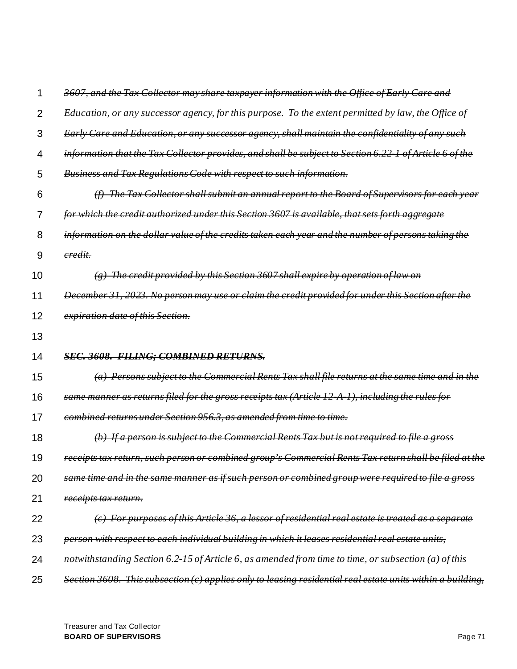|    | 3607, and the Tax Collector may share taxpayer information with the Office of Early Care and            |
|----|---------------------------------------------------------------------------------------------------------|
| 2  | Education, or any successor agency, for this purpose. To the extent permitted by law, the Office of     |
| 3  | Early Care and Education, or any successor agency, shall maintain the confidentiality of any such       |
| 4  | information that the Tax Collector provides, and shall be subject to Section 6.22-1 of Article 6 of the |
| 5  | Business and Tax Regulations Code with respect to such information.                                     |
| 6  | The Tax Collector shall submit an annual report to the Board of Supervisors for each year               |
| 7  | for which the credit authorized under this Section 3607 is available, that sets forth aggregate         |
| 8  | information on the dollar value of the credits taken each year and the number of persons taking the     |
| 9  | eredit.                                                                                                 |
| 10 | The credit provided by this Section 3607 shall expire by operation of law on                            |
| 11 | December 31, 2023. No person may use or claim the credit provided for under this Section after the      |
| 12 | expiration date of this Section.                                                                        |
| 13 |                                                                                                         |
| 14 | <b>SEC. 3608. FILING; COMBINED RETURNS.</b>                                                             |
| 15 | Persons subject to the Commercial Rents Tax shall file returns at the same time and in the              |
| 16 | same manner as returns filed for the gross receipts tax (Article 12 A 1), including the rules for       |
| 17 | combined returns under Section 956.3, as amended from time to time.                                     |
| 18 | If a person is subject to the Commercial Rents Tax but is not required to file a gross                  |
| 19 | receipts tax return, such person or combined group's Commercial Rents Tax return shall be filed at the  |
| 20 | same time and in the same manner as if such person or combined group were required to file a gross      |
| 21 | <i>receipts tax return.</i>                                                                             |
| 22 | (c) For purposes of this Article 36, a lessor of residential real estate is treated as a separate       |
|    |                                                                                                         |
| 23 | person with respect to each individual building in which it leases residential real estate units,       |
| 24 | notwithstanding Section 6.2-15 of Article 6, as amended from time to time, or subsection (a) of this    |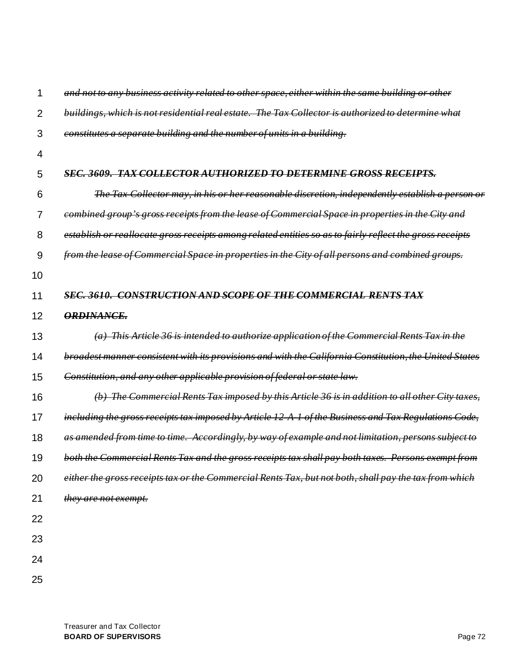|                | and not to any business activity related to other space, either within the same building or other        |
|----------------|----------------------------------------------------------------------------------------------------------|
| $\overline{2}$ | buildings, which is not residential real estate. The Tax Collector is authorized to determine what       |
| 3              | constitutes a separate building and the number of units in a building.                                   |
| 4              |                                                                                                          |
| 5              | <b>SEC. 3609. TAX COLLECTOR</b><br>AUTHORIZED TO DETERMINE GROSS RECEIPTS.                               |
| 6              | The Tax Collector may, in his or her reasonable discretion, independently establish a person or          |
| 7              | combined group's gross receipts from the lease of Commercial Space in properties in the City and         |
| 8              | establish or reallocate gross receipts among related entities so as to fairly reflect the gross receipts |
| 9              | from the lease of Commercial Space in properties in the City of all persons and combined groups.         |
| 10             |                                                                                                          |
| 11             | <b>SEC. 3610.</b><br><b>CONSTRUCTION AND SCOPE OF THE COMMERCIAL RENTS TAX</b>                           |
| 12             | <b>ORDINANCE.</b>                                                                                        |
| 13             | (a) This Article 36 is intended to authorize application of the Commercial Rents Tax in the              |
| 14             | broadest manner consistent with its provisions and with the California Constitution, the United States   |
| 15             | Constitution, and any other applicable provision of federal or state law.                                |
| 16             | (b) The Commercial Rents Tax imposed by this Article 36 is in addition to all other City taxes,          |
| 17             | including the gross receipts tax imposed by Article 12 A 1 of the Business and Tax Regulations Code,     |
| 18             | as amended from time to time. Accordingly, by way of example and not limitation, persons subject to      |
| 19             | both the Commercial Rents Tax and the gross receipts tax shall pay both taxes. Persons exempt from       |
| 20             | either the gross receipts tax or the Commercial Rents Tax, but not both, shall pay the tax from which    |
| 21             | they are not exempt.                                                                                     |
| 22             |                                                                                                          |
| 23             |                                                                                                          |
| 24             |                                                                                                          |
| 25             |                                                                                                          |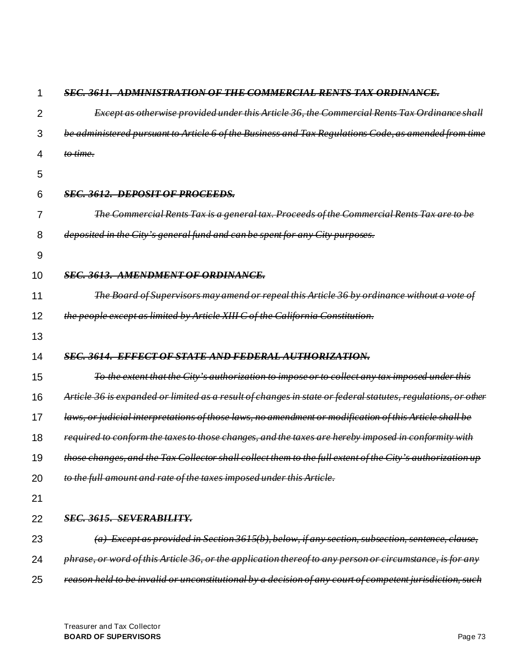|    | SEC. 3611. ADMINISTRATION OF THE COMMERCIAL RENTS TAX ORDINANCE.                                             |
|----|--------------------------------------------------------------------------------------------------------------|
| 2  | Except as otherwise provided under this Article 36, the Commercial Rents Tax Ordinance shall                 |
| 3  | be administered pursuant to Article 6 of the Business and Tax Regulations Code, as amended from time         |
| 4  | to time.                                                                                                     |
| 5  |                                                                                                              |
| 6  | <b>SEC. 3612. DEPOSIT OF PROCEEDS.</b>                                                                       |
| 7  | The Commercial Rents Tax is a general tax. Proceeds of the Commercial Rents Tax are to                       |
| 8  | deposited in the City's general fund and can be spent for any City purposes.                                 |
| 9  |                                                                                                              |
| 10 | <b>SEC. 3613. AMENDMENT OF ORDINANCE.</b>                                                                    |
| 11 | The Board of Supervisors may amend or repeal this Article 36 by ordinance without a vote                     |
| 12 | the people except as limited by Article XIII C of the California Constitution.                               |
| 13 |                                                                                                              |
|    |                                                                                                              |
| 14 | SEC. 3614. EFFECT OF STATE AND FEDERAL AUTHORIZATION.                                                        |
| 15 | To the extent that the City's authorization to impose or to collect any tax imposed under this               |
| 16 | Article 36 is expanded or limited as a result of changes in state or federal statutes, regulations, or other |
| 17 | laws, or judicial interpretations of those laws, no amendment or modification of this Article shall be       |
| 18 | required to conform the taxes to those changes, and the taxes are hereby imposed in conformity with          |
| 19 | those changes, and the Tax Collector shall collect them to the full extent of the City's authorization up    |
| 20 | to the full amount and rate of the taxes imposed under this Article.                                         |
| 21 |                                                                                                              |
| 22 | <b>SEC. 3615. SEVERABILITY.</b>                                                                              |
| 23 | (a) Except as provided in Section 3615(b), below, if any section, subsection, sentence, clause,              |
| 24 | phrase, or word of this Article 36, or the application thereof to any person or circumstance, is for any     |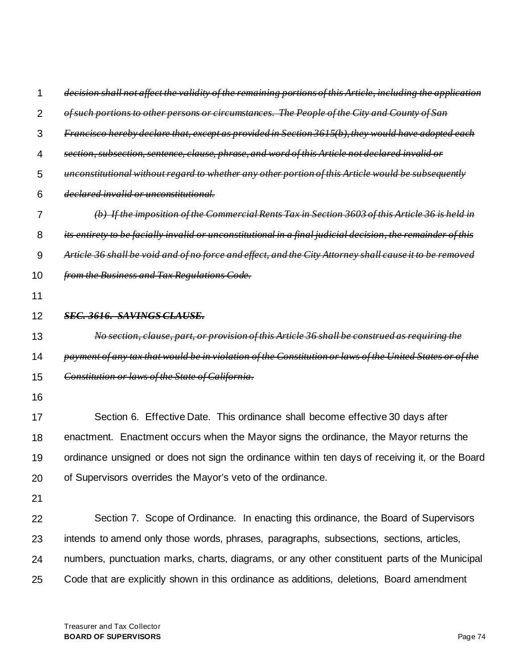| 1              | decision shall not affect the validity of the remaining portions of this Article, including the application |
|----------------|-------------------------------------------------------------------------------------------------------------|
| $\overline{2}$ | of such portions to other persons or circumstances. The People of the City and County of San                |
| 3              | Francisco hereby declare that, except as provided in Section 3615(b), they would have adopted each          |
| 4              | section, subsection, sentence, clause, phrase, and word of this Article not declared invalid or             |
| 5              | unconstitutional without regard to whether any other portion of this Article would be subsequently          |
| 6              | declared invalid or unconstitutional.                                                                       |
| 7              | (b) If the imposition of the Commercial Rents Tax in Section 3603 of this Article 36 is held in             |
| 8              | its entirety to be facially invalid or unconstitutional in a final judicial decision, the remainder of this |
| 9              | Article 36 shall be void and of no force and effect, and the City Attorney shall cause it to be removed     |
| 10             | from the Business and Tax Regulations Code.                                                                 |
| 11             |                                                                                                             |
| 12             | <b>SEC. 3616. SAVINGS CLAUSE.</b>                                                                           |
| 13             | No section, clause, part, or provision of this Article 36 shall be construed as requiring the               |
| 14             | payment of any tax that would be in violation of the Constitution or laws of the United States or of the    |
| 15             | Constitution or laws of the State of California.                                                            |
| 16             |                                                                                                             |
| 17             | Section 6. Effective Date. This ordinance shall become effective 30 days after                              |
| 18             | enactment. Enactment occurs when the Mayor signs the ordinance, the Mayor returns the                       |
| 19             | ordinance unsigned or does not sign the ordinance within ten days of receiving it, or the Board             |
| 20             | of Supervisors overrides the Mayor's veto of the ordinance.                                                 |
| 21             |                                                                                                             |
| 22             | Section 7. Scope of Ordinance. In enacting this ordinance, the Board of Supervisors                         |
| 23             | intends to amend only those words, phrases, paragraphs, subsections, sections, articles,                    |
| 24             | numbers, punctuation marks, charts, diagrams, or any other constituent parts of the Municipal               |
| 25             | Code that are explicitly shown in this ordinance as additions, deletions, Board amendment                   |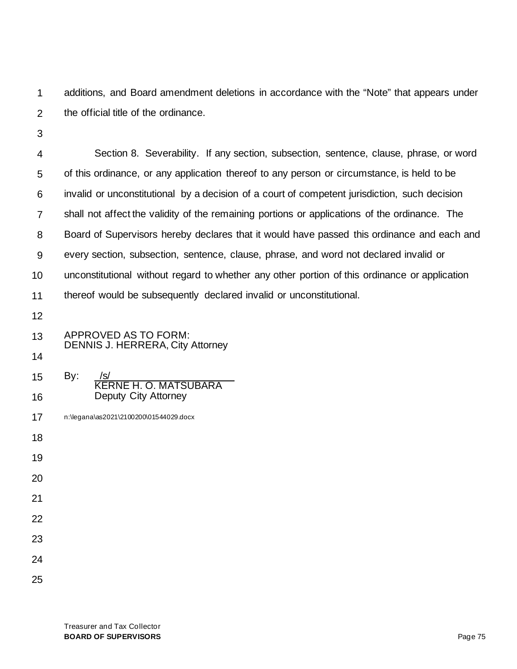1 2 additions, and Board amendment deletions in accordance with the "Note" that appears under the official title of the ordinance.

3

4 5 6 7 8 9 10 11 Section 8. Severability. If any section, subsection, sentence, clause, phrase, or word of this ordinance, or any application thereof to any person or circumstance, is held to be invalid or unconstitutional by a decision of a court of competent jurisdiction, such decision shall not affect the validity of the remaining portions or applications of the ordinance. The Board of Supervisors hereby declares that it would have passed this ordinance and each and every section, subsection, sentence, clause, phrase, and word not declared invalid or unconstitutional without regard to whether any other portion of this ordinance or application thereof would be subsequently declared invalid or unconstitutional.

12

| 13 | APPROVED AS TO FORM:<br><b>DENNIS J. HERRERA, City Attorney</b> |
|----|-----------------------------------------------------------------|
| 14 |                                                                 |
| 15 | By:<br>/s/<br><b>KERNE H. O. MATSUBARA</b>                      |
| 16 | Deputy City Attorney                                            |
| 17 | n:\legana\as2021\2100200\01544029.docx                          |
| 18 |                                                                 |
| 19 |                                                                 |
| 20 |                                                                 |
| 21 |                                                                 |
| 22 |                                                                 |
| 23 |                                                                 |
| 24 |                                                                 |
| 25 |                                                                 |
|    |                                                                 |